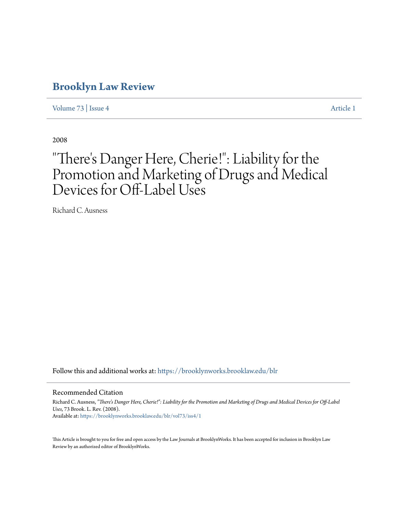### **[Brooklyn Law Review](https://brooklynworks.brooklaw.edu/blr?utm_source=brooklynworks.brooklaw.edu%2Fblr%2Fvol73%2Fiss4%2F1&utm_medium=PDF&utm_campaign=PDFCoverPages)**

[Volume 73](https://brooklynworks.brooklaw.edu/blr/vol73?utm_source=brooklynworks.brooklaw.edu%2Fblr%2Fvol73%2Fiss4%2F1&utm_medium=PDF&utm_campaign=PDFCoverPages) | [Issue 4](https://brooklynworks.brooklaw.edu/blr/vol73/iss4?utm_source=brooklynworks.brooklaw.edu%2Fblr%2Fvol73%2Fiss4%2F1&utm_medium=PDF&utm_campaign=PDFCoverPages) [Article 1](https://brooklynworks.brooklaw.edu/blr/vol73/iss4/1?utm_source=brooklynworks.brooklaw.edu%2Fblr%2Fvol73%2Fiss4%2F1&utm_medium=PDF&utm_campaign=PDFCoverPages)

2008

# "There 's Danger Here, Cherie!": Liability for the Promotion and Marketing of Drugs and Medical Devices for Off-Label Uses

Richard C. Ausness

Follow this and additional works at: [https://brooklynworks.brooklaw.edu/blr](https://brooklynworks.brooklaw.edu/blr?utm_source=brooklynworks.brooklaw.edu%2Fblr%2Fvol73%2Fiss4%2F1&utm_medium=PDF&utm_campaign=PDFCoverPages)

#### Recommended Citation

Richard C. Ausness, *"There's Danger Here, Cherie!": Liability for the Promotion and Marketing of Drugs and Medical Devices for Off-Label Uses*, 73 Brook. L. Rev. (2008). Available at: [https://brooklynworks.brooklaw.edu/blr/vol73/iss4/1](https://brooklynworks.brooklaw.edu/blr/vol73/iss4/1?utm_source=brooklynworks.brooklaw.edu%2Fblr%2Fvol73%2Fiss4%2F1&utm_medium=PDF&utm_campaign=PDFCoverPages)

This Article is brought to you for free and open access by the Law Journals at BrooklynWorks. It has been accepted for inclusion in Brooklyn Law Review by an authorized editor of BrooklynWorks.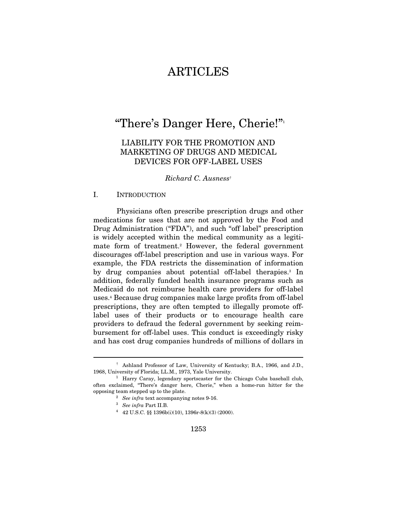# **ARTICLES**

# "There's Danger Here, Cherie!"

### LIABILITY FOR THE PROMOTION AND MARKETING OF DRUGS AND MEDICAL DEVICES FOR OFF-LABEL USES

#### Richard C. Ausness†

#### I. INTRODUCTION

Physicians often prescribe prescription drugs and other medications for uses that are not approved by the Food and Drug Administration ("FDA"), and such "off label" prescription is widely accepted within the medical community as a legitimate form of treatment.2 However, the federal government discourages off-label prescription and use in various ways. For example, the FDA restricts the dissemination of information by drug companies about potential off-label therapies.3 In addition, federally funded health insurance programs such as Medicaid do not reimburse health care providers for off-label uses.4 Because drug companies make large profits from off-label prescriptions, they are often tempted to illegally promote offlabel uses of their products or to encourage health care providers to defraud the federal government by seeking reimbursement for off-label uses. This conduct is exceedingly risky and has cost drug companies hundreds of millions of dollars in

<sup>†</sup> Ashland Professor of Law, University of Kentucky; B.A., 1966, and J.D., 1968, University of Florida; LL.M., 1973, Yale University.<br><sup>1</sup> Harry Caray, legendary sportscaster for the Chicago Cubs baseball club,

often exclaimed, "There's danger here, Cherie," when a home-run hitter for the %opposing team stepped up to the plate.<br>
<sup>2</sup> See infra text accompanying notes 9-16.<br>
<sup>3</sup> See infra Part II.B.<br>
<sup>4</sup> 42 U.S.C. §§ 1396b(i)(10), 1396r-8(k)(3) (2000).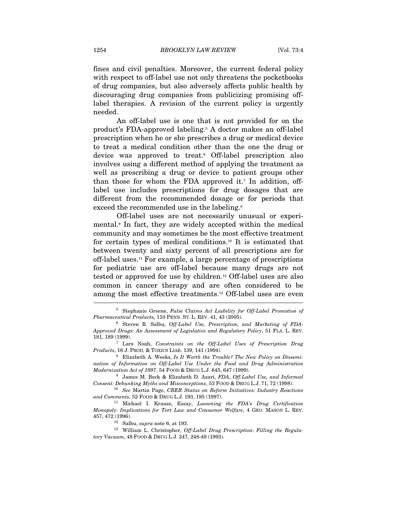fines and civil penalties. Moreover, the current federal policy with respect to off-label use not only threatens the pocketbooks of drug companies, but also adversely affects public health by discouraging drug companies from publicizing promising offlabel therapies. A revision of the current policy is urgently needed.

An off-label use is one that is not provided for on the product's FDA-approved labeling.5 A doctor makes an off-label prescription when he or she prescribes a drug or medical device to treat a medical condition other than the one the drug or device was approved to treat.6 Off-label prescription also involves using a different method of applying the treatment as well as prescribing a drug or device to patient groups other than those for whom the FDA approved it.<sup>7</sup> In addition, offlabel use includes prescriptions for drug dosages that are different from the recommended dosage or for periods that exceed the recommended use in the labeling.<sup>8</sup>

Off-label uses are not necessarily unusual or experimental.9 In fact, they are widely accepted within the medical community and may sometimes be the most effective treatment for certain types of medical conditions.10 It is estimated that between twenty and sixty percent of all prescriptions are for off-label uses.11 For example, a large percentage of prescriptions for pediatric use are off-label because many drugs are not tested or approved for use by children.12 Off-label uses are also common in cancer therapy and are often considered to be among the most effective treatments.13 Off-label uses are even

<sup>5</sup> Stephanie Greene, False Claims Act Liability for Off-Label Promotion of Pharmaceutical Products, 110 PENN. ST. L. REV. 41, 43 (2005). 6 Steven R. Salbu, Off-Label Use, Prescription, and Marketing of FDA-

Approved Drugs: An Assessment of Legislative and Regulatory Policy, 51 FLA. L. REV. 181, 189 (1999).  $\frac{7}{1}$  Lars Noah, *Constraints on the Off-Label Uses of Prescription Drug* 

Products, 16 J. PROD. & TOXICS LIAB. 139, 141 (1994).<br><sup>8</sup> Elizabeth A. Weeks, *Is It Worth the Trouble? The New Policy on Dissemi-*

nation of Information on Off-Label Use Under the Food and Drug Administration Modernization Act of 1997, 54 FOOD & DRUG L.J. 645, 647 (1999).

 $9$  James M. Beck & Elizabeth D. Azari, FDA, Off-Label Use, and Informed Consent: Debunking Myths and Misconceptions, 53 FOOD & DRUG L.J. 71, 72 (1998).<br><sup>10</sup> See Martin Page, CBER Status on Reform Initiatives: Industry Reactions

and Comments, 52 FOOD & DRUG L.J. 193, 195 (1997).<br><sup>11</sup> Michael I. Krauss, Essay, *Loosening the FDA's Drug Certification* Monopoly: Implications for Tort Law and Consumer Welfare, 4 GEO. MASON L. REV.

<sup>457, 472 (1996).&</sup>lt;br><sup>12</sup> Salbu, supra note 6, at 193.<br><sup>13</sup> William L. Christopher, *Off-Label Drug Prescription: Filling the Regula*tory Vacuum, 48 FOOD & DRUG L.J. 247, 248-49 (1993).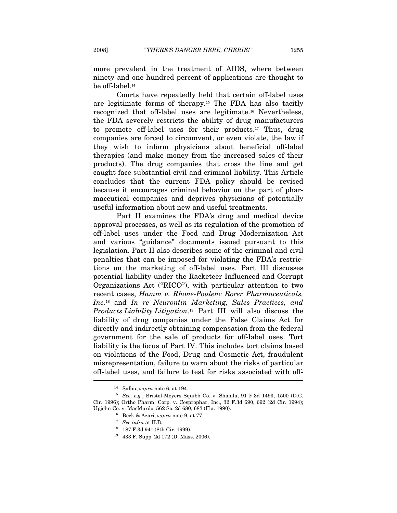more prevalent in the treatment of AIDS, where between ninety and one hundred percent of applications are thought to

be off-label.<sup>14</sup> Courts have repeatedly held that certain off-label uses are legitimate forms of therapy.15 The FDA has also tacitly recognized that off-label uses are legitimate.16 Nevertheless, the FDA severely restricts the ability of drug manufacturers to promote off-label uses for their products.17 Thus, drug companies are forced to circumvent, or even violate, the law if they wish to inform physicians about beneficial off-label therapies (and make money from the increased sales of their products). The drug companies that cross the line and get caught face substantial civil and criminal liability. This Article concludes that the current FDA policy should be revised because it encourages criminal behavior on the part of pharmaceutical companies and deprives physicians of potentially useful information about new and useful treatments.

Part II examines the FDA's drug and medical device approval processes, as well as its regulation of the promotion of off-label uses under the Food and Drug Modernization Act and various "guidance" documents issued pursuant to this legislation. Part II also describes some of the criminal and civil penalties that can be imposed for violating the FDA's restrictions on the marketing of off-label uses. Part III discusses potential liability under the Racketeer Influenced and Corrupt Organizations Act ("RICO"), with particular attention to two recent cases, Hamm v. Rhone-Poulenc Rorer Pharmaceuticals, Inc.18 and In re Neurontin Marketing, Sales Practices, and Products Liability Litigation.19 Part III will also discuss the liability of drug companies under the False Claims Act for directly and indirectly obtaining compensation from the federal government for the sale of products for off-label uses. Tort liability is the focus of Part IV. This includes tort claims based on violations of the Food, Drug and Cosmetic Act, fraudulent misrepresentation, failure to warn about the risks of particular off-label uses, and failure to test for risks associated with off-

19 433 F. Supp. 2d 172 (D. Mass. 2006).

<sup>&</sup>lt;sup>14</sup> Salbu, *supra* note 6, at 194.<br><sup>15</sup> See, e.g., Bristol-Meyers Squibb Co. v. Shalala, 91 F.3d 1493, 1500 (D.C. Cir. 1996); Ortho Pharm. Corp. v. Cosprophar, Inc., 32 F.3d 690, 692 (2d Cir. 1994); Upjohn Co. v. MacMurdo, 562 So. 2d 680, 683 (Fla. 1990). 16 Beck & Azari, supra note 9, at 77.

<sup>&</sup>lt;sup>17</sup> See infra at II.B.<br><sup>18</sup> 187 F.3d 941 (8th Cir. 1999).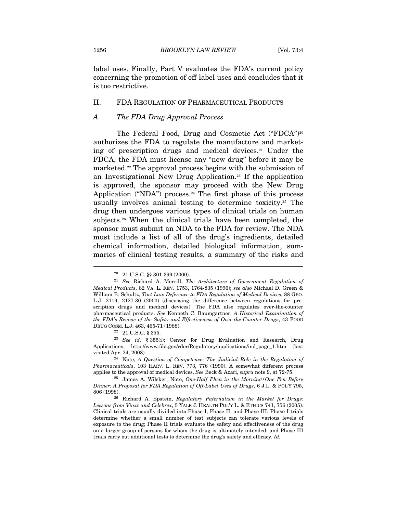label uses. Finally, Part V evaluates the FDA's current policy concerning the promotion of off-label uses and concludes that it is too restrictive.

#### II. FDA REGULATION OF PHARMACEUTICAL PRODUCTS

#### A. The FDA Drug Approval Process

The Federal Food, Drug and Cosmetic Act ("FDCA")20 authorizes the FDA to regulate the manufacture and marketing of prescription drugs and medical devices.21 Under the FDCA, the FDA must license any "new drug" before it may be marketed.<sup>22</sup> The approval process begins with the submission of an Investigational New Drug Application.23 If the application is approved, the sponsor may proceed with the New Drug Application ("NDA") process. $24$  The first phase of this process usually involves animal testing to determine toxicity.25 The drug then undergoes various types of clinical trials on human subjects.26 When the clinical trials have been completed, the sponsor must submit an NDA to the FDA for review. The NDA must include a list of all of the drug's ingredients, detailed chemical information, detailed biological information, summaries of clinical testing results, a summary of the risks and

<sup>23</sup> See id. § 355(i); Center for Drug Evaluation and Research, Drug Applications, http://www.fda.gov/cder/Regulatory/applications/ind\_page\_1.htm (last visited Apr. 24, 2008).  $^{24}$  Note, A Question of Competence: The Judicial Role in the Regulation of

Pharmaceuticals, 103 HARV. L. REV. 773, 776 (1990). A somewhat different process applies to the approval of medical devices. See Beck & Azari, supra note 9, at 72-75.<br><sup>25</sup> James A. Wilsker, Note, One-Half Phen in the Morning/One Fen Before

Dinner: A Proposal for FDA Regulation of Off-Label Uses of Drugs, 6 J.L. & POL'Y 795, 806 (1998).<br><sup>26</sup> Richard A. Epstein, *Regulatory Paternalism in the Market for Drugs:* 

Lessons from Vioxx and Celebrex, 5 YALE J. HEALTH POL'Y L. & ETHICS 741, 756 (2005). Clinical trials are usually divided into Phase I, Phase II, and Phase III: Phase I trials determine whether a small number of test subjects can tolerate various levels of exposure to the drug; Phase II trials evaluate the safety and effectiveness of the drug on a larger group of persons for whom the drug is ultimately intended; and Phase III trials carry out additional tests to determine the drug's safety and efficacy. Id.

<sup>20 21</sup> U.S.C. §§ 301-399 (2000).

<sup>21</sup> See Richard A. Merrill, The Architecture of Government Regulation of Medical Products, 82 VA. L. REV. 1753, 1764-835 (1996); see also Michael D. Green & William B. Schultz, Tort Law Deference to FDA Regulation of Medical Devices, 88 GEO. L.J. 2119, 2127-30 (2000) (discussing the difference between regulations for prescription drugs and medical devices). The FDA also regulates over-the-counter pharmaceutical products. See Kenneth C. Baumgartner, A Historical Examination of the FDA's Review of the Safety and Effectiveness of Over-the-Counter Drugs, 43 FOOD DRUG COSM. L.J. 463, 465-71 (1988).<br><sup>22</sup> 21 U.S.C. § 355.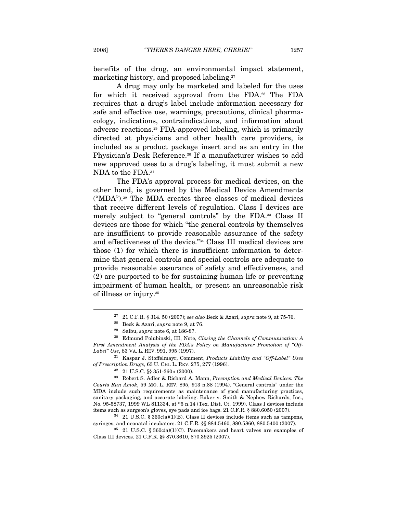$\overline{a}$ 

benefits of the drug, an environmental impact statement, marketing history, and proposed labeling.<sup>27</sup>

A drug may only be marketed and labeled for the uses for which it received approval from the FDA.<sup>28</sup> The FDA requires that a drug's label include information necessary for safe and effective use, warnings, precautions, clinical pharmacology, indications, contraindications, and information about adverse reactions.29 FDA-approved labeling, which is primarily directed at physicians and other health care providers, is included as a product package insert and as an entry in the Physician's Desk Reference.<sup>30</sup> If a manufacturer wishes to add new approved uses to a drug's labeling, it must submit a new NDA to the FDA.<sup>31</sup>

The FDA's approval process for medical devices, on the other hand, is governed by the Medical Device Amendments ("MDA").32 The MDA creates three classes of medical devices that receive different levels of regulation. Class I devices are merely subject to "general controls" by the FDA.33 Class II devices are those for which "the general controls by themselves are insufficient to provide reasonable assurance of the safety and effectiveness of the device."34 Class III medical devices are those (1) for which there is insufficient information to determine that general controls and special controls are adequate to provide reasonable assurance of safety and effectiveness, and (2) are purported to be for sustaining human life or preventing impairment of human health, or present an unreasonable risk of illness or injury.35

33 Robert S. Adler & Richard A. Mann, Preemption and Medical Devices: The Courts Run Amok, 59 MO. L. REV. 895, 913 n.88 (1994). "General controls" under the MDA include such requirements as maintenance of good manufacturing practices, sanitary packaging, and accurate labeling. Baker v. Smith & Nephew Richards, Inc., No. 95-58737, 1999 WL 811334, at \*5 n.14 (Tex. Dist. Ct. 1999). Class I devices include

<sup>27 21</sup> C.F.R. § 314. 50 (2007); see also Beck & Azari, supra note 9, at 75-76.<br>
<sup>28</sup> Beck & Azari, supra note 9, at 76.<br>
<sup>29</sup> Salbu, supra note 6, at 186-87.<br>
<sup>30</sup> Edmund Polubinski, III, Note, Closing the Channels of Comm First Amendment Analysis of the FDA's Policy on Manufacturer Promotion of "Off-Label" Use, 83 VA. L. REV. 991, 995 (1997). 31 Kaspar J. Stoffelmayr, Comment, Products Liability and "Off-Label" Uses

of Prescription Drugs, 63 U. CHI. L. REV. 275, 277 (1996).<br><sup>32</sup> 21 U.S.C. §§ 351-360n (2000).

items such as surgeon's gloves, eye pads and ice bags. 21 C.F.R. § 880.6050 (2007).<br><sup>34</sup> 21 U.S.C. § 360c(a)(1)(B). Class II devices include items such as tampons, syringes, and neonatal incubators. 21 C.F.R. §§ 884.5460,

 $35$  21 U.S.C. § 360 $c(a)(1)(C)$ . Pacemakers and heart valves are examples of Class III devices. 21 C.F.R. §§ 870.3610, 870.3925 (2007).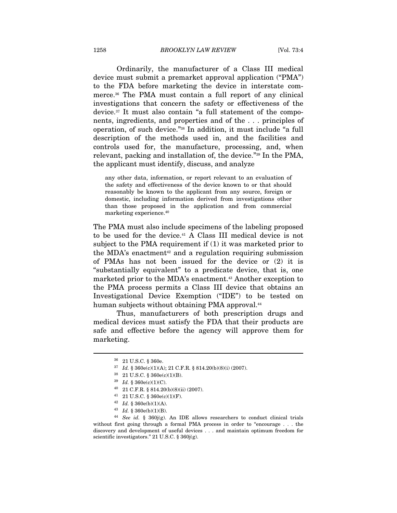Ordinarily, the manufacturer of a Class III medical device must submit a premarket approval application ("PMA") to the FDA before marketing the device in interstate commerce.36 The PMA must contain a full report of any clinical investigations that concern the safety or effectiveness of the device.37 It must also contain "a full statement of the components, ingredients, and properties and of the . . . principles of operation, of such device."38 In addition, it must include "a full description of the methods used in, and the facilities and controls used for, the manufacture, processing, and, when relevant, packing and installation of, the device."39 In the PMA, the applicant must identify, discuss, and analyze

any other data, information, or report relevant to an evaluation of the safety and effectiveness of the device known to or that should reasonably be known to the applicant from any source, foreign or domestic, including information derived from investigations other than those proposed in the application and from commercial marketing experience.40

The PMA must also include specimens of the labeling proposed to be used for the device.41 A Class III medical device is not subject to the PMA requirement if (1) it was marketed prior to the MDA's enactment<sup>42</sup> and a regulation requiring submission of PMAs has not been issued for the device or (2) it is "substantially equivalent" to a predicate device, that is, one marketed prior to the MDA's enactment.43 Another exception to the PMA process permits a Class III device that obtains an Investigational Device Exemption ("IDE") to be tested on human subjects without obtaining PMA approval.<sup>44</sup>

Thus, manufacturers of both prescription drugs and medical devices must satisfy the FDA that their products are safe and effective before the agency will approve them for marketing.

<sup>36 21</sup> U.S.C. § 360e.

 $37$  Id. § 360e(c)(1)(A); 21 C.F.R. § 814.20(b)(8)(i) (2007).

<sup>38 21</sup> U.S.C. § 360e(c)(1)(B).

 $\stackrel{39}{40} \,\, \stackrel{Id.}{=} \,\, \begin{array}{ll} 360 \mathrm{e(c)} \mathrm{(1)} \mathrm{(C)}.\\ 40 & 21 \mathrm{~C.F.R.} \,\, \S \,\, 814.20 \mathrm{(b)} \mathrm{(8)} \mathrm{(ii)} \,\, \mathrm{(2007)}. \end{array}$ 

 $^{41}$   $\,$  21 U.S.C. § 360e(c)(1)(F).

<sup>&</sup>lt;sup>42</sup> Id. § 360e(b)(1)(A).<br><sup>43</sup> Id. § 360e(b)(1)(B).<br><sup>44</sup> See id. § 360j(g). An IDE allows researchers to conduct clinical trials without first going through a formal PMA process in order to "encourage . . . the discovery and development of useful devices . . . and maintain optimum freedom for scientific investigators." 21 U.S.C. § 360j(g).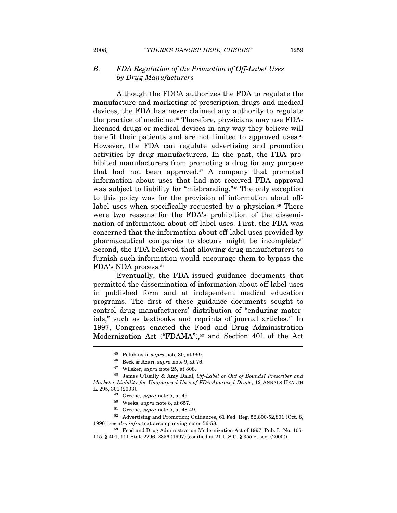#### B. FDA Regulation of the Promotion of Off-Label Uses by Drug Manufacturers

Although the FDCA authorizes the FDA to regulate the manufacture and marketing of prescription drugs and medical devices, the FDA has never claimed any authority to regulate the practice of medicine.45 Therefore, physicians may use FDAlicensed drugs or medical devices in any way they believe will benefit their patients and are not limited to approved uses.<sup>46</sup> However, the FDA can regulate advertising and promotion activities by drug manufacturers. In the past, the FDA prohibited manufacturers from promoting a drug for any purpose that had not been approved. $47$  A company that promoted information about uses that had not received FDA approval was subject to liability for "misbranding."<sup>48</sup> The only exception to this policy was for the provision of information about offlabel uses when specifically requested by a physician.<sup>49</sup> There were two reasons for the FDA's prohibition of the dissemination of information about off-label uses. First, the FDA was concerned that the information about off-label uses provided by pharmaceutical companies to doctors might be incomplete.50 Second, the FDA believed that allowing drug manufacturers to furnish such information would encourage them to bypass the FDA's NDA process.51

Eventually, the FDA issued guidance documents that permitted the dissemination of information about off-label uses in published form and at independent medical education programs. The first of these guidance documents sought to control drug manufacturers' distribution of "enduring materials," such as textbooks and reprints of journal articles.<sup>52</sup> In 1997, Congress enacted the Food and Drug Administration Modernization Act ("FDAMA"),<sup>53</sup> and Section 401 of the Act

<sup>&</sup>lt;sup>45</sup> Polubinski, *supra* note 30, at 999.<br><sup>46</sup> Beck & Azari, *supra* note 9, at 76.<br><sup>47</sup> Wilsker, *supra* note 25, at 808.

<sup>&</sup>lt;sup>48</sup> James O'Reilly & Amy Dalal, Off-Label or Out of Bounds? Prescriber and Marketer Liability for Unapproved Uses of FDA-Approved Drugs, 12 ANNALS HEALTH L. 295, 301 (2003).  $$\,^{49}$$  Greene,  $supra$  note 5, at 49.  $$\,^{50}$$  Weeks,  $supra$  note 8, at 657.

 $^{\,51}\,$  Greene,  $supra$  note 5, at 48-49.  $^{\,52}$  Advertising and Promotion; Guidances, 61 Fed. Reg. 52,800-52,801 (Oct. 8, 1996); see also infra text accompanying notes 56-58.<br><sup>53</sup> Food and Drug Administration Modernization Act of 1997, Pub. L. No. 105-

<sup>115, § 401, 111</sup> Stat. 2296, 2356 (1997) (codified at 21 U.S.C. § 355 et seq. (2000)).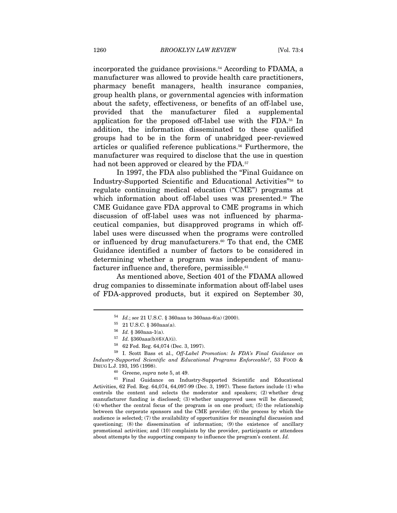incorporated the guidance provisions.<sup>54</sup> According to FDAMA, a manufacturer was allowed to provide health care practitioners, pharmacy benefit managers, health insurance companies, group health plans, or governmental agencies with information about the safety, effectiveness, or benefits of an off-label use, provided that the manufacturer filed a supplemental application for the proposed off-label use with the FDA.55 In addition, the information disseminated to these qualified groups had to be in the form of unabridged peer-reviewed articles or qualified reference publications.56 Furthermore, the manufacturer was required to disclose that the use in question had not been approved or cleared by the FDA.<sup>57</sup>

In 1997, the FDA also published the "Final Guidance on Industry-Supported Scientific and Educational Activities"58 to regulate continuing medical education ("CME") programs at which information about off-label uses was presented.<sup>59</sup> The CME Guidance gave FDA approval to CME programs in which discussion of off-label uses was not influenced by pharmaceutical companies, but disapproved programs in which offlabel uses were discussed when the programs were controlled or influenced by drug manufacturers.<sup>60</sup> To that end, the CME Guidance identified a number of factors to be considered in determining whether a program was independent of manufacturer influence and, therefore, permissible.<sup>61</sup>

As mentioned above, Section 401 of the FDAMA allowed drug companies to disseminate information about off-label uses of FDA-approved products, but it expired on September 30,

 $\overline{a}$ 

59 I. Scott Bass et al., Off-Label Promotion: Is FDA's Final Guidance on Industry-Supported Scientific and Educational Programs Enforceable?, 53 FOOD & DRUG L.J. 193, 195 (1998).

<sup>60</sup> Greene, *supra* note 5, at 49.<br><sup>61</sup> Final Guidance on Industry-Supported Scientific and Educational Activities, 62 Fed. Reg. 64,074, 64,097-99 (Dec. 3, 1997). These factors include (1) who controls the content and selects the moderator and speakers; (2) whether drug manufacturer funding is disclosed; (3) whether unapproved uses will be discussed; (4) whether the central focus of the program is on one product; (5) the relationship between the corporate sponsors and the CME provider; (6) the process by which the audience is selected; (7) the availability of opportunities for meaningful discussion and questioning; (8) the dissemination of information; (9) the existence of ancillary promotional activities; and (10) complaints by the provider, participants or attendees about attempts by the supporting company to influence the program's content. Id.

 $54$  Id.; see 21 U.S.C. § 360aaa to 360aaa-6(a) (2000).

<sup>55 21</sup> U.S.C. § 360aaa(a).<br>
56 Id. § 360aaa-1(a).<br>
57 Id. §360aaa(b)(6)(A)(i).<br>
58 62 Fed. Reg. 64,074 (Dec. 3, 1997).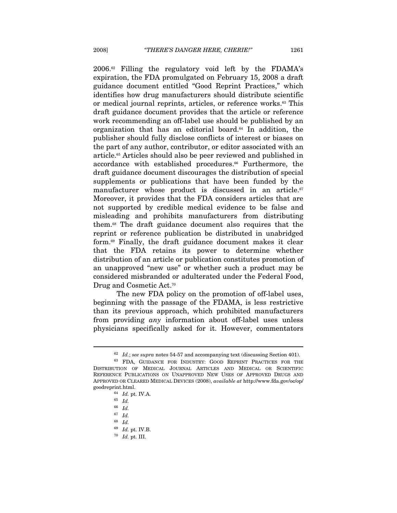$2006.^{\circ}$  Filling the regulatory void left by the FDAMA's expiration, the FDA promulgated on February 15, 2008 a draft guidance document entitled "Good Reprint Practices," which identifies how drug manufacturers should distribute scientific or medical journal reprints, articles, or reference works.63 This draft guidance document provides that the article or reference work recommending an off-label use should be published by an organization that has an editorial board.64 In addition, the publisher should fully disclose conflicts of interest or biases on the part of any author, contributor, or editor associated with an article.65 Articles should also be peer reviewed and published in accordance with established procedures.<sup>66</sup> Furthermore, the draft guidance document discourages the distribution of special supplements or publications that have been funded by the manufacturer whose product is discussed in an article.<sup>67</sup> Moreover, it provides that the FDA considers articles that are not supported by credible medical evidence to be false and misleading and prohibits manufacturers from distributing them.68 The draft guidance document also requires that the reprint or reference publication be distributed in unabridged form.69 Finally, the draft guidance document makes it clear that the FDA retains its power to determine whether distribution of an article or publication constitutes promotion of an unapproved "new use" or whether such a product may be considered misbranded or adulterated under the Federal Food, Drug and Cosmetic Act.<sup>70</sup>

The new FDA policy on the promotion of off-label uses, beginning with the passage of the FDAMA, is less restrictive than its previous approach, which prohibited manufacturers from providing any information about off-label uses unless physicians specifically asked for it. However, commentators

 $62$  Id.; see supra notes 54-57 and accompanying text (discussing Section 401).<br> $63$  FDA, GUIDANCE FOR INDUSTRY: GOOD REPRINT PRACTICES FOR THE

DISTRIBUTION OF MEDICAL JOURNAL ARTICLES AND MEDICAL OR SCIENTIFIC REFERENCE PUBLICATIONS ON UNAPPROVED NEW USES OF APPROVED DRUGS AND APPROVED OR CLEARED MEDICAL DEVICES (2008), available at http://www.fda.gov/oc/op/ goodreprint.html.<br> $$\,^{64}$$   $Id.$  pt. IV.A.  $$\,^{65}$$   $Id.$ 

<sup>66</sup> Id.

<sup>67</sup> Id.

<sup>68</sup> Id.

 $^{69}$   $\,$   $Id.$  pt. IV.B.  $^{70}$   $\,$   $Id.$  pt. III.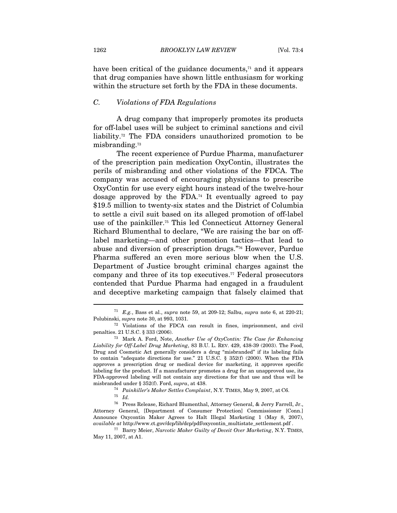have been critical of the guidance documents, $\tau$  and it appears that drug companies have shown little enthusiasm for working within the structure set forth by the FDA in these documents.

#### C. Violations of FDA Regulations

A drug company that improperly promotes its products for off-label uses will be subject to criminal sanctions and civil liability.72 The FDA considers unauthorized promotion to be misbranding.<sup>73</sup>

The recent experience of Purdue Pharma, manufacturer of the prescription pain medication OxyContin, illustrates the perils of misbranding and other violations of the FDCA. The company was accused of encouraging physicians to prescribe OxyContin for use every eight hours instead of the twelve-hour dosage approved by the FDA.74 It eventually agreed to pay \$19.5 million to twenty-six states and the District of Columbia to settle a civil suit based on its alleged promotion of off-label use of the painkiller.75 This led Connecticut Attorney General Richard Blumenthal to declare, "We are raising the bar on offlabel marketing—and other promotion tactics—that lead to abuse and diversion of prescription drugs."76 However, Purdue Pharma suffered an even more serious blow when the U.S. Department of Justice brought criminal charges against the company and three of its top executives.77 Federal prosecutors contended that Purdue Pharma had engaged in a fraudulent and deceptive marketing campaign that falsely claimed that

 $^{71}$  E.g., Bass et al., supra note 59, at 209-12; Salbu, supra note 6, at 220-21; Polubinski, supra note 30, at 993, 1031.

 $72$  Violations of the FDCA can result in fines, imprisonment, and civil penalties. 21 U.S.C. § 333 (2006). 73 Mark A. Ford, Note, Another Use of OxyContin: The Case for Enhancing

Liability for Off-Label Drug Marketing, 83 B.U. L. REV. 429, 438-39 (2003). The Food, Drug and Cosmetic Act generally considers a drug "misbranded" if its labeling fails to contain "adequate directions for use." 21 U.S.C. § 352(f) (2000). When the FDA approves a prescription drug or medical device for marketing, it approves specific labeling for the product. If a manufacturer promotes a drug for an unapproved use, its FDA-approved labeling will not contain any directions for that use and thus will be misbranded under § 352(f). Ford, supra, at 438.<br>
<sup>74</sup> Painkiller's Maker Settles Complaint, N.Y. TIMES, May 9, 2007, at C6.<br>
<sup>75</sup> Id.

<sup>76</sup> Press Release, Richard Blumenthal, Attorney General, & Jerry Farrell, Jr., Attorney General, [Department of Consumer Protection] Commissioner [Conn.] Announce Oxycontin Maker Agrees to Halt Illegal Marketing 1 (May 8, 2007), available at http://www.ct.gov/dcp/lib/dcp/pdf/oxycontin\_multistate\_settlement.pdf .  $^{77}$  Barry Meier, Narcotic Maker Guilty of Deceit Over Marketing, N.Y. TIMES,

May 11, 2007, at A1.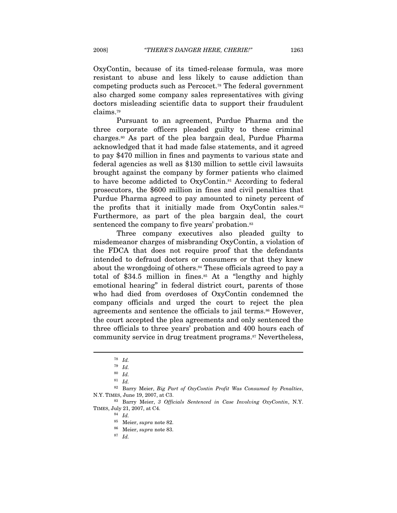OxyContin, because of its timed-release formula, was more resistant to abuse and less likely to cause addiction than competing products such as Percocet.78 The federal government also charged some company sales representatives with giving doctors misleading scientific data to support their fraudulent claims.79

Pursuant to an agreement, Purdue Pharma and the three corporate officers pleaded guilty to these criminal charges.80 As part of the plea bargain deal, Purdue Pharma acknowledged that it had made false statements, and it agreed to pay \$470 million in fines and payments to various state and federal agencies as well as \$130 million to settle civil lawsuits brought against the company by former patients who claimed to have become addicted to OxyContin.81 According to federal prosecutors, the \$600 million in fines and civil penalties that Purdue Pharma agreed to pay amounted to ninety percent of the profits that it initially made from OxyContin sales. $82$ Furthermore, as part of the plea bargain deal, the court sentenced the company to five years' probation.<sup>83</sup>

Three company executives also pleaded guilty to misdemeanor charges of misbranding OxyContin, a violation of the FDCA that does not require proof that the defendants intended to defraud doctors or consumers or that they knew about the wrongdoing of others.84 These officials agreed to pay a total of \$34.5 million in fines.<sup>85</sup> At a "lengthy and highly emotional hearing" in federal district court, parents of those who had died from overdoses of OxyContin condemned the company officials and urged the court to reject the plea agreements and sentence the officials to jail terms.<sup>86</sup> However, the court accepted the plea agreements and only sentenced the three officials to three years' probation and 400 hours each of community service in drug treatment programs.87 Nevertheless,

<sup>78</sup> Id.

<sup>79</sup> Id.

 $^{80}\,$   $Id.$ 

<sup>81</sup> Id.

<sup>82</sup> Barry Meier, Big Part of OxyContin Profit Was Consumed by Penalties, N.Y. TIMES, June 19, 2007, at C3.<br><sup>83</sup> Barry Meier, 3 Officials Sentenced in Case Involving OxyContin, N.Y.

TIMES, July 21, 2007, at C4.<br> $^{84}$  *Id.* 

<sup>&</sup>lt;sup>85</sup> Meier, *supra* note 82.<br><sup>86</sup> Meier, *supra* note 83.<br><sup>87</sup> Id.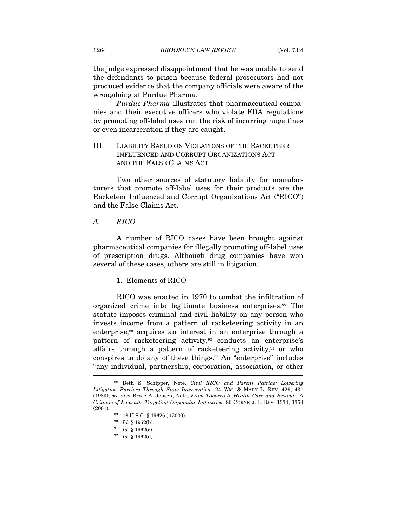the judge expressed disappointment that he was unable to send the defendants to prison because federal prosecutors had not produced evidence that the company officials were aware of the wrongdoing at Purdue Pharma.

Purdue Pharma illustrates that pharmaceutical companies and their executive officers who violate FDA regulations by promoting off-label uses run the risk of incurring huge fines or even incarceration if they are caught.

### III. LIABILITY BASED ON VIOLATIONS OF THE RACKETEER INFLUENCED AND CORRUPT ORGANIZATIONS ACT AND THE FALSE CLAIMS ACT

Two other sources of statutory liability for manufacturers that promote off-label uses for their products are the Racketeer Influenced and Corrupt Organizations Act ("RICO") and the False Claims Act.

#### A. RICO

A number of RICO cases have been brought against pharmaceutical companies for illegally promoting off-label uses of prescription drugs. Although drug companies have won several of these cases, others are still in litigation.

#### 1. Elements of RICO

RICO was enacted in 1970 to combat the infiltration of organized crime into legitimate business enterprises.<sup>88</sup> The statute imposes criminal and civil liability on any person who invests income from a pattern of racketeering activity in an enterprise,<sup>89</sup> acquires an interest in an enterprise through a pattern of racketeering activity,90 conducts an enterprise's affairs through a pattern of racketeering activity, $91$  or who conspires to do any of these things.92 An "enterprise" includes "any individual, partnership, corporation, association, or other

<sup>88</sup> Beth S. Schipper, Note, Civil RICO and Parens Patriae: Lowering Litigation Barriers Through State Intervention, 24 WM. & MARY L. REV. 429, 431 (1983); see also Bryce A. Jensen, Note, From Tobacco to Health Care and Beyond—A Critique of Lawsuits Targeting Unpopular Industries, 86 CORNELL L. REV. 1334, 1354 (2001). 89 18 U.S.C. § 1962(a) (2000).

<sup>&</sup>lt;sup>90</sup> Id. § 1962(b).<br><sup>91</sup> Id. § 1962(c).<br><sup>92</sup> Id. § 1962(d).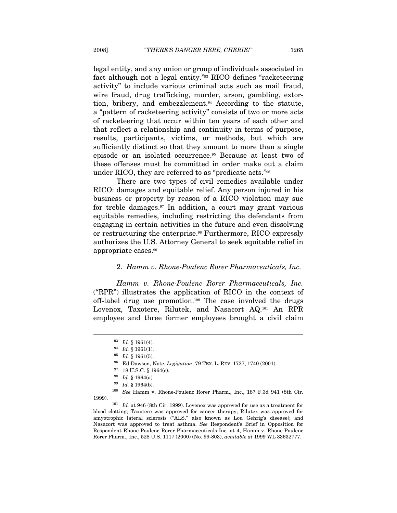legal entity, and any union or group of individuals associated in fact although not a legal entity."93 RICO defines "racketeering activity" to include various criminal acts such as mail fraud, wire fraud, drug trafficking, murder, arson, gambling, extortion, bribery, and embezzlement.<sup>94</sup> According to the statute, a "pattern of racketeering activity" consists of two or more acts of racketeering that occur within ten years of each other and that reflect a relationship and continuity in terms of purpose, results, participants, victims, or methods, but which are sufficiently distinct so that they amount to more than a single episode or an isolated occurrence.95 Because at least two of these offenses must be committed in order make out a claim under RICO, they are referred to as "predicate acts."96

There are two types of civil remedies available under RICO: damages and equitable relief. Any person injured in his business or property by reason of a RICO violation may sue for treble damages. $97$  In addition, a court may grant various equitable remedies, including restricting the defendants from engaging in certain activities in the future and even dissolving or restructuring the enterprise.<sup>98</sup> Furthermore, RICO expressly authorizes the U.S. Attorney General to seek equitable relief in appropriate cases.99

#### 2. Hamm v. Rhone-Poulenc Rorer Pharmaceuticals, Inc.

Hamm v. Rhone-Poulenc Rorer Pharmaceuticals, Inc. ("RPR") illustrates the application of RICO in the context of off-label drug use promotion.100 The case involved the drugs Lovenox, Taxotere, Rilutek, and Nasacort AQ.101 An RPR employee and three former employees brought a civil claim

 $\overline{a}$ 

<sup>99</sup> Id. § 1964(b).<br><sup>100</sup> See Hamm v. Rhone-Poulenc Rorer Pharm., Inc., 187 F.3d 941 (8th Cir. 1999).  $101$  Id. at 946 (8th Cir. 1999). Lovenox was approved for use as a treatment for

blood clotting; Taxotere was approved for cancer therapy; Rilutex was approved for amyotrophic lateral sclerosis ("ALS," also known as Lou Gehrig's disease); and Nasacort was approved to treat asthma. See Respondent's Brief in Opposition for Respondent Rhone-Poulenc Rorer Pharmaceuticals Inc. at 4, Hamm v. Rhone-Poulenc Rorer Pharm., Inc., 528 U.S. 1117 (2000) (No. 99-803), available at 1999 WL 33632777.

<sup>&</sup>lt;sup>93</sup> Id. § 1961(4).<br><sup>94</sup> Id. § 1961(1).<br><sup>95</sup> Id. § 1961(5).

<sup>96</sup> Ed Dawson, Note, Legigation, 79 TEX. L. REV. 1727, 1740 (2001).<br>
97 18 U.S.C. § 1964(c).<br>
98 Id. § 1964(a).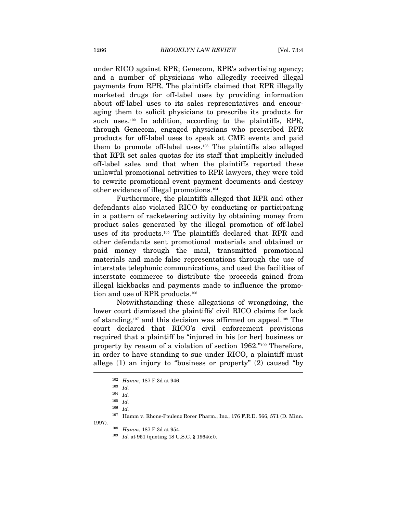under RICO against RPR; Genecom, RPR's advertising agency; and a number of physicians who allegedly received illegal payments from RPR. The plaintiffs claimed that RPR illegally marketed drugs for off-label uses by providing information about off-label uses to its sales representatives and encouraging them to solicit physicians to prescribe its products for such uses.<sup>102</sup> In addition, according to the plaintiffs, RPR, through Genecom, engaged physicians who prescribed RPR products for off-label uses to speak at CME events and paid them to promote off-label uses.103 The plaintiffs also alleged that RPR set sales quotas for its staff that implicitly included off-label sales and that when the plaintiffs reported these unlawful promotional activities to RPR lawyers, they were told to rewrite promotional event payment documents and destroy other evidence of illegal promotions.104

Furthermore, the plaintiffs alleged that RPR and other defendants also violated RICO by conducting or participating in a pattern of racketeering activity by obtaining money from product sales generated by the illegal promotion of off-label uses of its products.105 The plaintiffs declared that RPR and other defendants sent promotional materials and obtained or paid money through the mail, transmitted promotional materials and made false representations through the use of interstate telephonic communications, and used the facilities of interstate commerce to distribute the proceeds gained from illegal kickbacks and payments made to influence the promotion and use of RPR products.106

Notwithstanding these allegations of wrongdoing, the lower court dismissed the plaintiffs' civil RICO claims for lack of standing,107 and this decision was affirmed on appeal.108 The court declared that RICO's civil enforcement provisions required that a plaintiff be "injured in his [or her] business or property by reason of a violation of section 1962."109 Therefore, in order to have standing to sue under RICO, a plaintiff must allege (1) an injury to "business or property" (2) caused "by  $\overline{a}$ 

 $^{107}$  Hamm v. Rhone-Poulenc Rorer Pharm., Inc., 176 F.R.D. 566, 571 (D. Minn.

 $\begin{array}{ll}\n 102 & Hamm, 187 \text{ F.}3 \text{d at } 946. \\
 \hline\n 103 & Id.\n \end{array}$ 

 $^{104}\;$   $Id.$ 

<sup>105</sup> Id.

 $106$  *Id.* 

<sup>1997).</sup>  $108$  Hamm, 187 F.3d at 954.  $109$  Id. at 951 (quoting 18 U.S.C. § 1964(c)).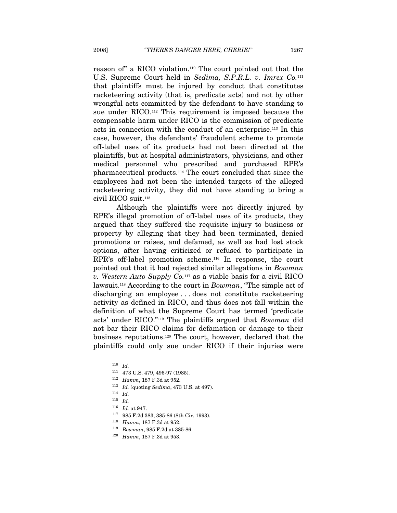reason of" a RICO violation.110 The court pointed out that the U.S. Supreme Court held in Sedima, S.P.R.L. v. Imrex Co.<sup>111</sup> that plaintiffs must be injured by conduct that constitutes racketeering activity (that is, predicate acts) and not by other wrongful acts committed by the defendant to have standing to sue under RICO.112 This requirement is imposed because the compensable harm under RICO is the commission of predicate acts in connection with the conduct of an enterprise.113 In this case, however, the defendants' fraudulent scheme to promote off-label uses of its products had not been directed at the plaintiffs, but at hospital administrators, physicians, and other medical personnel who prescribed and purchased RPR's pharmaceutical products.114 The court concluded that since the employees had not been the intended targets of the alleged racketeering activity, they did not have standing to bring a civil RICO suit.115

Although the plaintiffs were not directly injured by RPR's illegal promotion of off-label uses of its products, they argued that they suffered the requisite injury to business or property by alleging that they had been terminated, denied promotions or raises, and defamed, as well as had lost stock options, after having criticized or refused to participate in RPR's off-label promotion scheme.116 In response, the court pointed out that it had rejected similar allegations in Bowman v. Western Auto Supply Co.<sup>117</sup> as a viable basis for a civil RICO lawsuit.118 According to the court in Bowman, "The simple act of discharging an employee . . . does not constitute racketeering activity as defined in RICO, and thus does not fall within the definition of what the Supreme Court has termed 'predicate acts' under RICO."119 The plaintiffs argued that Bowman did not bar their RICO claims for defamation or damage to their business reputations.120 The court, however, declared that the plaintiffs could only sue under RICO if their injuries were

 $^{110}\;$   $Id.$ 

<sup>111 473</sup> U.S. 479, 496-97 (1985).<br>
112  $Hamm$ , 187 F.3d at 952.<br>
113  $Id.$  (quoting Sedima, 473 U.S. at 497).<br>
114  $Id.$ <br>
115  $Id.$ <br>
116  $Id.$  at 947.

<sup>117 985</sup> F.2d 383, 385-86 (8th Cir. 1993).

<sup>&</sup>lt;sup>118</sup> Hamm, 187 F.3d at 952.<br><sup>119</sup> Bowman, 985 F.2d at 385-86.<br><sup>120</sup> Hamm, 187 F.3d at 953.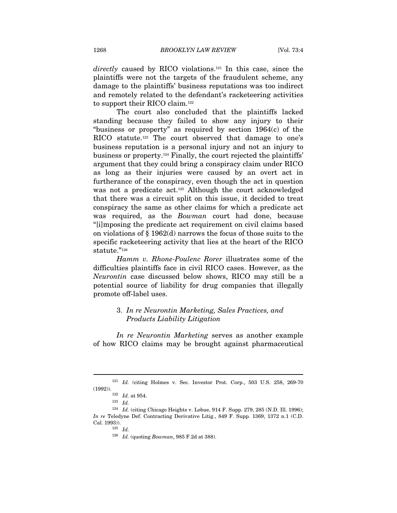directly caused by RICO violations.<sup>121</sup> In this case, since the plaintiffs were not the targets of the fraudulent scheme, any damage to the plaintiffs' business reputations was too indirect and remotely related to the defendant's racketeering activities to support their RICO claim.<sup>122</sup>

The court also concluded that the plaintiffs lacked standing because they failed to show any injury to their "business or property" as required by section 1964(c) of the RICO statute.123 The court observed that damage to one's business reputation is a personal injury and not an injury to business or property.124 Finally, the court rejected the plaintiffs' argument that they could bring a conspiracy claim under RICO as long as their injuries were caused by an overt act in furtherance of the conspiracy, even though the act in question was not a predicate act.<sup>125</sup> Although the court acknowledged that there was a circuit split on this issue, it decided to treat conspiracy the same as other claims for which a predicate act was required, as the Bowman court had done, because "[i]mposing the predicate act requirement on civil claims based on violations of § 1962(d) narrows the focus of those suits to the specific racketeering activity that lies at the heart of the RICO statute."126

Hamm v. Rhone-Poulenc Rorer illustrates some of the difficulties plaintiffs face in civil RICO cases. However, as the Neurontin case discussed below shows, RICO may still be a potential source of liability for drug companies that illegally promote off-label uses.

#### 3. In re Neurontin Marketing, Sales Practices, and Products Liability Litigation

In re Neurontin Marketing serves as another example of how RICO claims may be brought against pharmaceutical

<sup>121</sup> Id. (citing Holmes v. Sec. Investor Prot. Corp., 503 U.S. 258, 269-70 (1992)).<br> $122 \quad Id.$  at 954.<br> $123 \quad Id.$ 

 $^{124}$   $\,$   $Id.$  (citing Chicago Heights v. Lobue, 914 F. Supp. 279, 285 (N.D. Ill. 1996); In re Teledyne Def. Contracting Derivative Litig., 849 F. Supp. 1369, 1372 n.1 (C.D. Cal. 1993)).  $125$  *Id.*<br><sup>126</sup> *Id.* (quoting *Bowman*, 985 F.2d at 388).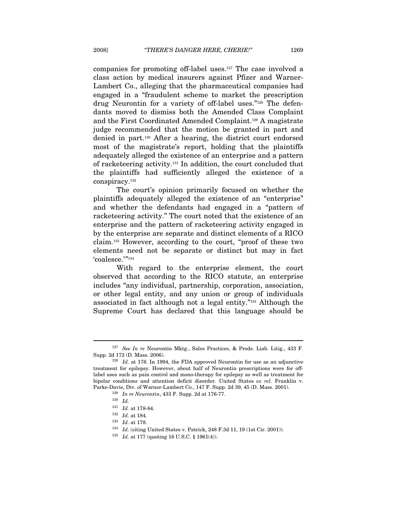companies for promoting off-label uses.127 The case involved a class action by medical insurers against Pfizer and Warner-Lambert Co., alleging that the pharmaceutical companies had engaged in a "fraudulent scheme to market the prescription drug Neurontin for a variety of off-label uses."<sup>128</sup> The defendants moved to dismiss both the Amended Class Complaint and the First Coordinated Amended Complaint.129 A magistrate judge recommended that the motion be granted in part and denied in part.130 After a hearing, the district court endorsed most of the magistrate's report, holding that the plaintiffs adequately alleged the existence of an enterprise and a pattern of racketeering activity.131 In addition, the court concluded that the plaintiffs had sufficiently alleged the existence of a conspiracy.132

The court's opinion primarily focused on whether the plaintiffs adequately alleged the existence of an "enterprise" and whether the defendants had engaged in a "pattern of racketeering activity." The court noted that the existence of an enterprise and the pattern of racketeering activity engaged in by the enterprise are separate and distinct elements of a RICO claim.133 However, according to the court, "proof of these two elements need not be separate or distinct but may in fact 'coalesce.'"134

With regard to the enterprise element, the court observed that according to the RICO statute, an enterprise includes "any individual, partnership, corporation, association, or other legal entity, and any union or group of individuals associated in fact although not a legal entity."135 Although the Supreme Court has declared that this language should be

<sup>&</sup>lt;sup>127</sup> See In re Neurontin Mktg., Sales Practices, & Prods. Liab. Litig., 433 F.

Supp. 2d 172 (D. Mass. 2006).  $128$  Id. at 176. In 1994, the FDA approved Neurontin for use as an adjunctive treatment for epilepsy. However, about half of Neurontin prescriptions were for offlabel uses such as pain control and mono-therapy for epilepsy as well as treatment for bipolar conditions and attention deficit disorder. United States ex rel. Franklin v. Parke-Davis, Div. of Warner-Lambert Co., 147 F. Supp. 2d 39, 45 (D. Mass. 2001).  $\frac{129}{129}$  In re Neurontin, 433 F. Supp. 2d at 176-77. <br>  $\frac{130}{131}$  Id. at 178-84. <br>  $\frac{132}{132}$  Id. at 184.

<sup>133</sup> Id. at 178.<br>
134 Id. (citing United States v. Patrick, 248 F.3d 11, 19 (1st Cir. 2001)).<br>
135 Id. at 177 (quoting 18 U.S.C. § 1961(4)).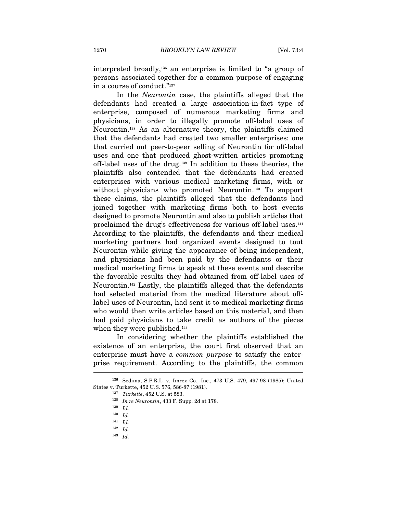interpreted broadly,136 an enterprise is limited to "a group of persons associated together for a common purpose of engaging in a course of conduct."137

In the Neurontin case, the plaintiffs alleged that the defendants had created a large association-in-fact type of enterprise, composed of numerous marketing firms and physicians, in order to illegally promote off-label uses of Neurontin.138 As an alternative theory, the plaintiffs claimed that the defendants had created two smaller enterprises: one that carried out peer-to-peer selling of Neurontin for off-label uses and one that produced ghost-written articles promoting off-label uses of the drug.139 In addition to these theories, the plaintiffs also contended that the defendants had created enterprises with various medical marketing firms, with or without physicians who promoted Neurontin.<sup>140</sup> To support these claims, the plaintiffs alleged that the defendants had joined together with marketing firms both to host events designed to promote Neurontin and also to publish articles that proclaimed the drug's effectiveness for various off-label uses.141 According to the plaintiffs, the defendants and their medical marketing partners had organized events designed to tout Neurontin while giving the appearance of being independent, and physicians had been paid by the defendants or their medical marketing firms to speak at these events and describe the favorable results they had obtained from off-label uses of Neurontin.142 Lastly, the plaintiffs alleged that the defendants had selected material from the medical literature about offlabel uses of Neurontin, had sent it to medical marketing firms who would then write articles based on this material, and then had paid physicians to take credit as authors of the pieces when they were published.<sup>143</sup>

In considering whether the plaintiffs established the existence of an enterprise, the court first observed that an enterprise must have a common purpose to satisfy the enterprise requirement. According to the plaintiffs, the common  $\overline{\phantom{a}}$ 

<sup>136</sup> Sedima, S.P.R.L. v. Imrex Co., Inc., 473 U.S. 479, 497-98 (1985); United States v. Turkette, 452 U.S. 576, 586-87 (1981).<br>
<sup>137</sup> Turkette, 452 U.S. at 583.<br>
<sup>138</sup> In re Neurontin, 433 F. Supp. 2d at 178.<br>
<sup>139</sup> Id.<br>
<sup>140</sup> Id.

<sup>141</sup> Id.

 $^{142}\;$   $Id.$ 

<sup>143</sup> Id.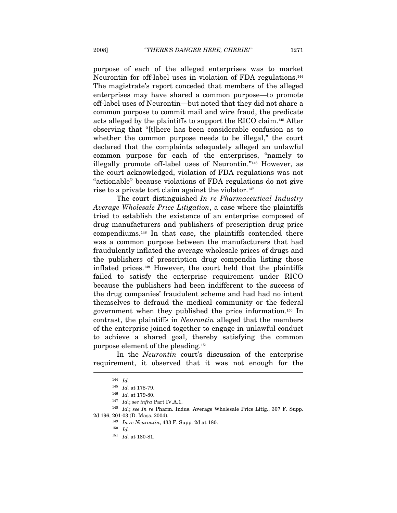purpose of each of the alleged enterprises was to market Neurontin for off-label uses in violation of FDA regulations.144 The magistrate's report conceded that members of the alleged enterprises may have shared a common purpose—to promote off-label uses of Neurontin—but noted that they did not share a common purpose to commit mail and wire fraud, the predicate acts alleged by the plaintiffs to support the RICO claim.145 After observing that "[t]here has been considerable confusion as to whether the common purpose needs to be illegal," the court declared that the complaints adequately alleged an unlawful common purpose for each of the enterprises, "namely to illegally promote off-label uses of Neurontin."146 However, as the court acknowledged, violation of FDA regulations was not "actionable" because violations of FDA regulations do not give rise to a private tort claim against the violator.<sup>147</sup>

The court distinguished In re Pharmaceutical Industry Average Wholesale Price Litigation, a case where the plaintiffs tried to establish the existence of an enterprise composed of drug manufacturers and publishers of prescription drug price compendiums.148 In that case, the plaintiffs contended there was a common purpose between the manufacturers that had fraudulently inflated the average wholesale prices of drugs and the publishers of prescription drug compendia listing those inflated prices.149 However, the court held that the plaintiffs failed to satisfy the enterprise requirement under RICO because the publishers had been indifferent to the success of the drug companies' fraudulent scheme and had had no intent themselves to defraud the medical community or the federal government when they published the price information.150 In contrast, the plaintiffs in Neurontin alleged that the members of the enterprise joined together to engage in unlawful conduct to achieve a shared goal, thereby satisfying the common purpose element of the pleading.151

In the Neurontin court's discussion of the enterprise requirement, it observed that it was not enough for the  $\overline{a}$ 

 $\begin{array}{ll} 144 & Id. \\ 145 & Id. \text{ at } 178\text{-}79. \end{array}$ 

<sup>&</sup>lt;sup>146</sup> Id. at 179-80.<br><sup>147</sup> Id.; see infra Part IV.A.1.<br><sup>148</sup> Id.; see In re Pharm. Indus. Average Wholesale Price Litig., 307 F. Supp. 2d 196, 201-03 (D. Mass. 2004). 149 In re Neurontin, 433 F. Supp. 2d at 180.

 $150$  *Id.* 

 $^{151}\;$   $Id.\;$  at 180-81.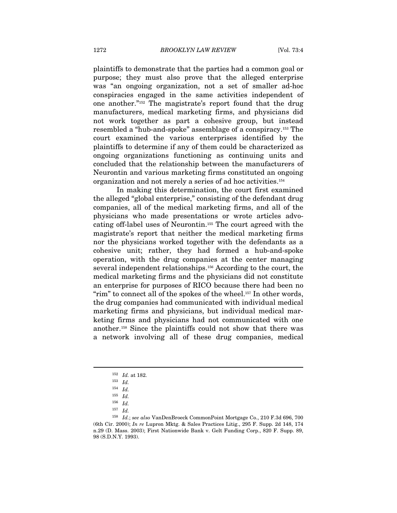plaintiffs to demonstrate that the parties had a common goal or purpose; they must also prove that the alleged enterprise was "an ongoing organization, not a set of smaller ad-hoc conspiracies engaged in the same activities independent of one another."152 The magistrate's report found that the drug manufacturers, medical marketing firms, and physicians did not work together as part a cohesive group, but instead resembled a "hub-and-spoke" assemblage of a conspiracy.153 The court examined the various enterprises identified by the plaintiffs to determine if any of them could be characterized as ongoing organizations functioning as continuing units and concluded that the relationship between the manufacturers of Neurontin and various marketing firms constituted an ongoing organization and not merely a series of ad hoc activities.154

In making this determination, the court first examined the alleged "global enterprise," consisting of the defendant drug companies, all of the medical marketing firms, and all of the physicians who made presentations or wrote articles advocating off-label uses of Neurontin.155 The court agreed with the magistrate's report that neither the medical marketing firms nor the physicians worked together with the defendants as a cohesive unit; rather, they had formed a hub-and-spoke operation, with the drug companies at the center managing several independent relationships.156 According to the court, the medical marketing firms and the physicians did not constitute an enterprise for purposes of RICO because there had been no "rim" to connect all of the spokes of the wheel.<sup>157</sup> In other words, the drug companies had communicated with individual medical marketing firms and physicians, but individual medical marketing firms and physicians had not communicated with one another.158 Since the plaintiffs could not show that there was a network involving all of these drug companies, medical

 $\begin{array}{ll} 152 & Id. \text{ at } 182. \\ 153 & Id. \end{array}$ 

<sup>154</sup> Id.

 $^{155}\,$   $Id.$ 

 $^{156}\;$   $Id.$ 

<sup>157</sup> Id. 158 Id.; see also VanDenBroeck CommonPoint Mortgage Co., 210 F.3d 696, 700 (6th Cir. 2000); In re Lupron Mktg. & Sales Practices Litig., 295 F. Supp. 2d 148, 174 n.29 (D. Mass. 2003); First Nationwide Bank v. Gelt Funding Corp., 820 F. Supp. 89, 98 (S.D.N.Y. 1993).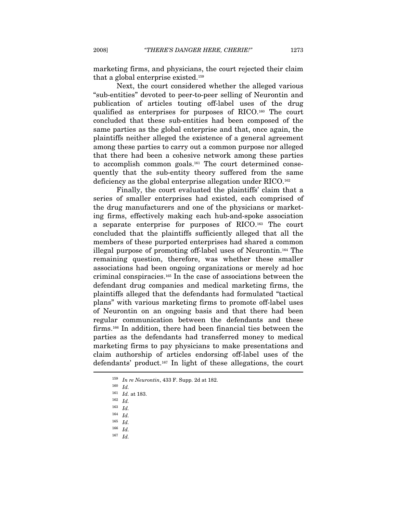marketing firms, and physicians, the court rejected their claim that a global enterprise existed.159

Next, the court considered whether the alleged various "sub-entities" devoted to peer-to-peer selling of Neurontin and publication of articles touting off-label uses of the drug qualified as enterprises for purposes of RICO.160 The court concluded that these sub-entities had been composed of the same parties as the global enterprise and that, once again, the plaintiffs neither alleged the existence of a general agreement among these parties to carry out a common purpose nor alleged that there had been a cohesive network among these parties to accomplish common goals.161 The court determined consequently that the sub-entity theory suffered from the same deficiency as the global enterprise allegation under RICO.162

Finally, the court evaluated the plaintiffs' claim that a series of smaller enterprises had existed, each comprised of the drug manufacturers and one of the physicians or marketing firms, effectively making each hub-and-spoke association a separate enterprise for purposes of RICO.163 The court concluded that the plaintiffs sufficiently alleged that all the members of these purported enterprises had shared a common illegal purpose of promoting off-label uses of Neurontin.164 The remaining question, therefore, was whether these smaller associations had been ongoing organizations or merely ad hoc criminal conspiracies.165 In the case of associations between the defendant drug companies and medical marketing firms, the plaintiffs alleged that the defendants had formulated "tactical plans" with various marketing firms to promote off-label uses of Neurontin on an ongoing basis and that there had been regular communication between the defendants and these firms.166 In addition, there had been financial ties between the parties as the defendants had transferred money to medical marketing firms to pay physicians to make presentations and claim authorship of articles endorsing off-label uses of the defendants' product.167 In light of these allegations, the court

 $^{167}\;$   $Id.$ 

<sup>&</sup>lt;sup>159</sup> In re Neurontin, 433 F. Supp. 2d at 182.<br><sup>160</sup> Id.

<sup>&</sup>lt;sup>161</sup> *Id.* at 183.<br><sup>162</sup> *Id.* 

<sup>163</sup> Id.

 $^{164}\;$   $Id.$ 

 $165$  *Id.* 

 $166$  *Id.*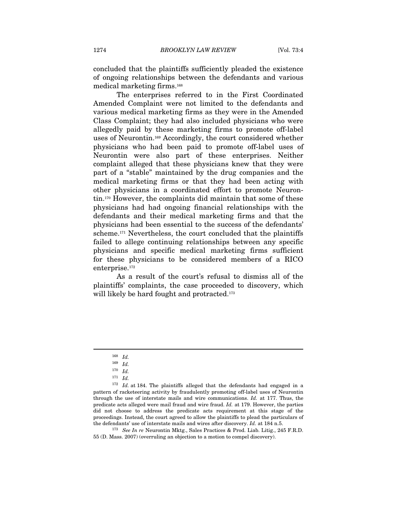concluded that the plaintiffs sufficiently pleaded the existence of ongoing relationships between the defendants and various medical marketing firms.168

The enterprises referred to in the First Coordinated Amended Complaint were not limited to the defendants and various medical marketing firms as they were in the Amended Class Complaint; they had also included physicians who were allegedly paid by these marketing firms to promote off-label uses of Neurontin.169 Accordingly, the court considered whether physicians who had been paid to promote off-label uses of Neurontin were also part of these enterprises. Neither complaint alleged that these physicians knew that they were part of a "stable" maintained by the drug companies and the medical marketing firms or that they had been acting with other physicians in a coordinated effort to promote Neurontin.170 However, the complaints did maintain that some of these physicians had had ongoing financial relationships with the defendants and their medical marketing firms and that the physicians had been essential to the success of the defendants' scheme.171 Nevertheless, the court concluded that the plaintiffs failed to allege continuing relationships between any specific physicians and specific medical marketing firms sufficient for these physicians to be considered members of a RICO enterprise.172

As a result of the court's refusal to dismiss all of the plaintiffs' complaints, the case proceeded to discovery, which will likely be hard fought and protracted.<sup>173</sup>

 $\overline{a}$ 

the defendants' use of interstate mails and wires after discovery. Id. at 184 n.5. <sup>173</sup> See In re Neurontin Mktg., Sales Practices & Prod. Liab. Litig., 245 F.R.D. 55 (D. Mass. 2007) (overruling an objection to a motion to compel discovery).

 $^{168}\;$   $Id.$ 

<sup>169</sup> Id.

 $170$  *Id.* 

 $171$  *Id.* 

 $172$  *Id.* at 184. The plaintiffs alleged that the defendants had engaged in a pattern of racketeering activity by fraudulently promoting off-label uses of Neurontin through the use of interstate mails and wire communications. Id. at 177. Thus, the predicate acts alleged were mail fraud and wire fraud. Id. at 179. However, the parties did not choose to address the predicate acts requirement at this stage of the proceedings. Instead, the court agreed to allow the plaintiffs to plead the particulars of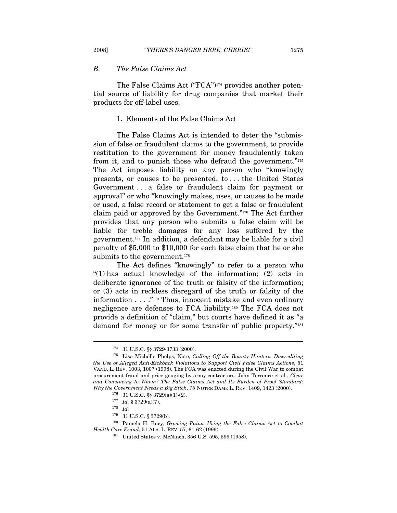#### B. The False Claims Act

The False Claims Act ("FCA")<sup>174</sup> provides another potential source of liability for drug companies that market their products for off-label uses.

#### 1. Elements of the False Claims Act

The False Claims Act is intended to deter the "submission of false or fraudulent claims to the government, to provide restitution to the government for money fraudulently taken from it, and to punish those who defraud the government."<sup>175</sup> The Act imposes liability on any person who "knowingly presents, or causes to be presented, to . . . the United States Government . . . a false or fraudulent claim for payment or approval" or who "knowingly makes, uses, or causes to be made or used, a false record or statement to get a false or fraudulent claim paid or approved by the Government."176 The Act further provides that any person who submits a false claim will be liable for treble damages for any loss suffered by the government.177 In addition, a defendant may be liable for a civil penalty of \$5,000 to \$10,000 for each false claim that he or she submits to the government.<sup>178</sup>

The Act defines "knowingly" to refer to a person who "(1) has actual knowledge of the information; (2) acts in deliberate ignorance of the truth or falsity of the information; or (3) acts in reckless disregard of the truth or falsity of the information . . . ."179 Thus, innocent mistake and even ordinary negligence are defenses to FCA liability.180 The FCA does not provide a definition of "claim," but courts have defined it as "a demand for money or for some transfer of public property."181

<sup>174 31</sup> U.S.C. §§ 3729-3733 (2000).

 $175$  Lisa Michelle Phelps, Note, Calling Off the Bounty Hunters: Discrediting the Use of Alleged Anti-Kickback Violations to Support Civil False Claims Actions, 51 VAND. L. REV. 1003, 1007 (1998). The FCA was enacted during the Civil War to combat procurement fraud and price gouging by army contractors. John Terrence et al., Clear and Convincing to Whom? The False Claims Act and Its Burden of Proof Standard: Why the Government Needs a Big Stick, 75 NOTRE DAME L. REV. 1409, 1423 (2000).<br>  $^{176}$  31 U.S.C. §§ 3729(a)(1)-(2).<br>  $^{177}$  Id. § 3729(a)(7).<br>  $^{178}$  Id.<br>  $^{179}$  31 U.S.C. § 3729(b).

 $180$  Pamela H. Bucy, Growing Pains: Using the False Claims Act to Combat Health Care Fraud, 51 ALA. L. REV. 57, 61-62 (1999). 181 United States v. McNinch, 356 U.S. 595, 599 (1958).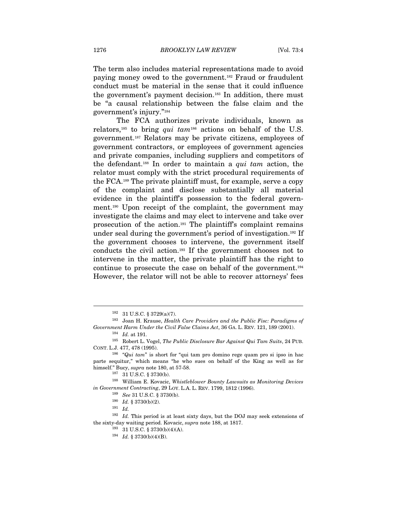The term also includes material representations made to avoid paying money owed to the government.182 Fraud or fraudulent conduct must be material in the sense that it could influence the government's payment decision.183 In addition, there must be "a causal relationship between the false claim and the government's injury."184

The FCA authorizes private individuals, known as relators,<sup>185</sup> to bring *qui tam*<sup>186</sup> actions on behalf of the U.S. government.187 Relators may be private citizens, employees of government contractors, or employees of government agencies and private companies, including suppliers and competitors of the defendant.<sup>188</sup> In order to maintain a *qui tam* action, the relator must comply with the strict procedural requirements of the FCA.189 The private plaintiff must, for example, serve a copy of the complaint and disclose substantially all material evidence in the plaintiff's possession to the federal government.190 Upon receipt of the complaint, the government may investigate the claims and may elect to intervene and take over prosecution of the action.191 The plaintiff's complaint remains under seal during the government's period of investigation.192 If the government chooses to intervene, the government itself conducts the civil action.193 If the government chooses not to intervene in the matter, the private plaintiff has the right to continue to prosecute the case on behalf of the government.194 However, the relator will not be able to recover attorneys' fees

<sup>&</sup>lt;sup>182</sup> 31 U.S.C. § 3729(a)(7).<br><sup>183</sup> Joan H. Krause, *Health Care Providers and the Public Fisc: Paradigms of* 

Government Harm Under the Civil False Claims Act, 36 GA. L. REV. 121, 189 (2001).<br><sup>184</sup> Id. at 191. 185 Robert L. Vogel, *The Public Disclosure Bar Against Qui Tam Suits*, 24 PUB. CONT. L.J. 477, 478 (1995).

 $186$  "Qui tam" is short for "qui tam pro domino rege quam pro si ipso in hac parte sequitur," which means "he who sues on behalf of the King as well as for himself." Bucy, *supra* note 180, at 57-58.<br><sup>187</sup> 31 U.S.C. § 3730(b).

<sup>188</sup> William E. Kovacic, Whistleblower Bounty Lawsuits as Monitoring Devices in Government Contracting, 29 LOY. L.A. L. REV. 1799, 1812 (1996).<br><sup>189</sup> See 31 U.S.C. § 3730(b).<br><sup>190</sup> Id. § 3730(b)(2).<br><sup>191</sup> Id.

 $^{192}\,$   $\,$  Id. This period is at least sixty days, but the DOJ may seek extensions of the sixty-day waiting period. Kovacic, *supra* note 188, at 1817.<br><sup>193</sup> 31 U.S.C. § 3730(b)(4)(A).<br><sup>194</sup> Id. § 3730(b)(4)(B).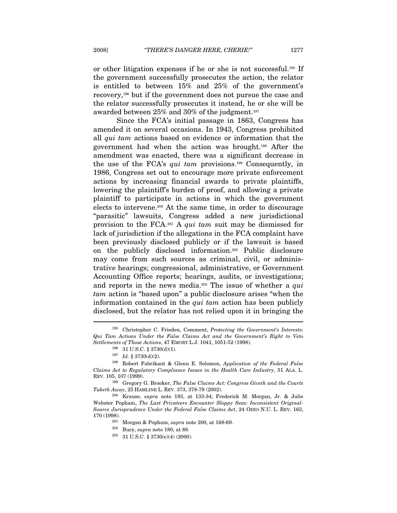or other litigation expenses if he or she is not successful.195 If the government successfully prosecutes the action, the relator is entitled to between 15% and 25% of the government's recovery,196 but if the government does not pursue the case and the relator successfully prosecutes it instead, he or she will be awarded between 25% and 30% of the judgment.197

Since the FCA's initial passage in 1863, Congress has amended it on several occasions. In 1943, Congress prohibited all *qui tam* actions based on evidence or information that the government had when the action was brought.198 After the amendment was enacted, there was a significant decrease in the use of the FCA's qui tam provisions.199 Consequently, in 1986, Congress set out to encourage more private enforcement actions by increasing financial awards to private plaintiffs, lowering the plaintiff's burden of proof, and allowing a private plaintiff to participate in actions in which the government elects to intervene.200 At the same time, in order to discourage "parasitic" lawsuits, Congress added a new jurisdictional provision to the FCA.201 A qui tam suit may be dismissed for lack of jurisdiction if the allegations in the FCA complaint have been previously disclosed publicly or if the lawsuit is based on the publicly disclosed information.202 Public disclosure may come from such sources as criminal, civil, or administrative hearings; congressional, administrative, or Government Accounting Office reports; hearings, audits, or investigations; and reports in the news media.<sup>203</sup> The issue of whether a qui tam action is "based upon" a public disclosure arises "when the information contained in the qui tam action has been publicly disclosed, but the relator has not relied upon it in bringing the  $\overline{a}$ 

<sup>&</sup>lt;sup>195</sup> Christopher C. Frieden, Comment, Protecting the Government's Interests: Qui Tam Actions Under the False Claims Act and the Government's Right to Veto Settlements of Those Actions, 47 EMORY L.J. 1041, 1051-52 (1998).<br><sup>196</sup> 31 U.S.C. § 3730(d)(1).<br><sup>197</sup> Id. § 3730(d)(2).

 $198$  Robert Fabrikant & Glenn E. Solomon, Application of the Federal False Claims Act to Regulatory Compliance Issues in the Health Care Industry, 51 ALA. L. REV. 105, 107 (1999).<br><sup>199</sup> Gregory G. Brooker, *The False Claims Act: Congress Giveth and the Courts* 

Taketh Away, 25 HAMLINE L. REV. 373, 378-79 (2002). 200 Krause, supra note 183, at 133-34; Frederick M. Morgan, Jr. & Julie

Webster Popham, The Last Privateers Encounter Sloppy Seas: Inconsistent Original-Source Jurisprudence Under the Federal False Claims Act, 24 OHIO N.U. L. REV. 163, 170 (1998).<br><sup>201</sup> Morgan & Popham, *supra* note 200, at 168-69.<br><sup>202</sup> Bucy, *supra* note 180, at 88.<br><sup>203</sup> 31 U.S.C. § 3730(e)(4) (2000).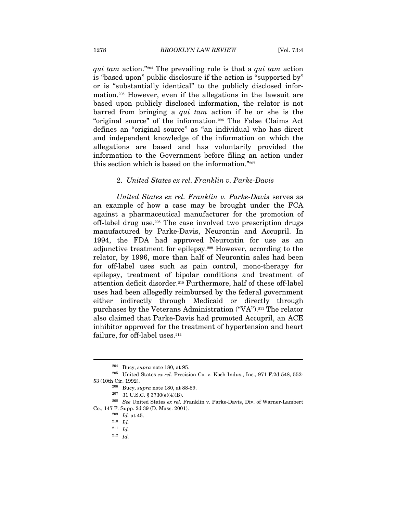qui tam action."<sup>204</sup> The prevailing rule is that a *qui tam* action is "based upon" public disclosure if the action is "supported by" or is "substantially identical" to the publicly disclosed information.205 However, even if the allegations in the lawsuit are based upon publicly disclosed information, the relator is not barred from bringing a qui tam action if he or she is the "original source" of the information.206 The False Claims Act defines an "original source" as "an individual who has direct and independent knowledge of the information on which the allegations are based and has voluntarily provided the information to the Government before filing an action under this section which is based on the information."207

#### 2. United States ex rel. Franklin v. Parke-Davis

United States ex rel. Franklin v. Parke-Davis serves as an example of how a case may be brought under the FCA against a pharmaceutical manufacturer for the promotion of off-label drug use.208 The case involved two prescription drugs manufactured by Parke-Davis, Neurontin and Accupril. In 1994, the FDA had approved Neurontin for use as an adjunctive treatment for epilepsy.209 However, according to the relator, by 1996, more than half of Neurontin sales had been for off-label uses such as pain control, mono-therapy for epilepsy, treatment of bipolar conditions and treatment of attention deficit disorder.210 Furthermore, half of these off-label uses had been allegedly reimbursed by the federal government either indirectly through Medicaid or directly through purchases by the Veterans Administration ("VA").211 The relator also claimed that Parke-Davis had promoted Accupril, an ACE inhibitor approved for the treatment of hypertension and heart failure, for off-label uses.<sup>212</sup>

<sup>&</sup>lt;sup>204</sup> Bucy, *supra* note 180, at 95.<br><sup>205</sup> United States *ex rel.* Precision Co. v. Koch Indus., Inc., 971 F.2d 548, 552-53 (10th Cir. 1992).<br><sup>206</sup> Bucy, *supra* note 180, at 88-89.<br><sup>207</sup> 31 U.S.C. § 3730(e)(4)(B).<br><sup>208</sup> *See* United States *ex rel.* Franklin v. Parke-Davis, Div. of Warner-Lambert

Co., 147 F. Supp. 2d 39 (D. Mass. 2001).  $\frac{209}{Id}$ . at 45.

 $^{210}\;$   $Id.$ 

 $^{211}\;$   $Id.$ 

<sup>212</sup> Id.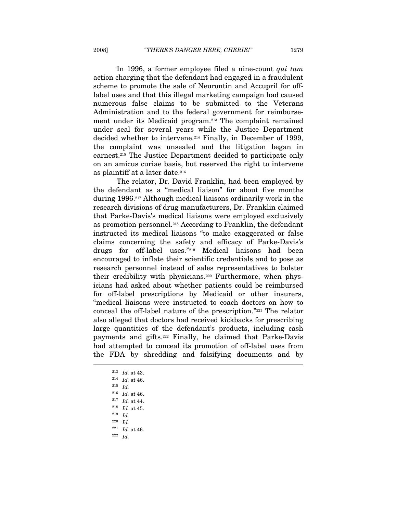In 1996, a former employee filed a nine-count qui tam action charging that the defendant had engaged in a fraudulent scheme to promote the sale of Neurontin and Accupril for offlabel uses and that this illegal marketing campaign had caused numerous false claims to be submitted to the Veterans Administration and to the federal government for reimbursement under its Medicaid program.<sup>213</sup> The complaint remained under seal for several years while the Justice Department decided whether to intervene.<sup>214</sup> Finally, in December of 1999, the complaint was unsealed and the litigation began in earnest.215 The Justice Department decided to participate only on an amicus curiae basis, but reserved the right to intervene as plaintiff at a later date.<sup>216</sup>

The relator, Dr. David Franklin, had been employed by the defendant as a "medical liaison" for about five months during 1996.217 Although medical liaisons ordinarily work in the research divisions of drug manufacturers, Dr. Franklin claimed that Parke-Davis's medical liaisons were employed exclusively as promotion personnel.<sup>218</sup> According to Franklin, the defendant instructed its medical liaisons "to make exaggerated or false claims concerning the safety and efficacy of Parke-Davis's drugs for off-label uses."219 Medical liaisons had been encouraged to inflate their scientific credentials and to pose as research personnel instead of sales representatives to bolster their credibility with physicians.<sup>220</sup> Furthermore, when physicians had asked about whether patients could be reimbursed for off-label prescriptions by Medicaid or other insurers, "medical liaisons were instructed to coach doctors on how to conceal the off-label nature of the prescription."221 The relator also alleged that doctors had received kickbacks for prescribing large quantities of the defendant's products, including cash payments and gifts.222 Finally, he claimed that Parke-Davis had attempted to conceal its promotion of off-label uses from the FDA by shredding and falsifying documents and by

- <sup>213</sup> *Id.* at 43.<br><sup>214</sup> *Id.* at 46.<br><sup>215</sup> *Id.* <br><sup>216</sup> *Id.* at 46.
- 
- 

- 
- 
- <sup>217</sup> *Id.* at 44.<br><sup>218</sup> *Id.* at 45.<br><sup>219</sup> *Id.*
- 
- $^{220}\,$   $Id.$
- $\frac{221}{222}$  *Id.* at 46.
-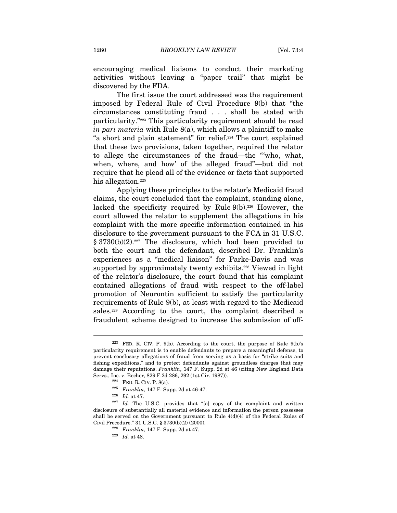encouraging medical liaisons to conduct their marketing activities without leaving a "paper trail" that might be discovered by the FDA.

The first issue the court addressed was the requirement imposed by Federal Rule of Civil Procedure 9(b) that "the circumstances constituting fraud . . . shall be stated with particularity."223 This particularity requirement should be read in pari materia with Rule 8(a), which allows a plaintiff to make "a short and plain statement" for relief.224 The court explained that these two provisions, taken together, required the relator to allege the circumstances of the fraud—the "'who, what, when, where, and how' of the alleged fraud"—but did not require that he plead all of the evidence or facts that supported his allegation.<sup>225</sup>

Applying these principles to the relator's Medicaid fraud claims, the court concluded that the complaint, standing alone, lacked the specificity required by Rule  $9(b)$ .<sup>226</sup> However, the court allowed the relator to supplement the allegations in his complaint with the more specific information contained in his disclosure to the government pursuant to the FCA in 31 U.S.C. § 3730(b)(2).<sup>227</sup> The disclosure, which had been provided to both the court and the defendant, described Dr. Franklin's experiences as a "medical liaison" for Parke-Davis and was supported by approximately twenty exhibits.<sup>228</sup> Viewed in light of the relator's disclosure, the court found that his complaint contained allegations of fraud with respect to the off-label promotion of Neurontin sufficient to satisfy the particularity requirements of Rule 9(b), at least with regard to the Medicaid sales.<sup>229</sup> According to the court, the complaint described a fraudulent scheme designed to increase the submission of off-

 $223$  FED. R. CIV. P. 9(b). According to the court, the purpose of Rule 9(b)'s particularity requirement is to enable defendants to prepare a meaningful defense, to prevent conclusory allegations of fraud from serving as a basis for "strike suits and fishing expeditions," and to protect defendants against groundless charges that may damage their reputations. Franklin, 147 F. Supp. 2d at 46 (citing New England Data Servs., Inc. v. Becher, 829 F.2d 286, 292 (1st Cir. 1987)).<br>
<sup>224</sup> FED. R. CIV. P. 8(a).<br>
<sup>225</sup> *Franklin*, 147 F. Supp. 2d at 46-47.<br>
<sup>226</sup> *Id.* at 47.<br>
<sup>227</sup> *Id.* The U.S.C. provides that "[a] copy of the complaint an

disclosure of substantially all material evidence and information the person possesses shall be served on the Government pursuant to Rule  $4(d)(4)$  of the Federal Rules of Civil Procedure." 31 U.S.C. § 3730(b)(2) (2000).<br><sup>228</sup> Franklin, 147 F. Supp. 2d at 47.<br><sup>229</sup> Id. at 48.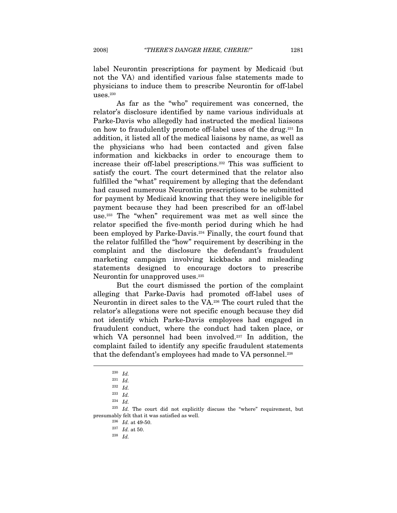label Neurontin prescriptions for payment by Medicaid (but not the VA) and identified various false statements made to physicians to induce them to prescribe Neurontin for off-label uses.230

As far as the "who" requirement was concerned, the relator's disclosure identified by name various individuals at Parke-Davis who allegedly had instructed the medical liaisons on how to fraudulently promote off-label uses of the drug.231 In addition, it listed all of the medical liaisons by name, as well as the physicians who had been contacted and given false information and kickbacks in order to encourage them to increase their off-label prescriptions.232 This was sufficient to satisfy the court. The court determined that the relator also fulfilled the "what" requirement by alleging that the defendant had caused numerous Neurontin prescriptions to be submitted for payment by Medicaid knowing that they were ineligible for payment because they had been prescribed for an off-label use.233 The "when" requirement was met as well since the relator specified the five-month period during which he had been employed by Parke-Davis.234 Finally, the court found that the relator fulfilled the "how" requirement by describing in the complaint and the disclosure the defendant's fraudulent marketing campaign involving kickbacks and misleading statements designed to encourage doctors to prescribe Neurontin for unapproved uses.235

But the court dismissed the portion of the complaint alleging that Parke-Davis had promoted off-label uses of Neurontin in direct sales to the VA.236 The court ruled that the relator's allegations were not specific enough because they did not identify which Parke-Davis employees had engaged in fraudulent conduct, where the conduct had taken place, or which VA personnel had been involved.<sup>237</sup> In addition, the complaint failed to identify any specific fraudulent statements that the defendant's employees had made to VA personnel.<sup>238</sup>  $\overline{a}$ 

 $230$  *Id.* 

<sup>231</sup> Id.

<sup>232</sup> Id.

<sup>233</sup> Id.

<sup>234</sup> Id.

<sup>&</sup>lt;sup>235</sup> Id. The court did not explicitly discuss the "where" requirement, but presumably felt that it was satisfied as well.<br>
<sup>236</sup> Id. at 49-50.<br>
<sup>237</sup> Id. at 50.<br>
<sup>238</sup> Id.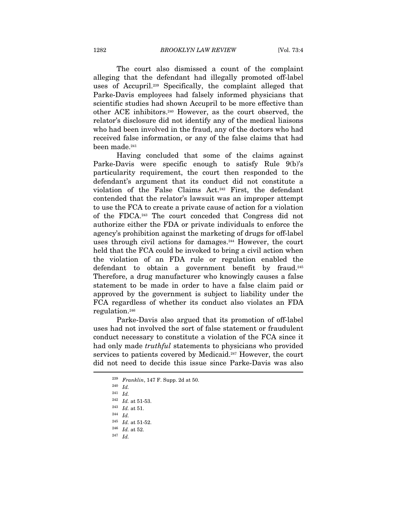The court also dismissed a count of the complaint alleging that the defendant had illegally promoted off-label uses of Accupril.239 Specifically, the complaint alleged that Parke-Davis employees had falsely informed physicians that scientific studies had shown Accupril to be more effective than other ACE inhibitors.240 However, as the court observed, the relator's disclosure did not identify any of the medical liaisons who had been involved in the fraud, any of the doctors who had received false information, or any of the false claims that had been made.<sup>241</sup>

Having concluded that some of the claims against Parke-Davis were specific enough to satisfy Rule 9(b)'s particularity requirement, the court then responded to the defendant's argument that its conduct did not constitute a violation of the False Claims Act.242 First, the defendant contended that the relator's lawsuit was an improper attempt to use the FCA to create a private cause of action for a violation of the FDCA.243 The court conceded that Congress did not authorize either the FDA or private individuals to enforce the agency's prohibition against the marketing of drugs for off-label uses through civil actions for damages.244 However, the court held that the FCA could be invoked to bring a civil action when the violation of an FDA rule or regulation enabled the defendant to obtain a government benefit by fraud.245 Therefore, a drug manufacturer who knowingly causes a false statement to be made in order to have a false claim paid or approved by the government is subject to liability under the FCA regardless of whether its conduct also violates an FDA regulation.246

Parke-Davis also argued that its promotion of off-label uses had not involved the sort of false statement or fraudulent conduct necessary to constitute a violation of the FCA since it had only made *truthful* statements to physicians who provided services to patients covered by Medicaid.<sup>247</sup> However, the court did not need to decide this issue since Parke-Davis was also

<sup>&</sup>lt;sup>239</sup> *Franklin*, 147 F. Supp. 2d at 50.<br><sup>240</sup> *Id.* 

 $\begin{array}{cc} 241 & Id. \\ 242 & Id. \end{array}$  at 51-53.

<sup>&</sup>lt;sup>243</sup> *Id.* at 51.<br><sup>244</sup> *Id.* 

<sup>&</sup>lt;sup>245</sup> *Id.* at 51-52.<br><sup>246</sup> *Id.* at 52.<br><sup>247</sup> *Id.*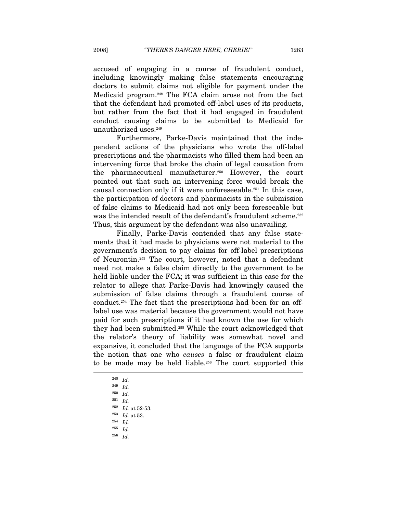accused of engaging in a course of fraudulent conduct, including knowingly making false statements encouraging doctors to submit claims not eligible for payment under the Medicaid program.248 The FCA claim arose not from the fact that the defendant had promoted off-label uses of its products, but rather from the fact that it had engaged in fraudulent conduct causing claims to be submitted to Medicaid for unauthorized uses.<sup>249</sup>

Furthermore, Parke-Davis maintained that the independent actions of the physicians who wrote the off-label prescriptions and the pharmacists who filled them had been an intervening force that broke the chain of legal causation from the pharmaceutical manufacturer.250 However, the court pointed out that such an intervening force would break the causal connection only if it were unforeseeable.251 In this case, the participation of doctors and pharmacists in the submission of false claims to Medicaid had not only been foreseeable but was the intended result of the defendant's fraudulent scheme.<sup>252</sup> Thus, this argument by the defendant was also unavailing.

Finally, Parke-Davis contended that any false statements that it had made to physicians were not material to the government's decision to pay claims for off-label prescriptions of Neurontin.253 The court, however, noted that a defendant need not make a false claim directly to the government to be held liable under the FCA; it was sufficient in this case for the relator to allege that Parke-Davis had knowingly caused the submission of false claims through a fraudulent course of conduct.254 The fact that the prescriptions had been for an offlabel use was material because the government would not have paid for such prescriptions if it had known the use for which they had been submitted.255 While the court acknowledged that the relator's theory of liability was somewhat novel and expansive, it concluded that the language of the FCA supports the notion that one who causes a false or fraudulent claim to be made may be held liable.256 The court supported this

- <sup>248</sup> Id.
- <sup>249</sup> Id.
- <sup>250</sup> Id.
- <sup>251</sup> Id.
- $\frac{252}{253}$  *Id.* at 52-53.<br> $\frac{253}{1}$  *Id.* at 53.
- 
- $^{254}\,$   $Id.$
- <sup>255</sup> Id.
- $^{256}\;$   $Id.$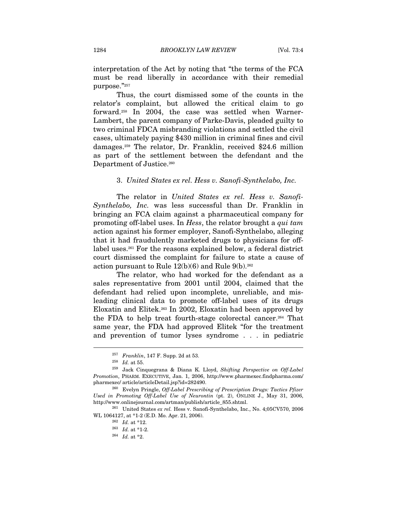interpretation of the Act by noting that "the terms of the FCA must be read liberally in accordance with their remedial purpose."257

Thus, the court dismissed some of the counts in the relator's complaint, but allowed the critical claim to go forward.258 In 2004, the case was settled when Warner-Lambert, the parent company of Parke-Davis, pleaded guilty to two criminal FDCA misbranding violations and settled the civil cases, ultimately paying \$430 million in criminal fines and civil damages.259 The relator, Dr. Franklin, received \$24.6 million as part of the settlement between the defendant and the Department of Justice.<sup>260</sup>

#### 3. United States ex rel. Hess v. Sanofi-Synthelabo, Inc.

The relator in United States ex rel. Hess v. Sanofi-Synthelabo, Inc. was less successful than Dr. Franklin in bringing an FCA claim against a pharmaceutical company for promoting off-label uses. In Hess, the relator brought a qui tam action against his former employer, Sanofi-Synthelabo, alleging that it had fraudulently marketed drugs to physicians for offlabel uses.<sup>261</sup> For the reasons explained below, a federal district court dismissed the complaint for failure to state a cause of action pursuant to Rule  $12(b)(6)$  and Rule  $9(b).^{262}$ 

The relator, who had worked for the defendant as a sales representative from 2001 until 2004, claimed that the defendant had relied upon incomplete, unreliable, and misleading clinical data to promote off-label uses of its drugs Eloxatin and Elitek.263 In 2002, Eloxatin had been approved by the FDA to help treat fourth-stage colorectal cancer.264 That same year, the FDA had approved Elitek "for the treatment and prevention of tumor lyses syndrome . . . in pediatric

<sup>&</sup>lt;sup>257</sup> Franklin, 147 F. Supp. 2d at 53.<br><sup>258</sup> Id. at 55.

<sup>&</sup>lt;sup>259</sup> Jack Cinquegrana & Diana K. Lloyd, Shifting Perspective on Off-Label Promotion, PHARM. EXECUTIVE, Jan. 1, 2006, http://www.pharmexec.findpharma.com/ pharmexec/ article/articleDetail.jsp?id=282490.<br><sup>260</sup> Evelyn Pringle, Off-Label Prescribing of Prescription Drugs: Tactics Pfizer

Used in Promoting Off-Label Use of Neurontin (pt. 2), ONLINE J., May 31, 2006, http://www.onlinejournal.com/artman/publish/article\_855.shtml.<br><sup>261</sup> United States ex rel. Hess v. Sanofi-Synthelabo, Inc., No. 4;05CV570, 2006

WL 1064127, at \*1-2 (E.D. Mo. Apr. 21, 2006).<br><sup>262</sup> Id. at \*12.<br><sup>263</sup> Id. at \*1-2.<br><sup>264</sup> Id. at \*2.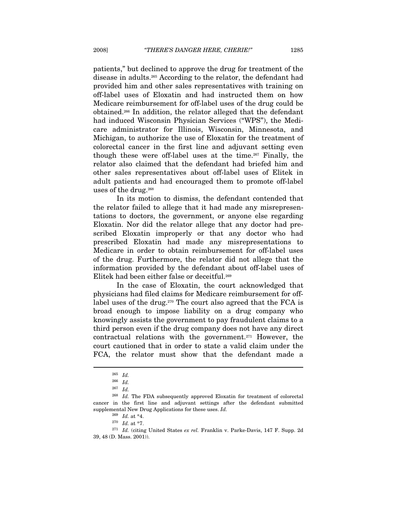patients," but declined to approve the drug for treatment of the disease in adults.265 According to the relator, the defendant had provided him and other sales representatives with training on off-label uses of Eloxatin and had instructed them on how Medicare reimbursement for off-label uses of the drug could be obtained.266 In addition, the relator alleged that the defendant had induced Wisconsin Physician Services ("WPS"), the Medicare administrator for Illinois, Wisconsin, Minnesota, and Michigan, to authorize the use of Eloxatin for the treatment of colorectal cancer in the first line and adjuvant setting even though these were off-label uses at the time.267 Finally, the relator also claimed that the defendant had briefed him and other sales representatives about off-label uses of Elitek in adult patients and had encouraged them to promote off-label uses of the drug.268

In its motion to dismiss, the defendant contended that the relator failed to allege that it had made any misrepresentations to doctors, the government, or anyone else regarding Eloxatin. Nor did the relator allege that any doctor had prescribed Eloxatin improperly or that any doctor who had prescribed Eloxatin had made any misrepresentations to Medicare in order to obtain reimbursement for off-label uses of the drug. Furthermore, the relator did not allege that the information provided by the defendant about off-label uses of Elitek had been either false or deceitful.<sup>269</sup>

In the case of Eloxatin, the court acknowledged that physicians had filed claims for Medicare reimbursement for offlabel uses of the drug.<sup>270</sup> The court also agreed that the FCA is broad enough to impose liability on a drug company who knowingly assists the government to pay fraudulent claims to a third person even if the drug company does not have any direct contractual relations with the government.271 However, the court cautioned that in order to state a valid claim under the FCA, the relator must show that the defendant made a

 $\begin{array}{cc} 265 & Id. \\ 266 & Id. \end{array}$ 

 $^{267}$   $\,$   $Id.$  The FDA subsequently approved Eloxatin for treatment of colorectal cancer in the first line and adjuvant settings after the defendant submitted

supplemental New Drug Applications for these uses. Id.<br><sup>269</sup> Id. at \*4. <sup>270</sup> Id. at \*7. <sup>271</sup> Id. (citing United States *ex rel.* Franklin v. Parke-Davis, 147 F. Supp. 2d 39, 48 (D. Mass. 2001)).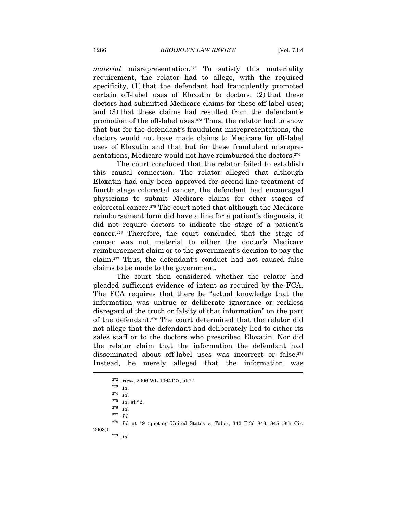material misrepresentation.<sup>272</sup> To satisfy this materiality requirement, the relator had to allege, with the required specificity, (1) that the defendant had fraudulently promoted certain off-label uses of Eloxatin to doctors; (2) that these doctors had submitted Medicare claims for these off-label uses; and (3) that these claims had resulted from the defendant's promotion of the off-label uses.273 Thus, the relator had to show that but for the defendant's fraudulent misrepresentations, the doctors would not have made claims to Medicare for off-label uses of Eloxatin and that but for these fraudulent misrepresentations, Medicare would not have reimbursed the doctors.<sup>274</sup>

The court concluded that the relator failed to establish this causal connection. The relator alleged that although Eloxatin had only been approved for second-line treatment of fourth stage colorectal cancer, the defendant had encouraged physicians to submit Medicare claims for other stages of colorectal cancer.275 The court noted that although the Medicare reimbursement form did have a line for a patient's diagnosis, it did not require doctors to indicate the stage of a patient's cancer.276 Therefore, the court concluded that the stage of cancer was not material to either the doctor's Medicare reimbursement claim or to the government's decision to pay the claim.277 Thus, the defendant's conduct had not caused false claims to be made to the government.

The court then considered whether the relator had pleaded sufficient evidence of intent as required by the FCA. The FCA requires that there be "actual knowledge that the information was untrue or deliberate ignorance or reckless disregard of the truth or falsity of that information" on the part of the defendant.278 The court determined that the relator did not allege that the defendant had deliberately lied to either its sales staff or to the doctors who prescribed Eloxatin. Nor did the relator claim that the information the defendant had disseminated about off-label uses was incorrect or false.279 Instead, he merely alleged that the information was  $\overline{a}$ 

 $^{272}$   $\,$   $Hess,$  2006 WL 1064127, at \*7.  $^{273}$   $\,$   $Id$ 

 $^{274}\,$   $Id.$ 

 $\frac{275}{276}$  *Id.* at \*2.

 $^{277}\;$   $Id.$ 

 $^{278}$  Id. at \*9 (quoting United States v. Taber, 342 F.3d 843, 845 (8th Cir. 2003)).  $_{\rm 279}$   $_{\rm 1d.}$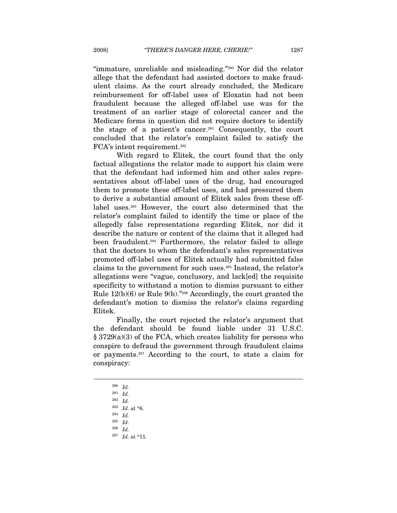"immature, unreliable and misleading."280 Nor did the relator allege that the defendant had assisted doctors to make fraudulent claims. As the court already concluded, the Medicare reimbursement for off-label uses of Eloxatin had not been fraudulent because the alleged off-label use was for the treatment of an earlier stage of colorectal cancer and the Medicare forms in question did not require doctors to identify the stage of a patient's cancer.281 Consequently, the court concluded that the relator's complaint failed to satisfy the FCA's intent requirement.<sup>282</sup>

With regard to Elitek, the court found that the only factual allegations the relator made to support his claim were that the defendant had informed him and other sales representatives about off-label uses of the drug, had encouraged them to promote these off-label uses, and had pressured them to derive a substantial amount of Elitek sales from these offlabel uses.283 However, the court also determined that the relator's complaint failed to identify the time or place of the allegedly false representations regarding Elitek, nor did it describe the nature or content of the claims that it alleged had been fraudulent.284 Furthermore, the relator failed to allege that the doctors to whom the defendant's sales representatives promoted off-label uses of Elitek actually had submitted false claims to the government for such uses.285 Instead, the relator's allegations were "vague, conclusory, and lack[ed] the requisite specificity to withstand a motion to dismiss pursuant to either Rule 12(b)(6) or Rule 9(b)."286 Accordingly, the court granted the defendant's motion to dismiss the relator's claims regarding Elitek.

Finally, the court rejected the relator's argument that the defendant should be found liable under 31 U.S.C. § 3729(a)(3) of the FCA, which creates liability for persons who conspire to defraud the government through fraudulent claims or payments.287 According to the court, to state a claim for conspiracy:

<sup>280</sup> Id.

 $281$  *Id.* 

<sup>282</sup> Id.

<sup>&</sup>lt;sup>283</sup> *Id.* at \*6.<br><sup>284</sup> *Id.* 

 $^{285}\,$   $Id.$ <sup>286</sup> Id.

 $287$  *Id.* at \*11.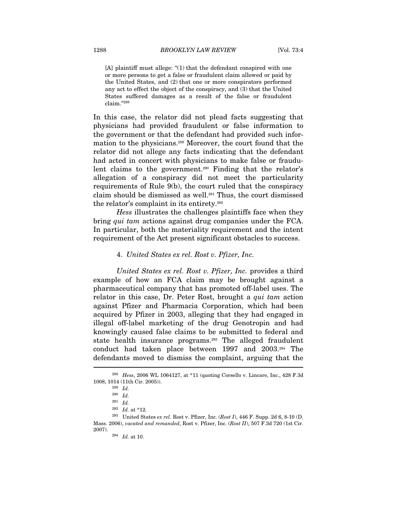[A] plaintiff must allege: "(1) that the defendant conspired with one or more persons to get a false or fraudulent claim allowed or paid by the United States, and (2) that one or more conspirators performed any act to effect the object of the conspiracy, and (3) that the United States suffered damages as a result of the false or fraudulent claim."288

In this case, the relator did not plead facts suggesting that physicians had provided fraudulent or false information to the government or that the defendant had provided such information to the physicians.289 Moreover, the court found that the relator did not allege any facts indicating that the defendant had acted in concert with physicians to make false or fraudulent claims to the government.<sup>290</sup> Finding that the relator's allegation of a conspiracy did not meet the particularity requirements of Rule 9(b), the court ruled that the conspiracy claim should be dismissed as well.291 Thus, the court dismissed the relator's complaint in its entirety.292

Hess illustrates the challenges plaintiffs face when they bring *qui tam* actions against drug companies under the FCA. In particular, both the materiality requirement and the intent requirement of the Act present significant obstacles to success.

#### 4. United States ex rel. Rost v. Pfizer, Inc.

United States ex rel. Rost v. Pfizer, Inc. provides a third example of how an FCA claim may be brought against a pharmaceutical company that has promoted off-label uses. The relator in this case, Dr. Peter Rost, brought a *qui tam* action against Pfizer and Pharmacia Corporation, which had been acquired by Pfizer in 2003, alleging that they had engaged in illegal off-label marketing of the drug Genotropin and had knowingly caused false claims to be submitted to federal and state health insurance programs.293 The alleged fraudulent conduct had taken place between 1997 and 2003.294 The defendants moved to dismiss the complaint, arguing that the  $\overline{a}$ 

<sup>&</sup>lt;sup>288</sup> Hess, 2006 WL 1064127, at  $*11$  (quoting Corsello v. Lincare, Inc., 428 F.3d) 1008, 1014 (11th Cir. 2005)).  $10^{289} \;\; Id.$ 

<sup>290</sup> Id.

 $\begin{array}{ll} \text{291} & Id. \\ \text{292} & Id. \text{ at *12.} \end{array}$ 

 $^{293}\;$  United States  $ex$   $rel.$  Rost v. Pfizer, Inc.  $(Rost\;I),$  446 F. Supp. 2d 6, 8-10 (D. Mass. 2006), vacated and remanded, Rost v. Pfizer, Inc. (Rost II), 507 F.3d 720 (1st Cir. 2007).  $^{294}\;$   $Id.\;$  at 10.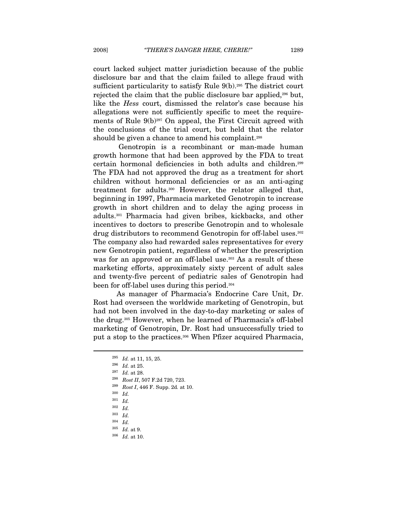court lacked subject matter jurisdiction because of the public disclosure bar and that the claim failed to allege fraud with sufficient particularity to satisfy Rule 9(b).295 The district court rejected the claim that the public disclosure bar applied,296 but, like the Hess court, dismissed the relator's case because his allegations were not sufficiently specific to meet the requirements of Rule  $9(b)^{297}$  On appeal, the First Circuit agreed with the conclusions of the trial court, but held that the relator should be given a chance to amend his complaint.<sup>298</sup>

 Genotropin is a recombinant or man-made human growth hormone that had been approved by the FDA to treat certain hormonal deficiencies in both adults and children.299 The FDA had not approved the drug as a treatment for short children without hormonal deficiencies or as an anti-aging treatment for adults.300 However, the relator alleged that, beginning in 1997, Pharmacia marketed Genotropin to increase growth in short children and to delay the aging process in adults.301 Pharmacia had given bribes, kickbacks, and other incentives to doctors to prescribe Genotropin and to wholesale drug distributors to recommend Genotropin for off-label uses.302 The company also had rewarded sales representatives for every new Genotropin patient, regardless of whether the prescription was for an approved or an off-label use.<sup>303</sup> As a result of these marketing efforts, approximately sixty percent of adult sales and twenty-five percent of pediatric sales of Genotropin had been for off-label uses during this period.304

As manager of Pharmacia's Endocrine Care Unit, Dr. Rost had overseen the worldwide marketing of Genotropin, but had not been involved in the day-to-day marketing or sales of the drug.305 However, when he learned of Pharmacia's off-label marketing of Genotropin, Dr. Rost had unsuccessfully tried to put a stop to the practices.306 When Pfizer acquired Pharmacia,

- <sup>297</sup> Id. at 28.<br><sup>298</sup> Rost II, 507 F.2d 720, 723.<br><sup>299</sup> Rost I, 446 F. Supp. 2d. at 10.<br><sup>300</sup> Id.
- 
- $\begin{array}{cc} 301 & Id. \\ 302 & Id. \end{array}$

- 
- <sup>303</sup> Id.
- <sup>304</sup> Id.
- $\frac{305}{306}$  *Id.* at 9.<br> $\frac{306}{1}$  *Id.* at 10.
- 

<sup>&</sup>lt;sup>295</sup> *Id.* at 11, 15, 25.<br><sup>296</sup> *Id.* at 25.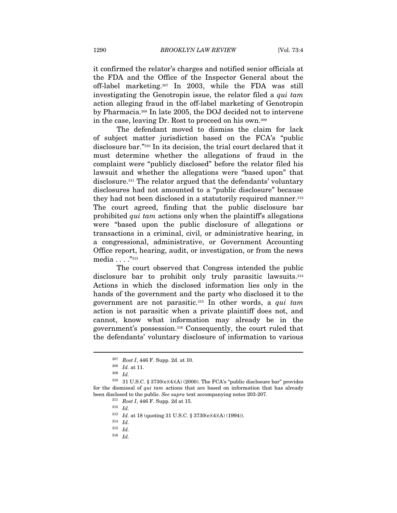it confirmed the relator's charges and notified senior officials at the FDA and the Office of the Inspector General about the off-label marketing.307 In 2003, while the FDA was still investigating the Genotropin issue, the relator filed a qui tam action alleging fraud in the off-label marketing of Genotropin by Pharmacia.308 In late 2005, the DOJ decided not to intervene in the case, leaving Dr. Rost to proceed on his own.309

The defendant moved to dismiss the claim for lack of subject matter jurisdiction based on the FCA's "public disclosure bar."310 In its decision, the trial court declared that it must determine whether the allegations of fraud in the complaint were "publicly disclosed" before the relator filed his lawsuit and whether the allegations were "based upon" that disclosure.311 The relator argued that the defendants' voluntary disclosures had not amounted to a "public disclosure" because they had not been disclosed in a statutorily required manner.<sup>312</sup> The court agreed, finding that the public disclosure bar prohibited qui tam actions only when the plaintiff's allegations were "based upon the public disclosure of allegations or transactions in a criminal, civil, or administrative hearing, in a congressional, administrative, or Government Accounting Office report, hearing, audit, or investigation, or from the news media . . . ."313

The court observed that Congress intended the public disclosure bar to prohibit only truly parasitic lawsuits.314 Actions in which the disclosed information lies only in the hands of the government and the party who disclosed it to the government are not parasitic.315 In other words, a qui tam action is not parasitic when a private plaintiff does not, and cannot, know what information may already be in the government's possession.316 Consequently, the court ruled that the defendants' voluntary disclosure of information to various

 $\frac{307}{108}$  *Rost I*, 446 F. Supp. 2d. at 10.<br> $\frac{308}{104}$  *Id.* 

<sup>310 31</sup> U.S.C. § 3730(e)(4)(A) (2000). The FCA's "public disclosure bar" provides for the dismissal of *qui tam* actions that are based on information that has already been disclosed to the public. See supra text accompanying notes 203-207.<br><sup>311</sup> Rost I, 446 F. Supp. 2d at 15.<br><sup>312</sup> Id. <sup>313</sup> Id. at 18 (quoting 31 U.S.C. § 3730(e)(4)(A) (1994)).<br><sup>314</sup> Id.

 $^{315}\;$   $Id.$ 

<sup>316</sup> Id.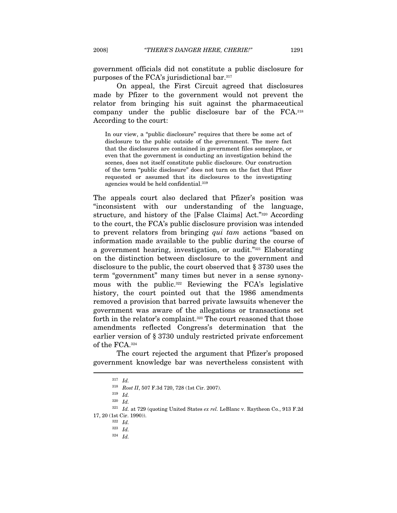government officials did not constitute a public disclosure for purposes of the FCA's jurisdictional bar.317

On appeal, the First Circuit agreed that disclosures made by Pfizer to the government would not prevent the relator from bringing his suit against the pharmaceutical company under the public disclosure bar of the FCA.318 According to the court:

In our view, a "public disclosure" requires that there be some act of disclosure to the public outside of the government. The mere fact that the disclosures are contained in government files someplace, or even that the government is conducting an investigation behind the scenes, does not itself constitute public disclosure. Our construction of the term "public disclosure" does not turn on the fact that Pfizer requested or assumed that its disclosures to the investigating agencies would be held confidential.319

The appeals court also declared that Pfizer's position was "inconsistent with our understanding of the language, structure, and history of the [False Claims] Act."320 According to the court, the FCA's public disclosure provision was intended to prevent relators from bringing qui tam actions "based on information made available to the public during the course of a government hearing, investigation, or audit."321 Elaborating on the distinction between disclosure to the government and disclosure to the public, the court observed that § 3730 uses the term "government" many times but never in a sense synonymous with the public.322 Reviewing the FCA's legislative history, the court pointed out that the 1986 amendments removed a provision that barred private lawsuits whenever the government was aware of the allegations or transactions set forth in the relator's complaint.<sup>323</sup> The court reasoned that those amendments reflected Congress's determination that the earlier version of § 3730 unduly restricted private enforcement of the FCA.324

The court rejected the argument that Pfizer's proposed government knowledge bar was nevertheless consistent with

 $\begin{array}{ll} \text{317} & Id. \\ \text{318} & Rost~II, \, 507 \text{ F.}3\text{d} \text{ }720, \, 728 \, (1 \text{st Cir. } 2007). \\ \text{319} & Id. \\ \text{320} & Id. \end{array}$ 

 $^{321}$  Id. at 729 (quoting United States ex rel. LeBlanc v. Raytheon Co., 913 F.2d 17, 20 (1st Cir. 1990)).<br> $\frac{322}{1}$  Id.

<sup>323</sup> Id.

<sup>324</sup> Id.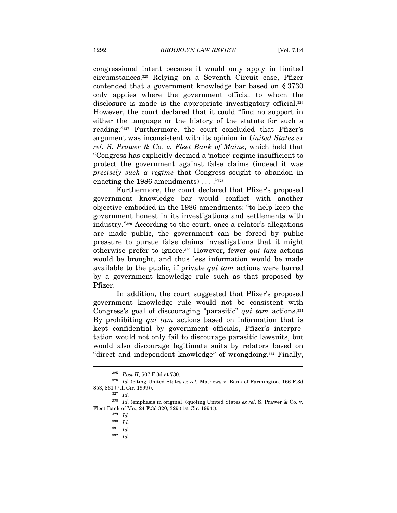congressional intent because it would only apply in limited circumstances.325 Relying on a Seventh Circuit case, Pfizer contended that a government knowledge bar based on § 3730 only applies where the government official to whom the disclosure is made is the appropriate investigatory official.<sup>326</sup> However, the court declared that it could "find no support in either the language or the history of the statute for such a reading."327 Furthermore, the court concluded that Pfizer's argument was inconsistent with its opinion in United States ex rel. S. Prawer & Co. v. Fleet Bank of Maine, which held that "Congress has explicitly deemed a 'notice' regime insufficient to protect the government against false claims (indeed it was precisely such a regime that Congress sought to abandon in enacting the 1986 amendments) . . . . "<sup>328</sup>

Furthermore, the court declared that Pfizer's proposed government knowledge bar would conflict with another objective embodied in the 1986 amendments: "to help keep the government honest in its investigations and settlements with industry."329 According to the court, once a relator's allegations are made public, the government can be forced by public pressure to pursue false claims investigations that it might otherwise prefer to ignore.330 However, fewer qui tam actions would be brought, and thus less information would be made available to the public, if private *qui tam* actions were barred by a government knowledge rule such as that proposed by Pfizer.

In addition, the court suggested that Pfizer's proposed government knowledge rule would not be consistent with Congress's goal of discouraging "parasitic" qui tam actions.<sup>331</sup> By prohibiting *qui tam* actions based on information that is kept confidential by government officials, Pfizer's interpretation would not only fail to discourage parasitic lawsuits, but would also discourage legitimate suits by relators based on "direct and independent knowledge" of wrongdoing.332 Finally,

<sup>325</sup> Rost II, 507 F.3d at 730.

 $326$  *Id.* (citing United States ex rel. Mathews v. Bank of Farmington, 166 F.3d 853, 861 (7th Cir. 1999)).  $\frac{327}{1}$  Id.

 $328$  *Id.* (emphasis in original) (quoting United States ex rel. S. Prawer & Co. v. Fleet Bank of Me., 24 F.3d 320, 329 (1st Cir. 1994)).  $$^{329}$   $\,$   $Id.$ 

<sup>330</sup> Id.

<sup>331</sup> Id.

<sup>332</sup> Id.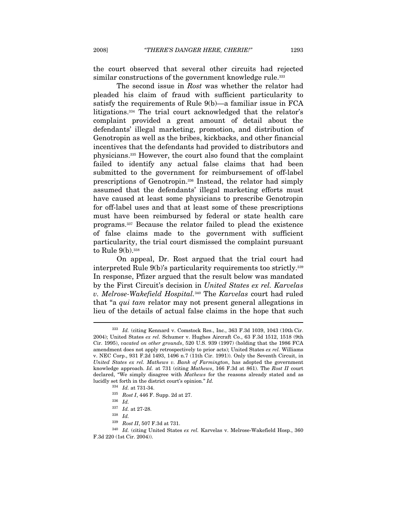the court observed that several other circuits had rejected similar constructions of the government knowledge rule.<sup>333</sup>

The second issue in Rost was whether the relator had pleaded his claim of fraud with sufficient particularity to satisfy the requirements of Rule 9(b)—a familiar issue in FCA litigations.334 The trial court acknowledged that the relator's complaint provided a great amount of detail about the defendants' illegal marketing, promotion, and distribution of Genotropin as well as the bribes, kickbacks, and other financial incentives that the defendants had provided to distributors and physicians.335 However, the court also found that the complaint failed to identify any actual false claims that had been submitted to the government for reimbursement of off-label prescriptions of Genotropin.336 Instead, the relator had simply assumed that the defendants' illegal marketing efforts must have caused at least some physicians to prescribe Genotropin for off-label uses and that at least some of these prescriptions must have been reimbursed by federal or state health care programs.337 Because the relator failed to plead the existence of false claims made to the government with sufficient particularity, the trial court dismissed the complaint pursuant to Rule 9(b).338

On appeal, Dr. Rost argued that the trial court had interpreted Rule 9(b)'s particularity requirements too strictly.339 In response, Pfizer argued that the result below was mandated by the First Circuit's decision in United States ex rel. Karvelas v. Melrose-Wakefield Hospital.<sup>340</sup> The Karvelas court had ruled that "a qui tam relator may not present general allegations in lieu of the details of actual false claims in the hope that such

<sup>333</sup> Id. (citing Kennard v. Comstock Res., Inc., 363 F.3d 1039, 1043 (10th Cir. 2004); United States ex rel. Schumer v. Hughes Aircraft Co., 63 F.3d 1512, 1518 (9th Cir. 1995), vacated on other grounds, 520 U.S. 939 (1997) (holding that the 1986 FCA amendment does not apply retrospectively to prior acts); United States ex rel. Williams v. NEC Corp., 931 F.2d 1493, 1496 n.7 (11th Cir. 1991)). Only the Seventh Circuit, in United States ex rel. Mathews v. Bank of Farmington, has adopted the government knowledge approach. Id. at 731 (citing Mathews, 166 F.3d at 861). The Rost II court declared, "We simply disagree with Mathews for the reasons already stated and as lucidly set forth in the district court's opinion." Id.  $\frac{334}{1}$  Id. at 731-34.

 $\begin{array}{ll} \text{335} & \text{Rost } I, \, 446 \text{ F.} \, \text{Supp.} \, 2 \text{d at } 27. \\ \text{336} & \text{Id.} \end{array}$ 

 $\begin{array}{cc} 337 & Id. \text{ at } 27\text{-}28. \\ 338 & Id. \end{array}$ 

 $^{339}$  Rost II, 507 F.3d at 731.  $^{340}$  Id. (citing United States ex rel. Karvelas v. Melrose-Wakefield Hosp., 360 F.3d 220 (1st Cir. 2004)).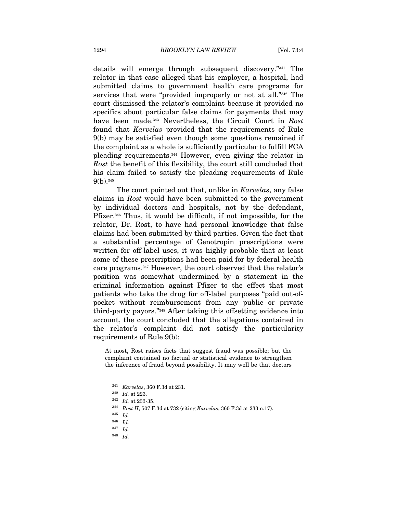details will emerge through subsequent discovery."341 The relator in that case alleged that his employer, a hospital, had submitted claims to government health care programs for services that were "provided improperly or not at all."342 The court dismissed the relator's complaint because it provided no specifics about particular false claims for payments that may have been made.<sup>343</sup> Nevertheless, the Circuit Court in Rost found that Karvelas provided that the requirements of Rule 9(b) may be satisfied even though some questions remained if the complaint as a whole is sufficiently particular to fulfill FCA pleading requirements.344 However, even giving the relator in Rost the benefit of this flexibility, the court still concluded that his claim failed to satisfy the pleading requirements of Rule 9(b).345

The court pointed out that, unlike in *Karvelas*, any false claims in Rost would have been submitted to the government by individual doctors and hospitals, not by the defendant, Pfizer.346 Thus, it would be difficult, if not impossible, for the relator, Dr. Rost, to have had personal knowledge that false claims had been submitted by third parties. Given the fact that a substantial percentage of Genotropin prescriptions were written for off-label uses, it was highly probable that at least some of these prescriptions had been paid for by federal health care programs.347 However, the court observed that the relator's position was somewhat undermined by a statement in the criminal information against Pfizer to the effect that most patients who take the drug for off-label purposes "paid out-ofpocket without reimbursement from any public or private third-party payors."348 After taking this offsetting evidence into account, the court concluded that the allegations contained in the relator's complaint did not satisfy the particularity requirements of Rule 9(b):

At most, Rost raises facts that suggest fraud was possible; but the complaint contained no factual or statistical evidence to strengthen the inference of fraud beyond possibility. It may well be that doctors

<sup>341</sup> Karvelas, 360 F.3d at 231.<br>
342 Id. at 223.<br>
343 Id. at 233-35.<br>
344 Rost II, 507 F.3d at 732 (citing Karvelas, 360 F.3d at 233 n.17).<br>
345 Id

 $\begin{array}{cc} 346 & Id. \\ 347 & Id. \end{array}$ 

 $^{348}\;$   $Id.$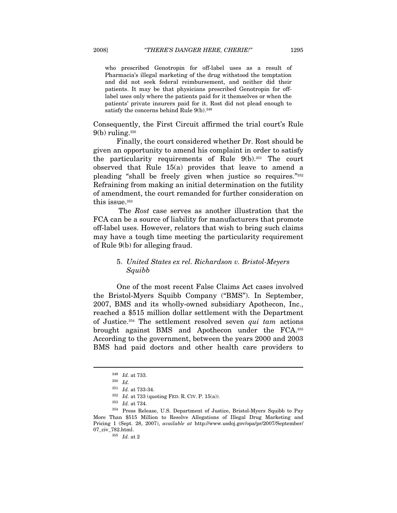who prescribed Genotropin for off-label uses as a result of Pharmacia's illegal marketing of the drug withstood the temptation and did not seek federal reimbursement, and neither did their patients. It may be that physicians prescribed Genotropin for offlabel uses only where the patients paid for it themselves or when the patients' private insurers paid for it. Rost did not plead enough to satisfy the concerns behind Rule 9(b).<sup>349</sup>

Consequently, the First Circuit affirmed the trial court's Rule  $9(b)$  ruling.  $350$ 

Finally, the court considered whether Dr. Rost should be given an opportunity to amend his complaint in order to satisfy the particularity requirements of Rule  $9(b)$ .<sup>351</sup> The court observed that Rule 15(a) provides that leave to amend a pleading "shall be freely given when justice so requires."352 Refraining from making an initial determination on the futility of amendment, the court remanded for further consideration on this issue.<sup>353</sup>

 The Rost case serves as another illustration that the FCA can be a source of liability for manufacturers that promote off-label uses. However, relators that wish to bring such claims may have a tough time meeting the particularity requirement of Rule 9(b) for alleging fraud.

# 5. United States ex rel. Richardson v. Bristol-Meyers Squibb

One of the most recent False Claims Act cases involved the Bristol-Myers Squibb Company ("BMS"). In September, 2007, BMS and its wholly-owned subsidiary Apothecon, Inc., reached a \$515 million dollar settlement with the Department of Justice.<sup>354</sup> The settlement resolved seven *qui tam* actions brought against BMS and Apothecon under the FCA.355 According to the government, between the years 2000 and 2003 BMS had paid doctors and other health care providers to

 $\begin{array}{cc} 349 & Id. \ 350 & Id. \ 351 & Id. \ 361 & 33-34. \end{array}$ 

<sup>&</sup>lt;sup>352</sup> Id. at 733 (quoting FED. R. CIV. P. 15(a)).<br><sup>353</sup> Id. at 734. <br><sup>354</sup> Press Release, U.S. Department of Justice, Bristol-Myers Squibb to Pay More Than \$515 Million to Resolve Allegations of Illegal Drug Marketing and Pricing 1 (Sept. 28, 2007), available at http://www.usdoj.gov/opa/pr/2007/September/  $$^{07}\rm{\_civ}$_355$   $$Id.$  at  $2$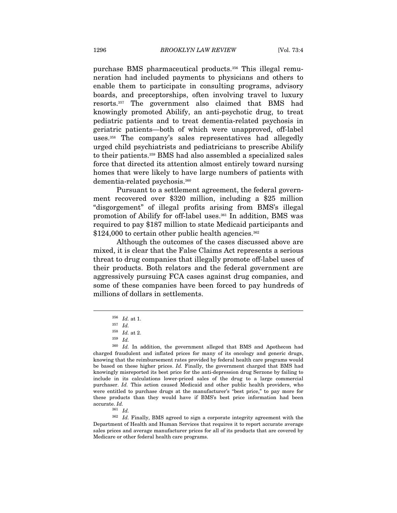purchase BMS pharmaceutical products.356 This illegal remuneration had included payments to physicians and others to enable them to participate in consulting programs, advisory boards, and preceptorships, often involving travel to luxury resorts.357 The government also claimed that BMS had knowingly promoted Abilify, an anti-psychotic drug, to treat pediatric patients and to treat dementia-related psychosis in geriatric patients—both of which were unapproved, off-label uses.358 The company's sales representatives had allegedly urged child psychiatrists and pediatricians to prescribe Abilify to their patients.359 BMS had also assembled a specialized sales force that directed its attention almost entirely toward nursing homes that were likely to have large numbers of patients with dementia-related psychosis.360

Pursuant to a settlement agreement, the federal government recovered over \$320 million, including a \$25 million "disgorgement" of illegal profits arising from BMS's illegal promotion of Abilify for off-label uses.361 In addition, BMS was required to pay \$187 million to state Medicaid participants and  $$124,000$  to certain other public health agencies.<sup>362</sup>

Although the outcomes of the cases discussed above are mixed, it is clear that the False Claims Act represents a serious threat to drug companies that illegally promote off-label uses of their products. Both relators and the federal government are aggressively pursuing FCA cases against drug companies, and some of these companies have been forced to pay hundreds of millions of dollars in settlements.

 $\frac{356}{357}$  *Id.* at 1.

 $\frac{358}{359}$  *Id.* at 2.

<sup>360</sup> Id. In addition, the government alleged that BMS and Apothecon had charged fraudulent and inflated prices for many of its oncology and generic drugs, knowing that the reimbursement rates provided by federal health care programs would be based on these higher prices. Id. Finally, the government charged that BMS had knowingly misreported its best price for the anti-depression drug Serzone by failing to include in its calculations lower-priced sales of the drug to a large commercial purchaser. Id. This action caused Medicaid and other public health providers, who were entitled to purchase drugs at the manufacturer's "best price," to pay more for these products than they would have if BMS's best price information had been accurate. Id.

<sup>361</sup> Id.

 $362$  *Id.* Finally, BMS agreed to sign a corporate integrity agreement with the Department of Health and Human Services that requires it to report accurate average sales prices and average manufacturer prices for all of its products that are covered by Medicare or other federal health care programs.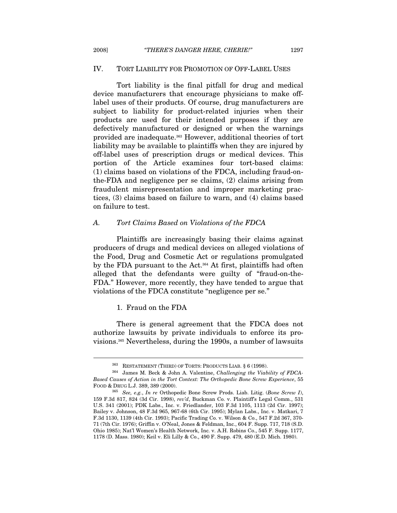## IV. TORT LIABILITY FOR PROMOTION OF OFF-LABEL USES

Tort liability is the final pitfall for drug and medical device manufacturers that encourage physicians to make offlabel uses of their products. Of course, drug manufacturers are subject to liability for product-related injuries when their products are used for their intended purposes if they are defectively manufactured or designed or when the warnings provided are inadequate.363 However, additional theories of tort liability may be available to plaintiffs when they are injured by off-label uses of prescription drugs or medical devices. This portion of the Article examines four tort-based claims: (1) claims based on violations of the FDCA, including fraud-onthe-FDA and negligence per se claims, (2) claims arising from fraudulent misrepresentation and improper marketing practices, (3) claims based on failure to warn, and (4) claims based on failure to test.

#### A. Tort Claims Based on Violations of the FDCA

Plaintiffs are increasingly basing their claims against producers of drugs and medical devices on alleged violations of the Food, Drug and Cosmetic Act or regulations promulgated by the FDA pursuant to the Act.364 At first, plaintiffs had often alleged that the defendants were guilty of "fraud-on-the-FDA." However, more recently, they have tended to argue that violations of the FDCA constitute "negligence per se."

#### 1. Fraud on the FDA

 $\overline{a}$ 

There is general agreement that the FDCA does not authorize lawsuits by private individuals to enforce its provisions.365 Nevertheless, during the 1990s, a number of lawsuits

<sup>&</sup>lt;sup>363</sup> RESTATEMENT (THIRD) OF TORTS: PRODUCTS LIAB. § 6 (1998).<br><sup>364</sup> James M. Beck & John A. Valentine, *Challenging the Viability of FDCA*-

Based Causes of Action in the Tort Context: The Orthopedic Bone Screw Experience, 55 FOOD & DRUG L.J. 389, 389 (2000).

 $F^{365}$  See, e.g., In re Orthopedic Bone Screw Prods. Liab. Litig. (Bone Screw I), 159 F.3d 817, 824 (3d Cir. 1998), rev'd, Buckman Co. v. Plaintiff's Legal Comm., 531 U.S. 341 (2001); PDK Labs., Inc. v. Friedlander, 103 F.3d 1105, 1113 (2d Cir. 1997); Bailey v. Johnson, 48 F.3d 965, 967-68 (6th Cir. 1995); Mylan Labs., Inc. v. Matkari, 7 F.3d 1130, 1139 (4th Cir. 1993); Pacific Trading Co. v. Wilson & Co., 547 F.2d 367, 370- 71 (7th Cir. 1976); Griffin v. O'Neal, Jones & Feldman, Inc., 604 F. Supp. 717, 718 (S.D. Ohio 1985); Nat'l Women's Health Network, Inc. v. A.H. Robins Co., 545 F. Supp. 1177, 1178 (D. Mass. 1980); Keil v. Eli Lilly & Co., 490 F. Supp. 479, 480 (E.D. Mich. 1980).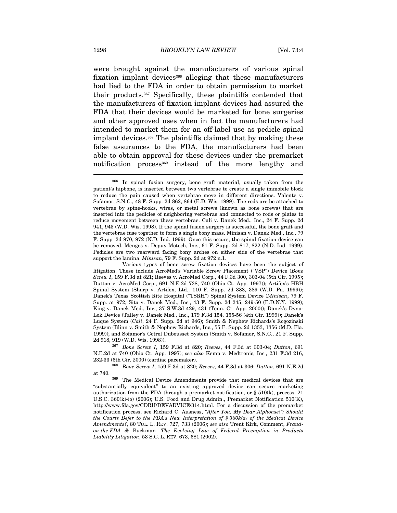were brought against the manufacturers of various spinal fixation implant devices<sup>366</sup> alleging that these manufacturers had lied to the FDA in order to obtain permission to market their products.367 Specifically, these plaintiffs contended that the manufacturers of fixation implant devices had assured the FDA that their devices would be marketed for bone surgeries and other approved uses when in fact the manufacturers had intended to market them for an off-label use as pedicle spinal implant devices.368 The plaintiffs claimed that by making these false assurances to the FDA, the manufacturers had been able to obtain approval for these devices under the premarket notification process<sup>369</sup> instead of the more lengthy and

<sup>366</sup> In spinal fusion surgery, bone graft material, usually taken from the patient's hipbone, is inserted between two vertebrae to create a single immobile block to reduce the pain caused when vertebrae move in different directions. Valente v. Sofamor, S.N.C., 48 F. Supp. 2d 862, 864 (E.D. Wis. 1999). The rods are be attached to vertebrae by spine-hooks, wires, or metal screws (known as bone screws) that are inserted into the pedicles of neighboring vertebrae and connected to rods or plates to reduce movement between these vertebrae. Cali v. Danek Med., Inc., 24 F. Supp. 2d 941, 945 (W.D. Wis. 1998). If the spinal fusion surgery is successful, the bone graft and the vertebrae fuse together to form a single bony mass. Minisan v. Danek Med., Inc., 79 F. Supp. 2d 970, 972 (N.D. Ind. 1999). Once this occurs, the spinal fixation device can be removed. Menges v. Depuy Motech, Inc., 61 F. Supp. 2d 817, 822 (N.D. Ind. 1999). Pedicles are two rearward facing bony arches on either side of the vertebrae that support the lamina. Minisan, 79 F. Supp. 2d at 972 n.1.

Various types of bone screw fixation devices have been the subject of litigation. These include AcroMed's Variable Screw Placement ("VSP") Device (Bone Screw I, 159 F.3d at 821; Reeves v. AcroMed Corp., 44 F.3d 300, 303-04 (5th Cir. 1995); Dutton v. AcroMed Corp., 691 N.E.2d 738, 740 (Ohio Ct. App. 1997)); Artifex's HBH Spinal System (Sharp v. Artifex, Ltd., 110 F. Supp. 2d 388, 389 (W.D. Pa. 1999)); Danek's Texas Scottish Rite Hospital ("TSRH") Spinal System Device (Minisan, 79 F. Supp. at 972; Sita v. Danek Med., Inc., 43 F. Supp. 2d 245, 249-50 (E.D.N.Y. 1999); King v. Danek Med., Inc., 37 S.W.3d 429, 431 (Tenn. Ct. App. 2000)); Danek's Dyna-Lok Device (Talley v. Danek Med., Inc., 179 F.3d 154, 155-56 (4th Cir. 1999)); Danek's Luque System (Cali, 24 F. Supp. 2d at 946); Smith & Nephew Richards's Rogozinski System (Blinn v. Smith & Nephew Richards, Inc., 55 F. Supp. 2d 1353, 1356 (M.D. Fla. 1999)); and Sofamor's Cotrel Dubousset System (Smith v. Sofamor, S.N.C., 21 F. Supp.

<sup>2</sup>d 918, 919 (W.D. Wis. 1998)). 367 Bone Screw I, 159 F.3d at 820; Reeves, 44 F.3d at 303-04; Dutton, 691 N.E.2d at 740 (Ohio Ct. App. 1997); see also Kemp v. Medtronic, Inc., 231 F.3d 216, 232-33 (6th Cir. 2000) (cardiac pacemaker).  $368$  Bone Screw I, 159 F.3d at 820; Reeves, 44 F.3d at 306; Dutton, 691 N.E.2d

at 740. 369 The Medical Device Amendments provide that medical devices that are "substantially equivalent" to an existing approved device can secure marketing authorization from the FDA through a premarket notification, or § 510(k), process. 21 U.S.C. 360(k)-(o) (2006); U.S. Food and Drug Admin., Premarket Notification 510(K), http://www.fda.gov/CDRH/DEVADVICE/314.html. For a discussion of the premarket notification process, see Richard C. Ausness, "After You, My Dear Alphonse!": Should the Courts Defer to the FDA's New Interpretation of  $\frac{1}{2}$  360k(a) of the Medical Device Amendments?, 80 TUL. L. REV. 727, 733 (2006); see also Trent Kirk, Comment, Fraudon-the-FDA & Buckman—The Evolving Law of Federal Preemption in Products Liability Litigation, 53 S.C. L. REV. 673, 681 (2002).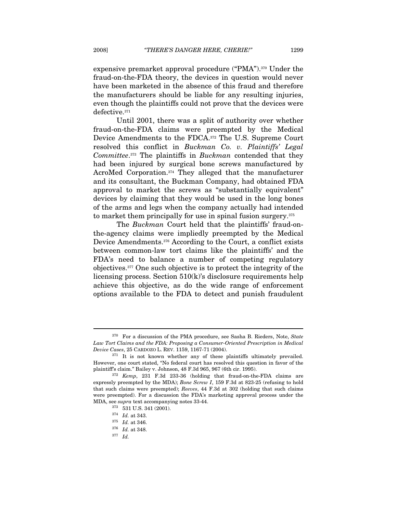expensive premarket approval procedure ("PMA").370 Under the fraud-on-the-FDA theory, the devices in question would never have been marketed in the absence of this fraud and therefore the manufacturers should be liable for any resulting injuries, even though the plaintiffs could not prove that the devices were defective.371

Until 2001, there was a split of authority over whether fraud-on-the-FDA claims were preempted by the Medical Device Amendments to the FDCA.372 The U.S. Supreme Court resolved this conflict in Buckman Co. v. Plaintiffs' Legal Committee.373 The plaintiffs in Buckman contended that they had been injured by surgical bone screws manufactured by AcroMed Corporation.374 They alleged that the manufacturer and its consultant, the Buckman Company, had obtained FDA approval to market the screws as "substantially equivalent" devices by claiming that they would be used in the long bones of the arms and legs when the company actually had intended to market them principally for use in spinal fusion surgery.375

The Buckman Court held that the plaintiffs' fraud-onthe-agency claims were impliedly preempted by the Medical Device Amendments.376 According to the Court, a conflict exists between common-law tort claims like the plaintiffs' and the FDA's need to balance a number of competing regulatory objectives.377 One such objective is to protect the integrity of the licensing process. Section 510(k)'s disclosure requirements help achieve this objective, as do the wide range of enforcement options available to the FDA to detect and punish fraudulent

 $370$  For a discussion of the PMA procedure, see Sasha B. Rieders, Note, State Law Tort Claims and the FDA: Proposing a Consumer-Oriented Prescription in Medical Device Cases, 25 CARDOZO L. REV. 1159, 1167-71 (2004).

 $371$  It is not known whether any of these plaintiffs ultimately prevailed. However, one court stated, "No federal court has resolved this question in favor of the

plaintiff's claim." Bailey v. Johnson, 48 F.3d 965, 967 (6th cir. 1995).<br><sup>372</sup> Kemp, 231 F.3d 233-36 (holding that fraud-on-the-FDA claims are expressly preempted by the MDA); Bone Screw I,  $159$  F.3d at 823-25 (refusing to hold that such claims were preempted); Reeves, 44 F.3d at 302 (holding that such claims were preempted). For a discussion the FDA's marketing approval process under the MDA, see *supra* text accompanying notes 33-44.<br><sup>373</sup> 531 U.S. 341 (2001).<br><sup>374</sup> *Id.* at 343.<br><sup>375</sup> *Id.* at 346.

 $\frac{376}{377}$  *Id.* at 348.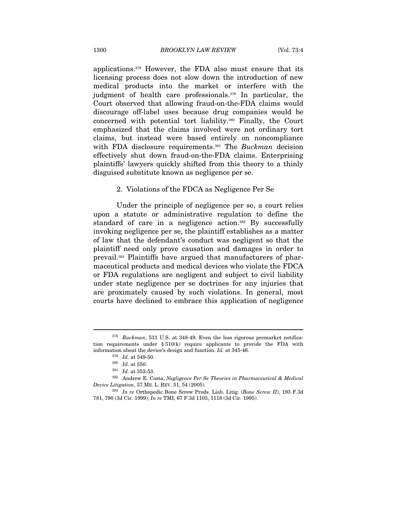applications.378 However, the FDA also must ensure that its licensing process does not slow down the introduction of new medical products into the market or interfere with the judgment of health care professionals.<sup>379</sup> In particular, the Court observed that allowing fraud-on-the-FDA claims would discourage off-label uses because drug companies would be concerned with potential tort liability.380 Finally, the Court emphasized that the claims involved were not ordinary tort claims, but instead were based entirely on noncompliance with FDA disclosure requirements.<sup>381</sup> The *Buckman* decision effectively shut down fraud-on-the-FDA claims. Enterprising plaintiffs' lawyers quickly shifted from this theory to a thinly disguised substitute known as negligence per se.

## 2. Violations of the FDCA as Negligence Per Se

Under the principle of negligence per se, a court relies upon a statute or administrative regulation to define the standard of care in a negligence action.382 By successfully invoking negligence per se, the plaintiff establishes as a matter of law that the defendant's conduct was negligent so that the plaintiff need only prove causation and damages in order to prevail.383 Plaintiffs have argued that manufacturers of pharmaceutical products and medical devices who violate the FDCA or FDA regulations are negligent and subject to civil liability under state negligence per se doctrines for any injuries that are proximately caused by such violations. In general, most courts have declined to embrace this application of negligence

<sup>378</sup> Buckman, 531 U.S. at 348-49. Even the less rigorous premarket notification requirements under § 510(k) require applicants to provide the FDA with information about the device's design and function. Id. at 345-46.<br><sup>379</sup> Id. at 349-50.<br><sup>380</sup> Id. at 350.<br><sup>381</sup> Id. at 352-53.

<sup>382</sup> Andrew E. Costa, Negligence Per Se Theories in Pharmaceutical & Medical

Device Litigation, 57 ME. L. REV. 51, 54 (2005).<br><sup>383</sup> In re Orthopedic Bone Screw Prods. Liab. Litig. (Bone Screw II), 193 F.3d 781, 790 (3d Cir. 1999); In re TMI, 67 F.3d 1103, 1118 (3d Cir. 1995).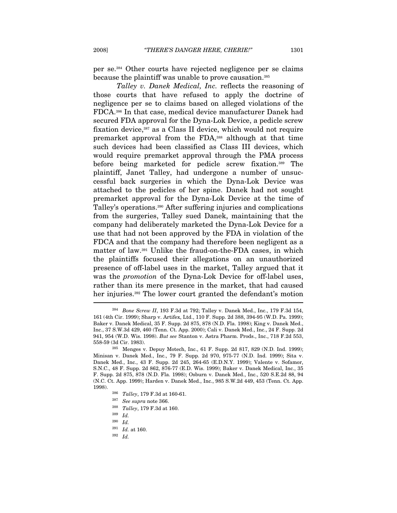per se.384 Other courts have rejected negligence per se claims because the plaintiff was unable to prove causation.385

Talley v. Danek Medical, Inc. reflects the reasoning of those courts that have refused to apply the doctrine of negligence per se to claims based on alleged violations of the FDCA.386 In that case, medical device manufacturer Danek had secured FDA approval for the Dyna-Lok Device, a pedicle screw fixation device,<sup>387</sup> as a Class II device, which would not require premarket approval from the FDA,388 although at that time such devices had been classified as Class III devices, which would require premarket approval through the PMA process before being marketed for pedicle screw fixation.389 The plaintiff, Janet Talley, had undergone a number of unsuccessful back surgeries in which the Dyna-Lok Device was attached to the pedicles of her spine. Danek had not sought premarket approval for the Dyna-Lok Device at the time of Talley's operations.390 After suffering injuries and complications from the surgeries, Talley sued Danek, maintaining that the company had deliberately marketed the Dyna-Lok Device for a use that had not been approved by the FDA in violation of the FDCA and that the company had therefore been negligent as a matter of law.391 Unlike the fraud-on-the-FDA cases, in which the plaintiffs focused their allegations on an unauthorized presence of off-label uses in the market, Talley argued that it was the *promotion* of the Dyna-Lok Device for off-label uses, rather than its mere presence in the market, that had caused her injuries.<sup>392</sup> The lower court granted the defendant's motion

<sup>384</sup> Bone Screw II, 193 F.3d at 792; Talley v. Danek Med., Inc., 179 F.3d 154, 161 (4th Cir. 1999); Sharp v. Artifex, Ltd., 110 F. Supp. 2d 388, 394-95 (W.D. Pa. 1999); Baker v. Danek Medical, 35 F. Supp. 2d 875, 878 (N.D. Fla. 1998); King v. Danek Med., Inc., 37 S.W.3d 429, 460 (Tenn. Ct. App. 2000); Cali v. Danek Med., Inc., 24 F. Supp. 2d 941, 954 (W.D. Wis. 1998). But see Stanton v. Astra Pharm. Prods., Inc., 718 F.2d 553, 558-59 (3d Cir. 1983). 385 Menges v. Depuy Motech, Inc., 61 F. Supp. 2d 817, 829 (N.D. Ind. 1999);

Minisan v. Danek Med., Inc., 79 F. Supp. 2d 970, 975-77 (N.D. Ind. 1999); Sita v. Danek Med., Inc., 43 F. Supp. 2d 245, 264-65 (E.D.N.Y. 1999); Valente v. Sofamor, S.N.C., 48 F. Supp. 2d 862, 876-77 (E.D. Wis. 1999); Baker v. Danek Medical, Inc., 35 F. Supp. 2d 875, 878 (N.D. Fla. 1998); Osburn v. Danek Med., Inc., 520 S.E.2d 88, 94 (N.C. Ct. App. 1999); Harden v. Danek Med., Inc., 985 S.W.2d 449, 453 (Tenn. Ct. App. 1998).<br>  $386$  Talley, 179 F.3d at 160-61.<br>  $387$  See supra note 366.<br>  $388$  Talley, 179 F.3d at 160.<br>  $389$  Id.

<sup>390</sup> Id.

 $\frac{391}{392}$  *Id.* at 160.<br> $\frac{392}{1}$  *Id.*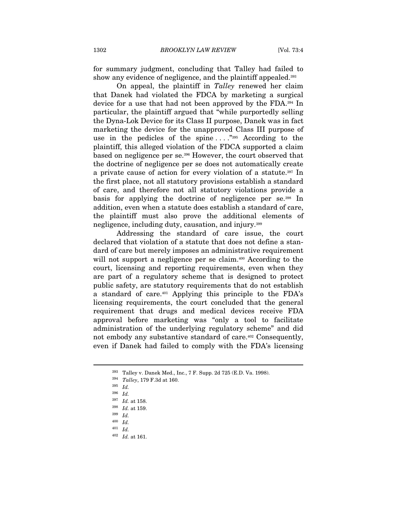for summary judgment, concluding that Talley had failed to show any evidence of negligence, and the plaintiff appealed.<sup>393</sup>

On appeal, the plaintiff in Talley renewed her claim that Danek had violated the FDCA by marketing a surgical device for a use that had not been approved by the FDA.394 In particular, the plaintiff argued that "while purportedly selling the Dyna-Lok Device for its Class II purpose, Danek was in fact marketing the device for the unapproved Class III purpose of use in the pedicles of the spine  $\dots$ ."<sup>395</sup> According to the plaintiff, this alleged violation of the FDCA supported a claim based on negligence per se.396 However, the court observed that the doctrine of negligence per se does not automatically create a private cause of action for every violation of a statute.397 In the first place, not all statutory provisions establish a standard of care, and therefore not all statutory violations provide a basis for applying the doctrine of negligence per se.398 In addition, even when a statute does establish a standard of care, the plaintiff must also prove the additional elements of negligence, including duty, causation, and injury.399

Addressing the standard of care issue, the court declared that violation of a statute that does not define a standard of care but merely imposes an administrative requirement will not support a negligence per se claim.<sup>400</sup> According to the court, licensing and reporting requirements, even when they are part of a regulatory scheme that is designed to protect public safety, are statutory requirements that do not establish a standard of care.401 Applying this principle to the FDA's licensing requirements, the court concluded that the general requirement that drugs and medical devices receive FDA approval before marketing was "only a tool to facilitate administration of the underlying regulatory scheme" and did not embody any substantive standard of care.402 Consequently, even if Danek had failed to comply with the FDA's licensing

 $\overline{a}$ 

<sup>400</sup> Id.

 $^{402}\;$   $Id.\;$  at 161.

<sup>393</sup> Talley v. Danek Med., Inc., 7 F. Supp. 2d 725 (E.D. Va. 1998).<br>  $394$  Talley, 179 F.3d at 160.<br>  $395$  Id.<br>  $396$  Id.

 $\frac{397}{398}$  *Id.* at 158.<br> $\frac{398}{164}$  *Id.* 

 $^{401}\,$   $Id.$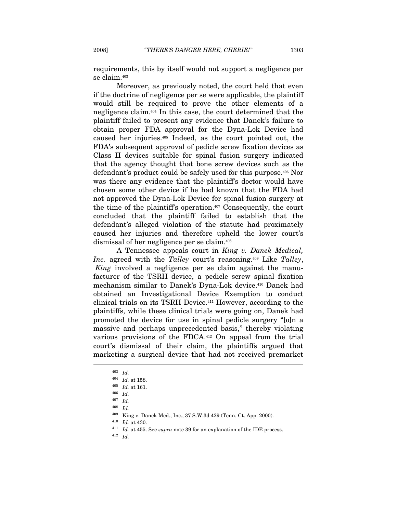requirements, this by itself would not support a negligence per se claim.403

Moreover, as previously noted, the court held that even if the doctrine of negligence per se were applicable, the plaintiff would still be required to prove the other elements of a negligence claim.404 In this case, the court determined that the plaintiff failed to present any evidence that Danek's failure to obtain proper FDA approval for the Dyna-Lok Device had caused her injuries.405 Indeed, as the court pointed out, the FDA's subsequent approval of pedicle screw fixation devices as Class II devices suitable for spinal fusion surgery indicated that the agency thought that bone screw devices such as the defendant's product could be safely used for this purpose.406 Nor was there any evidence that the plaintiff's doctor would have chosen some other device if he had known that the FDA had not approved the Dyna-Lok Device for spinal fusion surgery at the time of the plaintiff's operation.407 Consequently, the court concluded that the plaintiff failed to establish that the defendant's alleged violation of the statute had proximately caused her injuries and therefore upheld the lower court's dismissal of her negligence per se claim.408

A Tennessee appeals court in King v. Danek Medical, Inc. agreed with the Talley court's reasoning.<sup>409</sup> Like Talley, King involved a negligence per se claim against the manufacturer of the TSRH device, a pedicle screw spinal fixation mechanism similar to Danek's Dyna-Lok device.410 Danek had obtained an Investigational Device Exemption to conduct clinical trials on its TSRH Device.411 However, according to the plaintiffs, while these clinical trials were going on, Danek had promoted the device for use in spinal pedicle surgery "[o]n a massive and perhaps unprecedented basis," thereby violating various provisions of the FDCA.412 On appeal from the trial court's dismissal of their claim, the plaintiffs argued that marketing a surgical device that had not received premarket

<sup>403</sup> Id.

 $\begin{array}{r}\n 404 \quad Id. \text{ at } 158. \\
 405 \quad Id. \text{ at } 161. \\
 406 \quad Id. \\
 407 \quad Id.\n \end{array}$ 

 $\frac{407}{408}$  *Id.*  $Id.$ 

<sup>409</sup> King v. Danek Med., Inc., 37 S.W.3d 429 (Tenn. Ct. App. 2000).

 $^{410}$   $\,$   $Id.$  at 435. See  $supra$  note 39 for an explanation of the IDE process.  $^{412}$   $\,$   $Id.$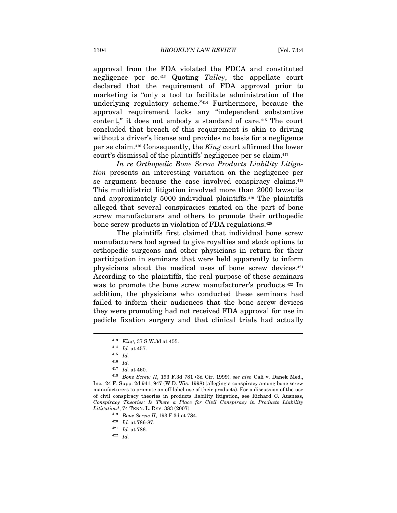approval from the FDA violated the FDCA and constituted negligence per se.413 Quoting Talley, the appellate court declared that the requirement of FDA approval prior to marketing is "only a tool to facilitate administration of the underlying regulatory scheme."414 Furthermore, because the approval requirement lacks any "independent substantive content," it does not embody a standard of care.415 The court concluded that breach of this requirement is akin to driving without a driver's license and provides no basis for a negligence per se claim.416 Consequently, the King court affirmed the lower court's dismissal of the plaintiffs' negligence per se claim.417

In re Orthopedic Bone Screw Products Liability Litigation presents an interesting variation on the negligence per se argument because the case involved conspiracy claims.<sup>418</sup> This multidistrict litigation involved more than 2000 lawsuits and approximately 5000 individual plaintiffs.<sup>419</sup> The plaintiffs alleged that several conspiracies existed on the part of bone screw manufacturers and others to promote their orthopedic bone screw products in violation of FDA regulations.<sup>420</sup>

The plaintiffs first claimed that individual bone screw manufacturers had agreed to give royalties and stock options to orthopedic surgeons and other physicians in return for their participation in seminars that were held apparently to inform physicians about the medical uses of bone screw devices.421 According to the plaintiffs, the real purpose of these seminars was to promote the bone screw manufacturer's products.422 In addition, the physicians who conducted these seminars had failed to inform their audiences that the bone screw devices they were promoting had not received FDA approval for use in pedicle fixation surgery and that clinical trials had actually

<sup>413</sup> King, 37 S.W.3d at 455.<br>
414 Id. at 457.<br>
415 Id.

<sup>416</sup> Id.

 $^{417}$  Id. at 460.  $^{418}$  Bone Screw II, 193 F.3d 781 (3d Cir. 1999); see also Cali v. Danek Med., Inc., 24 F. Supp. 2d 941, 947 (W.D. Wis. 1998) (alleging a conspiracy among bone screw manufacturers to promote an off-label use of their products). For a discussion of the use of civil conspiracy theories in products liability litigation, see Richard C. Ausness, Conspiracy Theories: Is There a Place for Civil Conspiracy in Products Liability  $\begin{array}{lll} \textit{Litigation?, 74 TENN. L. REV. 383 (2007).} \\ \textit{ }^{419} & \textit{Bone Screw II, 193 F.3d at 784.} \\ \textit{ }^{420} & \textit{Id. at 786-87.} \end{array}$ 

 $\frac{421}{422}$  *Id.* at 786.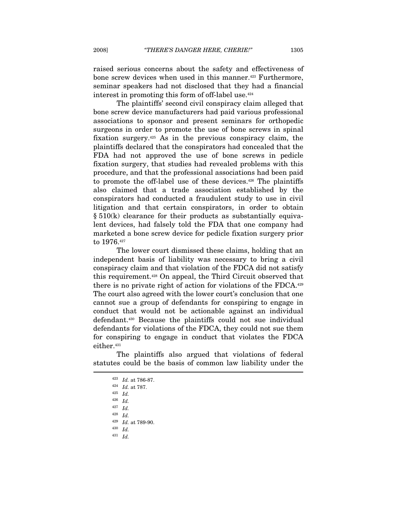raised serious concerns about the safety and effectiveness of bone screw devices when used in this manner.<sup>423</sup> Furthermore, seminar speakers had not disclosed that they had a financial

interest in promoting this form of off-label use.<sup>424</sup> The plaintiffs' second civil conspiracy claim alleged that bone screw device manufacturers had paid various professional associations to sponsor and present seminars for orthopedic surgeons in order to promote the use of bone screws in spinal fixation surgery.425 As in the previous conspiracy claim, the plaintiffs declared that the conspirators had concealed that the FDA had not approved the use of bone screws in pedicle fixation surgery, that studies had revealed problems with this procedure, and that the professional associations had been paid to promote the off-label use of these devices.<sup>426</sup> The plaintiffs also claimed that a trade association established by the conspirators had conducted a fraudulent study to use in civil litigation and that certain conspirators, in order to obtain  $\S 510(k)$  clearance for their products as substantially equivalent devices, had falsely told the FDA that one company had marketed a bone screw device for pedicle fixation surgery prior to 1976.427

The lower court dismissed these claims, holding that an independent basis of liability was necessary to bring a civil conspiracy claim and that violation of the FDCA did not satisfy this requirement.428 On appeal, the Third Circuit observed that there is no private right of action for violations of the FDCA.429 The court also agreed with the lower court's conclusion that one cannot sue a group of defendants for conspiring to engage in conduct that would not be actionable against an individual defendant.430 Because the plaintiffs could not sue individual defendants for violations of the FDCA, they could not sue them for conspiring to engage in conduct that violates the FDCA either.<sup>431</sup>

The plaintiffs also argued that violations of federal statutes could be the basis of common law liability under the I

<sup>431</sup> Id.

<sup>423</sup> Id. at 786-87.<br>
424 Id. at 787.<br>
425 Id.<br>
426 Id.

 $Id.$ 

<sup>427</sup> Id.

 $^{428}\;$   $Id.$ 

 $\frac{429}{430}$  *Id.* at 789-90.<br> $\frac{430}{1}$  *Id.*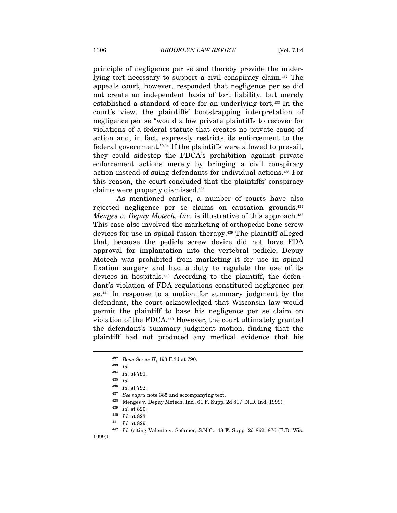principle of negligence per se and thereby provide the underlying tort necessary to support a civil conspiracy claim.432 The appeals court, however, responded that negligence per se did not create an independent basis of tort liability, but merely established a standard of care for an underlying tort.433 In the court's view, the plaintiffs' bootstrapping interpretation of negligence per se "would allow private plaintiffs to recover for violations of a federal statute that creates no private cause of action and, in fact, expressly restricts its enforcement to the federal government."434 If the plaintiffs were allowed to prevail, they could sidestep the FDCA's prohibition against private enforcement actions merely by bringing a civil conspiracy action instead of suing defendants for individual actions.435 For this reason, the court concluded that the plaintiffs' conspiracy claims were properly dismissed.436

As mentioned earlier, a number of courts have also rejected negligence per se claims on causation grounds.437 Menges v. Depuy Motech, Inc. is illustrative of this approach.<sup>438</sup> This case also involved the marketing of orthopedic bone screw devices for use in spinal fusion therapy.439 The plaintiff alleged that, because the pedicle screw device did not have FDA approval for implantation into the vertebral pedicle, Depuy Motech was prohibited from marketing it for use in spinal fixation surgery and had a duty to regulate the use of its devices in hospitals.440 According to the plaintiff, the defendant's violation of FDA regulations constituted negligence per se.441 In response to a motion for summary judgment by the defendant, the court acknowledged that Wisconsin law would permit the plaintiff to base his negligence per se claim on violation of the FDCA.442 However, the court ultimately granted the defendant's summary judgment motion, finding that the plaintiff had not produced any medical evidence that his

<sup>432</sup> Bone Screw II, 193 F.3d at 790.<br>
433 Id.<br>
434 Id. at 791.<br>
435 Id.<br>
436 Id. at 792.

<sup>&</sup>lt;sup>437</sup> *See supra* note 385 and accompanying text.<br><sup>438</sup> Menges v. Depuy Motech, Inc., 61 F. Supp. 2d 817 (N.D. Ind. 1999).

<sup>439</sup> Id. at 820.  $140$  Id. at 823.  $141$  Id. at 829. 442 Id. (citing Valente v. Sofamor, S.N.C., 48 F. Supp. 2d 862, 876 (E.D. Wis. 1999)).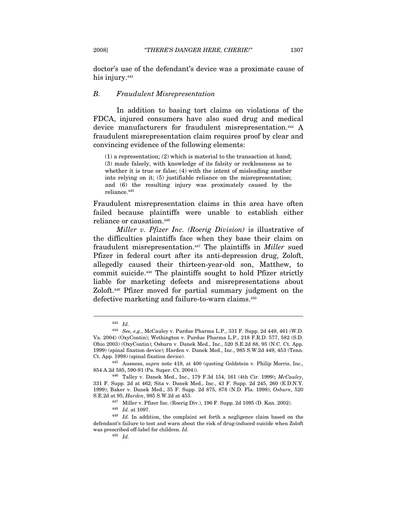doctor's use of the defendant's device was a proximate cause of his injury.<sup>443</sup>

#### B. Fraudulent Misrepresentation

In addition to basing tort claims on violations of the FDCA, injured consumers have also sued drug and medical device manufacturers for fraudulent misrepresentation.444 A fraudulent misrepresentation claim requires proof by clear and convincing evidence of the following elements:

(1) a representation; (2) which is material to the transaction at hand; (3) made falsely, with knowledge of its falsity or recklessness as to whether it is true or false; (4) with the intent of misleading another into relying on it; (5) justifiable reliance on the misrepresentation; and (6) the resulting injury was proximately caused by the reliance.445

Fraudulent misrepresentation claims in this area have often failed because plaintiffs were unable to establish either reliance or causation.446

Miller v. Pfizer Inc. (Roerig Division) is illustrative of the difficulties plaintiffs face when they base their claim on fraudulent misrepresentation.<sup>447</sup> The plaintiffs in *Miller* sued Pfizer in federal court after its anti-depression drug, Zoloft, allegedly caused their thirteen-year-old son, Matthew, to commit suicide.448 The plaintiffs sought to hold Pfizer strictly liable for marketing defects and misrepresentations about Zoloft.449 Pfizer moved for partial summary judgment on the defective marketing and failure-to-warn claims.<sup>450</sup>

<sup>443</sup> Id.

<sup>444</sup> See, e.g., McCauley v. Purdue Pharma L.P., 331 F. Supp. 2d 449, 461 (W.D. Va. 2004) (OxyContin); Wethington v. Purdue Pharma L.P., 218 F.R.D. 577, 582 (S.D. Ohio 2003) (OxyContin); Osburn v. Danek Med., Inc., 520 S.E.2d 88, 95 (N.C. Ct. App. 1999) (spinal fixation device); Harden v. Danek Med., Inc., 985 S.W.2d 449, 453 (Tenn.

Ct. App. 1998) (spinal fixation device).<br>  $445$  Ausness, *supra* note 418, at 400 (quoting Goldstein v. Philip Morris, Inc., 854 A.2d 585, 590-91 (Pa. Super. Ct. 2004)).

 $^{446}$  Talley v. Danek Med., Inc., 179 F.3d 154, 161 (4th Cir. 1999); McCauley, 331 F. Supp. 2d at 462; Sita v. Danek Med., Inc., 43 F. Supp. 2d 245, 260 (E.D.N.Y. 1999); Baker v. Danek Med., 35 F. Supp. 2d 875, 878 (N.D. Fla. 1998); Osburn, 520 S.E.2d at 95; Harden, 985 S.W.2d at 453. 447 Miller v. Pfizer Inc. (Roerig Div.), 196 F. Supp. 2d 1095 (D. Kan. 2002).

 $\frac{448}{12}$  Id. in addition, the complaint set forth a negligence claim based on the defendant's failure to test and warn about the risk of drug-induced suicide when Zoloft was prescribed off-label for children. Id.

<sup>450</sup> Id.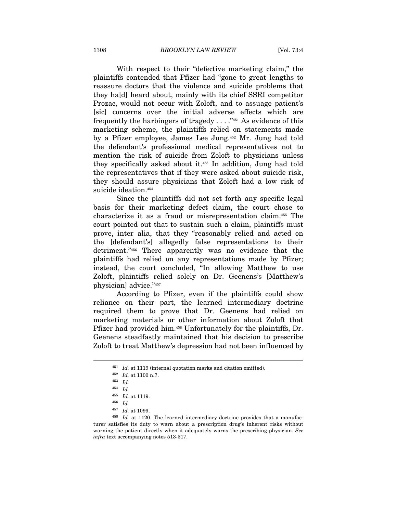With respect to their "defective marketing claim," the plaintiffs contended that Pfizer had "gone to great lengths to reassure doctors that the violence and suicide problems that they ha[d] heard about, mainly with its chief SSRI competitor Prozac, would not occur with Zoloft, and to assuage patient's [sic] concerns over the initial adverse effects which are frequently the harbingers of tragedy  $\dots$ ."<sup>451</sup> As evidence of this marketing scheme, the plaintiffs relied on statements made by a Pfizer employee, James Lee Jung.452 Mr. Jung had told the defendant's professional medical representatives not to mention the risk of suicide from Zoloft to physicians unless they specifically asked about it.453 In addition, Jung had told the representatives that if they were asked about suicide risk, they should assure physicians that Zoloft had a low risk of suicide ideation.<sup>454</sup>

Since the plaintiffs did not set forth any specific legal basis for their marketing defect claim, the court chose to characterize it as a fraud or misrepresentation claim.455 The court pointed out that to sustain such a claim, plaintiffs must prove, inter alia, that they "reasonably relied and acted on the [defendant's] allegedly false representations to their detriment."456 There apparently was no evidence that the plaintiffs had relied on any representations made by Pfizer; instead, the court concluded, "In allowing Matthew to use Zoloft, plaintiffs relied solely on Dr. Geenens's [Matthew's physician] advice."457

According to Pfizer, even if the plaintiffs could show reliance on their part, the learned intermediary doctrine required them to prove that Dr. Geenens had relied on marketing materials or other information about Zoloft that Pfizer had provided him.458 Unfortunately for the plaintiffs, Dr. Geenens steadfastly maintained that his decision to prescribe Zoloft to treat Matthew's depression had not been influenced by

 $451$  *Id.* at 1119 (internal quotation marks and citation omitted).

 $\begin{array}{ll} \mbox{452} & \mbox{Id. at 1100 n.7.}\\ \mbox{453} & \mbox{Id.} \end{array}$ 

<sup>454</sup> Id.

 $\begin{array}{ll} 455 & Id. \text{ at } 1119. \\ 456 & Id. \end{array}$ 

<sup>&</sup>lt;sup>457</sup> Id. at 1099.<br><sup>458</sup> Id. at 1120. The learned intermediary doctrine provides that a manufacturer satisfies its duty to warn about a prescription drug's inherent risks without warning the patient directly when it adequately warns the prescribing physician. See infra text accompanying notes 513-517.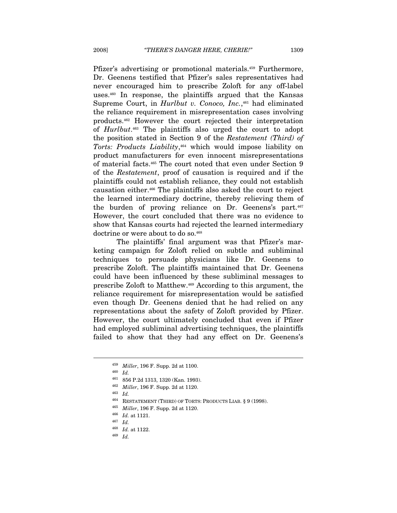Pfizer's advertising or promotional materials.<sup>459</sup> Furthermore, Dr. Geenens testified that Pfizer's sales representatives had never encouraged him to prescribe Zoloft for any off-label uses.460 In response, the plaintiffs argued that the Kansas Supreme Court, in *Hurlbut v. Conoco, Inc.*,<sup>461</sup> had eliminated the reliance requirement in misrepresentation cases involving products.462 However the court rejected their interpretation of Hurlbut.463 The plaintiffs also urged the court to adopt the position stated in Section 9 of the Restatement (Third) of Torts: Products Liability,464 which would impose liability on product manufacturers for even innocent misrepresentations of material facts.465 The court noted that even under Section 9 of the Restatement, proof of causation is required and if the plaintiffs could not establish reliance, they could not establish causation either.466 The plaintiffs also asked the court to reject the learned intermediary doctrine, thereby relieving them of the burden of proving reliance on Dr. Geenens's part.467 However, the court concluded that there was no evidence to show that Kansas courts had rejected the learned intermediary doctrine or were about to do so.468

The plaintiffs' final argument was that Pfizer's marketing campaign for Zoloft relied on subtle and subliminal techniques to persuade physicians like Dr. Geenens to prescribe Zoloft. The plaintiffs maintained that Dr. Geenens could have been influenced by these subliminal messages to prescribe Zoloft to Matthew.469 According to this argument, the reliance requirement for misrepresentation would be satisfied even though Dr. Geenens denied that he had relied on any representations about the safety of Zoloft provided by Pfizer. However, the court ultimately concluded that even if Pfizer had employed subliminal advertising techniques, the plaintiffs failed to show that they had any effect on Dr. Geenens's

<sup>459</sup> Miller, 196 F. Supp. 2d at 1100. 460 Id.

<sup>461 856</sup> P.2d 1313, 1320 (Kan. 1993).<br>
462 *Miller*, 196 F. Supp. 2d at 1120.<br>
463 Id.

<sup>&</sup>lt;sup>464</sup> RESTATEMENT (THIRD) OF TORTS: PRODUCTS LIAB. § 9 (1998).<br><sup>465</sup> *Miller*, 196 F. Supp. 2d at 1120.<br><sup>466</sup> *Id.* at 1121.

<sup>467</sup> Id.

 $\frac{468}{469}$  *Id.* at 1122.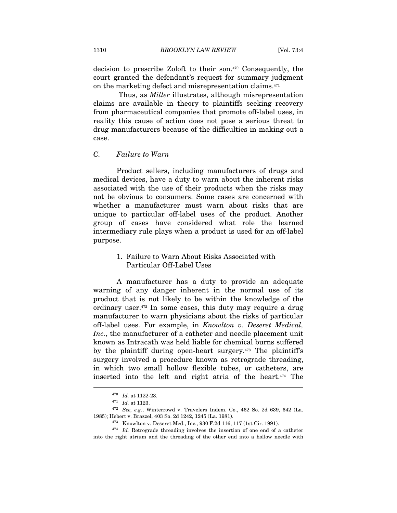decision to prescribe Zoloft to their son.470 Consequently, the court granted the defendant's request for summary judgment on the marketing defect and misrepresentation claims.471

 Thus, as Miller illustrates, although misrepresentation claims are available in theory to plaintiffs seeking recovery from pharmaceutical companies that promote off-label uses, in reality this cause of action does not pose a serious threat to drug manufacturers because of the difficulties in making out a case.

### C. Failure to Warn

Product sellers, including manufacturers of drugs and medical devices, have a duty to warn about the inherent risks associated with the use of their products when the risks may not be obvious to consumers. Some cases are concerned with whether a manufacturer must warn about risks that are unique to particular off-label uses of the product. Another group of cases have considered what role the learned intermediary rule plays when a product is used for an off-label purpose.

> 1. Failure to Warn About Risks Associated with Particular Off-Label Uses

A manufacturer has a duty to provide an adequate warning of any danger inherent in the normal use of its product that is not likely to be within the knowledge of the ordinary user.472 In some cases, this duty may require a drug manufacturer to warn physicians about the risks of particular off-label uses. For example, in Knowlton v. Deseret Medical, Inc., the manufacturer of a catheter and needle placement unit known as Intracath was held liable for chemical burns suffered by the plaintiff during open-heart surgery.473 The plaintiff's surgery involved a procedure known as retrograde threading, in which two small hollow flexible tubes, or catheters, are inserted into the left and right atria of the heart.474 The

 $^{470}$  *Id.* at 1122-23.<br> $^{471}$  *Id.* at 1123.

 $^{472}$  See, e.g., Winterrowd v. Travelers Indem. Co., 462 So. 2d 639, 642 (La. 1985); Hebert v. Brazzel, 403 So. 2d 1242, 1245 (La. 1981).<br><sup>473</sup> Knowlton v. Deseret Med., Inc., 930 F.2d 116, 117 (1st Cir. 1991).<br><sup>474</sup> Id. Retrograde threading involves the insertion of one end of a catheter

into the right atrium and the threading of the other end into a hollow needle with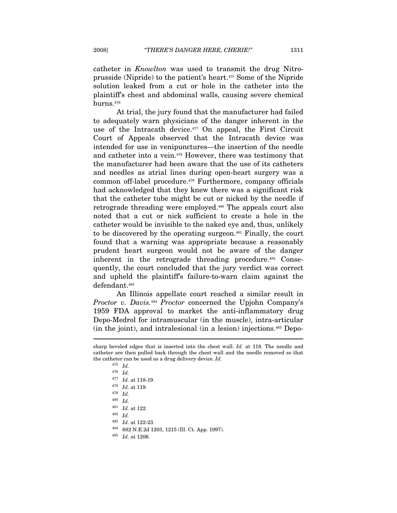catheter in Knowlton was used to transmit the drug Nitroprusside (Nipride) to the patient's heart.475 Some of the Nipride solution leaked from a cut or hole in the catheter into the plaintiff's chest and abdominal walls, causing severe chemical burns.476

At trial, the jury found that the manufacturer had failed to adequately warn physicians of the danger inherent in the use of the Intracath device.<sup>477</sup> On appeal, the First Circuit Court of Appeals observed that the Intracath device was intended for use in venipunctures—the insertion of the needle and catheter into a vein.478 However, there was testimony that the manufacturer had been aware that the use of its catheters and needles as atrial lines during open-heart surgery was a common off-label procedure.<sup>479</sup> Furthermore, company officials had acknowledged that they knew there was a significant risk that the catheter tube might be cut or nicked by the needle if retrograde threading were employed.480 The appeals court also noted that a cut or nick sufficient to create a hole in the catheter would be invisible to the naked eye and, thus, unlikely to be discovered by the operating surgeon.481 Finally, the court found that a warning was appropriate because a reasonably prudent heart surgeon would not be aware of the danger inherent in the retrograde threading procedure.482 Consequently, the court concluded that the jury verdict was correct and upheld the plaintiff's failure-to-warn claim against the defendant.483

An Illinois appellate court reached a similar result in Proctor v. Davis.<sup>484</sup> Proctor concerned the Upjohn Company's 1959 FDA approval to market the anti-inflammatory drug Depo-Medrol for intramuscular (in the muscle), intra-articular (in the joint), and intralesional (in a lesion) injections.485 Depo-

<sup>480</sup> Id.

sharp beveled edges that is inserted into the chest wall. Id. at 118. The needle and catheter are then pulled back through the chest wall and the needle removed so that the catheter can be used as a drug delivery device. Id.

 $^{475}\,$   $Id.$ 

<sup>476</sup> Id.

 $\frac{477}{478}$  *Id.* at 118-19.<br> $\frac{478}{479}$  *Id.* 

<sup>&</sup>lt;sup>481</sup> *Id.* at 122.<br><sup>482</sup> *Id.* 

<sup>483</sup> Id. at 122-23.<br>
484 682 N.E.2d 1203, 1215 (Ill. Ct. App. 1997).<br>
485 Id. at 1206.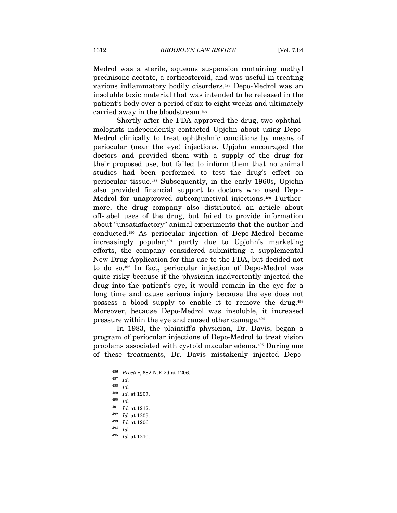Medrol was a sterile, aqueous suspension containing methyl prednisone acetate, a corticosteroid, and was useful in treating various inflammatory bodily disorders.486 Depo-Medrol was an insoluble toxic material that was intended to be released in the patient's body over a period of six to eight weeks and ultimately carried away in the bloodstream.487

Shortly after the FDA approved the drug, two ophthalmologists independently contacted Upjohn about using Depo-Medrol clinically to treat ophthalmic conditions by means of periocular (near the eye) injections. Upjohn encouraged the doctors and provided them with a supply of the drug for their proposed use, but failed to inform them that no animal studies had been performed to test the drug's effect on periocular tissue.488 Subsequently, in the early 1960s, Upjohn also provided financial support to doctors who used Depo-Medrol for unapproved subconjunctival injections.<sup>489</sup> Furthermore, the drug company also distributed an article about off-label uses of the drug, but failed to provide information about "unsatisfactory" animal experiments that the author had conducted.490 As periocular injection of Depo-Medrol became increasingly popular,491 partly due to Upjohn's marketing efforts, the company considered submitting a supplemental New Drug Application for this use to the FDA, but decided not to do so.492 In fact, periocular injection of Depo-Medrol was quite risky because if the physician inadvertently injected the drug into the patient's eye, it would remain in the eye for a long time and cause serious injury because the eye does not possess a blood supply to enable it to remove the drug.493 Moreover, because Depo-Medrol was insoluble, it increased pressure within the eye and caused other damage.494

In 1983, the plaintiff's physician, Dr. Davis, began a program of periocular injections of Depo-Medrol to treat vision problems associated with cystoid macular edema.495 During one of these treatments, Dr. Davis mistakenly injected Depo-

<sup>&</sup>lt;sup>486</sup> Proctor, 682 N.E.2d at 1206.<br><sup>487</sup> Id.

<sup>488</sup> Id.

<sup>&</sup>lt;sup>489</sup> *Id.* at 1207.<br><sup>490</sup> *Id.*  $I$ <sup>491</sup> *Id.* at 1212.

 $492$  *Id.* at 1209.

<sup>&</sup>lt;sup>493</sup> *Id.* at 1206<br><sup>494</sup> *Id.* 

 $^{495}\;$   $Id.\;$  at 1210.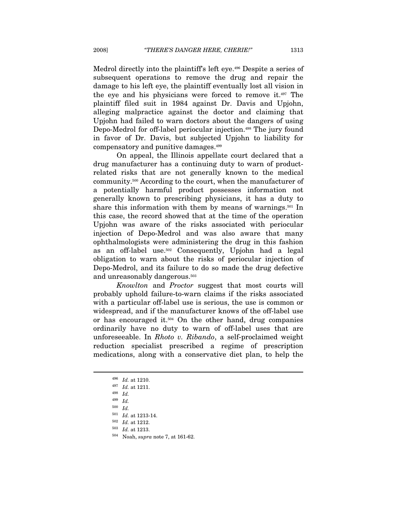Medrol directly into the plaintiff's left eye.496 Despite a series of subsequent operations to remove the drug and repair the damage to his left eye, the plaintiff eventually lost all vision in the eye and his physicians were forced to remove it.497 The plaintiff filed suit in 1984 against Dr. Davis and Upjohn, alleging malpractice against the doctor and claiming that Upjohn had failed to warn doctors about the dangers of using Depo-Medrol for off-label periocular injection.498 The jury found in favor of Dr. Davis, but subjected Upjohn to liability for compensatory and punitive damages.499

On appeal, the Illinois appellate court declared that a drug manufacturer has a continuing duty to warn of productrelated risks that are not generally known to the medical community.500 According to the court, when the manufacturer of a potentially harmful product possesses information not generally known to prescribing physicians, it has a duty to share this information with them by means of warnings.<sup>501</sup> In this case, the record showed that at the time of the operation Upjohn was aware of the risks associated with periocular injection of Depo-Medrol and was also aware that many ophthalmologists were administering the drug in this fashion as an off-label use.502 Consequently, Upjohn had a legal obligation to warn about the risks of periocular injection of Depo-Medrol, and its failure to do so made the drug defective and unreasonably dangerous.503

Knowlton and Proctor suggest that most courts will probably uphold failure-to-warn claims if the risks associated with a particular off-label use is serious, the use is common or widespread, and if the manufacturer knows of the off-label use or has encouraged it.504 On the other hand, drug companies ordinarily have no duty to warn of off-label uses that are unforeseeable. In Rhoto v. Ribando, a self-proclaimed weight reduction specialist prescribed a regime of prescription medications, along with a conservative diet plan, to help the

<sup>&</sup>lt;sup>496</sup> *Id.* at 1210.<br><sup>497</sup> *Id.* at 1211.<br><sup>498</sup> *Id.* 

 $\begin{array}{cc} 499 & Id. \\ 500 & Id. \end{array}$ 

 $501$  *Id.* at 1213-14.

 $^{502}$  *Id.* at 1212.<br>  $^{503}$  *Id.* at 1213.<br>  $^{504}$  Noah, *supra* note 7, at 161-62.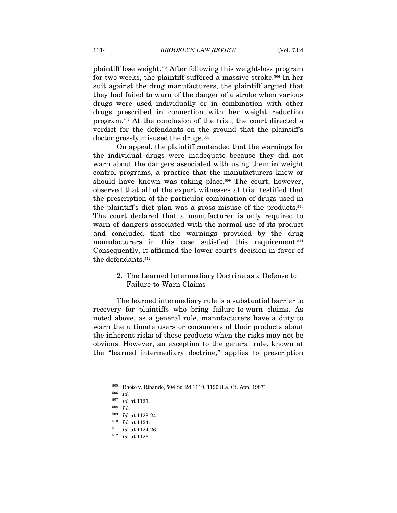plaintiff lose weight.505 After following this weight-loss program for two weeks, the plaintiff suffered a massive stroke.506 In her suit against the drug manufacturers, the plaintiff argued that they had failed to warn of the danger of a stroke when various drugs were used individually or in combination with other drugs prescribed in connection with her weight reduction program.507 At the conclusion of the trial, the court directed a verdict for the defendants on the ground that the plaintiff's doctor grossly misused the drugs.<sup>508</sup>

On appeal, the plaintiff contended that the warnings for the individual drugs were inadequate because they did not warn about the dangers associated with using them in weight control programs, a practice that the manufacturers knew or should have known was taking place.<sup>509</sup> The court, however, observed that all of the expert witnesses at trial testified that the prescription of the particular combination of drugs used in the plaintiff's diet plan was a gross misuse of the products.510 The court declared that a manufacturer is only required to warn of dangers associated with the normal use of its product and concluded that the warnings provided by the drug manufacturers in this case satisfied this requirement.<sup>511</sup> Consequently, it affirmed the lower court's decision in favor of the defendants.512

## 2. The Learned Intermediary Doctrine as a Defense to Failure-to-Warn Claims

The learned intermediary rule is a substantial barrier to recovery for plaintiffs who bring failure-to-warn claims. As noted above, as a general rule, manufacturers have a duty to warn the ultimate users or consumers of their products about the inherent risks of those products when the risks may not be obvious. However, an exception to the general rule, known at the "learned intermediary doctrine," applies to prescription

<sup>505</sup> Rhoto v. Ribando, 504 So. 2d 1119, 1120 (La. Ct. App. 1987).<br>
506 Id.<br>
507 Id. at 1121.<br>
508 Id

<sup>509</sup> Id. at 1123-24.

 $\begin{array}{cc} 510 & Id. \text{ at } 1124. \\ 511 & Id. \text{ at } 1124-26. \end{array}$ <br>  $\begin{array}{cc} 512 & Id. \text{ at } 1126. \end{array}$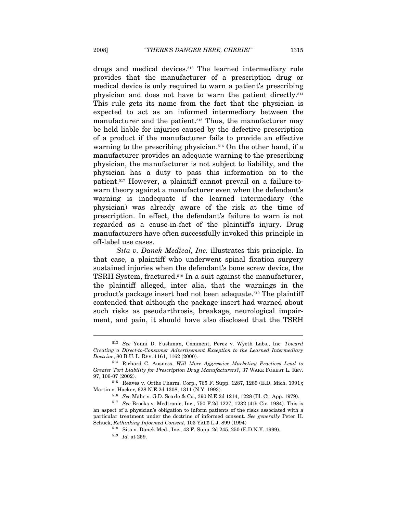drugs and medical devices.513 The learned intermediary rule provides that the manufacturer of a prescription drug or medical device is only required to warn a patient's prescribing physician and does not have to warn the patient directly.514 This rule gets its name from the fact that the physician is expected to act as an informed intermediary between the manufacturer and the patient.515 Thus, the manufacturer may be held liable for injuries caused by the defective prescription of a product if the manufacturer fails to provide an effective warning to the prescribing physician.<sup>516</sup> On the other hand, if a manufacturer provides an adequate warning to the prescribing physician, the manufacturer is not subject to liability, and the physician has a duty to pass this information on to the patient.517 However, a plaintiff cannot prevail on a failure-towarn theory against a manufacturer even when the defendant's warning is inadequate if the learned intermediary (the physician) was already aware of the risk at the time of prescription. In effect, the defendant's failure to warn is not regarded as a cause-in-fact of the plaintiff's injury. Drug manufacturers have often successfully invoked this principle in off-label use cases.

Sita v. Danek Medical, Inc. illustrates this principle. In that case, a plaintiff who underwent spinal fixation surgery sustained injuries when the defendant's bone screw device, the TSRH System, fractured.518 In a suit against the manufacturer, the plaintiff alleged, inter alia, that the warnings in the product's package insert had not been adequate.519 The plaintiff contended that although the package insert had warned about such risks as pseudarthrosis, breakage, neurological impairment, and pain, it should have also disclosed that the TSRH

<sup>513</sup> See Yonni D. Fushman, Comment, Perez v. Wyeth Labs., Inc: Toward Creating a Direct-to-Consumer Advertisement Exception to the Learned Intermediary

 $^{514}$  Richard C. Ausness, Will More Aggressive Marketing Practices Lead to Greater Tort Liability for Prescription Drug Manufacturers?, 37 WAKE FOREST L. REV. 97, 106-07 (2002).<br><sup>515</sup> Reaves v. Ortho Pharm. Corp., 765 F. Supp. 1287, 1289 (E.D. Mich. 1991);

Martin v. Hacker, 628 N.E.2d 1308, 1311 (N.Y. 1993).<br><sup>516</sup> See Mahr v. G.D. Searle & Co., 390 N.E.2d 1214, 1228 (Ill. Ct. App. 1979).<br><sup>517</sup> See Brooks v. Medtronic, Inc., 750 F.2d 1227, 1232 (4th Cir. 1984). This is

an aspect of a physician's obligation to inform patients of the risks associated with a particular treatment under the doctrine of informed consent. See generally Peter H. Schuck, Rethinking Informed Consent, 103 YALE L.J. 899 (1994)<br><sup>518</sup> Sita v. Danek Med., Inc., 43 F. Supp. 2d 245, 250 (E.D.N.Y. 1999).<br><sup>519</sup> Id. at 259.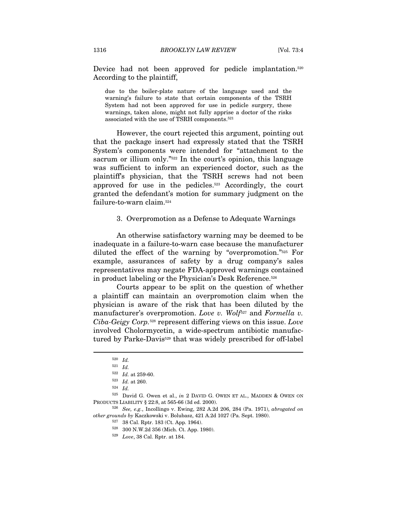Device had not been approved for pedicle implantation.<sup>520</sup> According to the plaintiff,

due to the boiler-plate nature of the language used and the warning's failure to state that certain components of the TSRH System had not been approved for use in pedicle surgery, these warnings, taken alone, might not fully apprise a doctor of the risks associated with the use of TSRH components.521

However, the court rejected this argument, pointing out that the package insert had expressly stated that the TSRH System's components were intended for "attachment to the sacrum or illium only."<sup>522</sup> In the court's opinion, this language was sufficient to inform an experienced doctor, such as the plaintiff's physician, that the TSRH screws had not been approved for use in the pedicles.523 Accordingly, the court granted the defendant's motion for summary judgment on the failure-to-warn claim.524

3. Overpromotion as a Defense to Adequate Warnings

An otherwise satisfactory warning may be deemed to be inadequate in a failure-to-warn case because the manufacturer diluted the effect of the warning by "overpromotion."525 For example, assurances of safety by a drug company's sales representatives may negate FDA-approved warnings contained in product labeling or the Physician's Desk Reference.<sup>526</sup>

Courts appear to be split on the question of whether a plaintiff can maintain an overpromotion claim when the physician is aware of the risk that has been diluted by the manufacturer's overpromotion. Love v. Wolf<sup>527</sup> and Formella v. Ciba-Geigy Corp.528 represent differing views on this issue. Love involved Cholormycetin, a wide-spectrum antibiotic manufactured by Parke-Davis<sup>529</sup> that was widely prescribed for off-label

 $\overline{a}$ 

525 David G. Owen et al., in 2 DAVID G. OWEN ET AL., MADDEN & OWEN ON PRODUCTS LIABILITY § 22:8, at 565-66 (3d ed. 2000).<br><sup>526</sup> See, e.g., Incollingo v. Ewing, 282 A.2d 206, 284 (Pa. 1971), abrogated on

% other grounds by Kaczkowski v. Bolubasz, 421 A.2d 1027 (Pa. Sept. 1980). 527 38 Cal. Rptr. 183 (Ct. App. 1964). 528 300 N.W.2d 356 (Mich. Ct. App. 1980). 529 Love, 38 Cal. Rptr. at 184.

 $^{520}\;$   $Id.$ 

 $^{521}\,$   $Id.$ 

 $522$  *Id.* at 259-60.

 $\frac{523}{524}$  *Id.* at 260.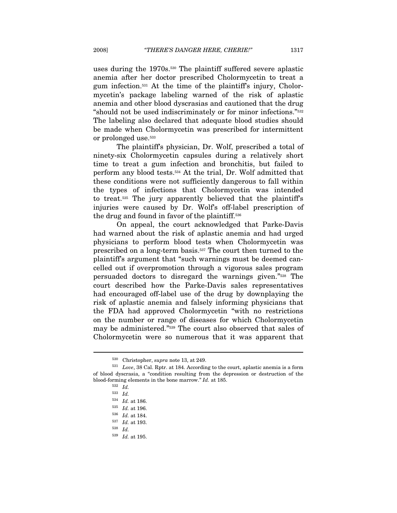uses during the 1970s.530 The plaintiff suffered severe aplastic anemia after her doctor prescribed Cholormycetin to treat a gum infection.531 At the time of the plaintiff's injury, Cholormycetin's package labeling warned of the risk of aplastic anemia and other blood dyscrasias and cautioned that the drug "should not be used indiscriminately or for minor infections."532 The labeling also declared that adequate blood studies should be made when Cholormycetin was prescribed for intermittent or prolonged use.533

The plaintiff's physician, Dr. Wolf, prescribed a total of ninety-six Cholormycetin capsules during a relatively short time to treat a gum infection and bronchitis, but failed to perform any blood tests.534 At the trial, Dr. Wolf admitted that these conditions were not sufficiently dangerous to fall within the types of infections that Cholormycetin was intended to treat.535 The jury apparently believed that the plaintiff's injuries were caused by Dr. Wolf's off-label prescription of the drug and found in favor of the plaintiff.536

On appeal, the court acknowledged that Parke-Davis had warned about the risk of aplastic anemia and had urged physicians to perform blood tests when Cholormycetin was prescribed on a long-term basis.537 The court then turned to the plaintiff's argument that "such warnings must be deemed cancelled out if overpromotion through a vigorous sales program persuaded doctors to disregard the warnings given."538 The court described how the Parke-Davis sales representatives had encouraged off-label use of the drug by downplaying the risk of aplastic anemia and falsely informing physicians that the FDA had approved Cholormycetin "with no restrictions on the number or range of diseases for which Cholormycetin may be administered."539 The court also observed that sales of Cholormycetin were so numerous that it was apparent that

<sup>&</sup>lt;sup>530</sup> Christopher, *supra* note 13, at 249.<br><sup>531</sup> Love, 38 Cal. Rptr. at 184. According to the court, aplastic anemia is a form of blood dyscrasia, a "condition resulting from the depression or destruction of the blood-forming elements in the bone marrow." Id. at 185.  $Id.$  533 Id. 54 Id. at 186.

 $\begin{array}{cc} 535 & Id. \text{ at } 196. \\ 536 & Id. \text{ at } 184. \end{array}$ 

 $\begin{array}{cc} 537 & Id. \ 538 & Id. \end{array}$ 

 $^{539}\,$   $\,$   $Id.\,$  at 195.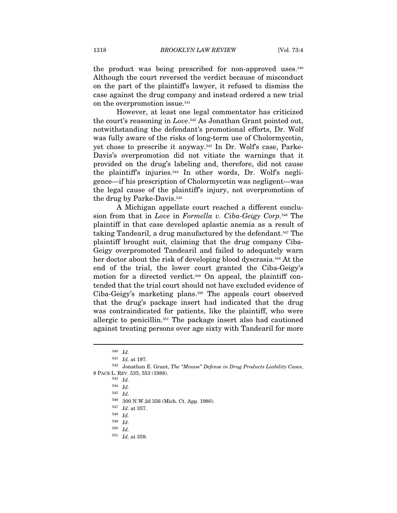the product was being prescribed for non-approved uses.<sup>540</sup> Although the court reversed the verdict because of misconduct on the part of the plaintiff's lawyer, it refused to dismiss the case against the drug company and instead ordered a new trial on the overpromotion issue.<sup>541</sup>

However, at least one legal commentator has criticized the court's reasoning in Love.<sup>542</sup> As Jonathan Grant pointed out, notwithstanding the defendant's promotional efforts, Dr. Wolf was fully aware of the risks of long-term use of Cholormycetin, yet chose to prescribe it anyway.543 In Dr. Wolf's case, Parke-Davis's overpromotion did not vitiate the warnings that it provided on the drug's labeling and, therefore, did not cause the plaintiff's injuries.544 In other words, Dr. Wolf's negligence—if his prescription of Cholormycetin was negligent—was the legal cause of the plaintiff's injury, not overpromotion of the drug by Parke-Davis.<sup>545</sup>

A Michigan appellate court reached a different conclusion from that in Love in Formella v. Ciba-Geigy Corp.<sup>546</sup> The plaintiff in that case developed aplastic anemia as a result of taking Tandearil, a drug manufactured by the defendant.547 The plaintiff brought suit, claiming that the drug company Ciba-Geigy overpromoted Tandearil and failed to adequately warn her doctor about the risk of developing blood dyscrasia.<sup>548</sup> At the end of the trial, the lower court granted the Ciba-Geigy's motion for a directed verdict.<sup>549</sup> On appeal, the plaintiff contended that the trial court should not have excluded evidence of Ciba-Geigy's marketing plans.550 The appeals court observed that the drug's package insert had indicated that the drug was contraindicated for patients, like the plaintiff, who were allergic to penicillin.551 The package insert also had cautioned against treating persons over age sixty with Tandearil for more

 $540$  Id.

 $541$  *Id.* at 197.<br> $542$  Jonathan E. Grant, *The "Misuse" Defense in Drug Products Liability Cases*, 8 PACE L. REV. 535, 553 (1988).<br>  $\frac{543}{Id.}$ 

<sup>544</sup> Id.

 $^{545}\,$   $Id.$ 

 $^{546}_{\phantom{1}\phantom{1}546}$  300 N.W.2d 356 (Mich. Ct. App. 1980).  $^{547}_{\phantom{1}\phantom{1}548}$   $Id.$  at 357.

<sup>549</sup> Id.

<sup>550</sup> Id.

 $^{551}\,$   $Id.\,$  at 359.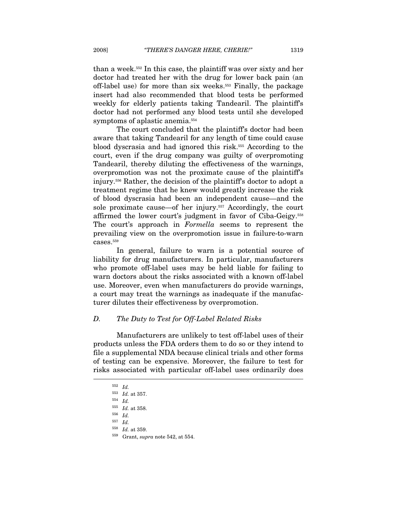than a week.552 In this case, the plaintiff was over sixty and her doctor had treated her with the drug for lower back pain (an off-label use) for more than six weeks.553 Finally, the package insert had also recommended that blood tests be performed weekly for elderly patients taking Tandearil. The plaintiff's doctor had not performed any blood tests until she developed symptoms of aplastic anemia.<sup>554</sup>

The court concluded that the plaintiff's doctor had been aware that taking Tandearil for any length of time could cause blood dyscrasia and had ignored this risk.555 According to the court, even if the drug company was guilty of overpromoting Tandearil, thereby diluting the effectiveness of the warnings, overpromotion was not the proximate cause of the plaintiff's injury.556 Rather, the decision of the plaintiff's doctor to adopt a treatment regime that he knew would greatly increase the risk of blood dyscrasia had been an independent cause—and the sole proximate cause—of her injury.557 Accordingly, the court affirmed the lower court's judgment in favor of Ciba-Geigy.558 The court's approach in Formella seems to represent the prevailing view on the overpromotion issue in failure-to-warn cases.559

In general, failure to warn is a potential source of liability for drug manufacturers. In particular, manufacturers who promote off-label uses may be held liable for failing to warn doctors about the risks associated with a known off-label use. Moreover, even when manufacturers do provide warnings, a court may treat the warnings as inadequate if the manufacturer dilutes their effectiveness by overpromotion.

# D. The Duty to Test for Off-Label Related Risks

Manufacturers are unlikely to test off-label uses of their products unless the FDA orders them to do so or they intend to file a supplemental NDA because clinical trials and other forms of testing can be expensive. Moreover, the failure to test for risks associated with particular off-label uses ordinarily does

 $^{552}\,$   $Id.$ 

 $\begin{array}{cc} 553 & Id. \ 554 & Id. \end{array}$ 

 $\begin{array}{cc} 555 & Id. \ 556 & Id. \end{array}$ 

<sup>557</sup> Id.

 $\,\rm ^{558}$   $\,$   $Id.$  at 359. Grant,  $supra$  note 542, at 554.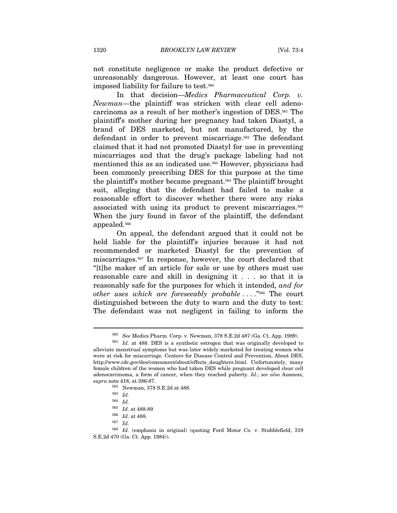not constitute negligence or make the product defective or unreasonably dangerous. However, at least one court has imposed liability for failure to test.560

In that decision—Medics Pharmaceutical Corp. v. Newman—the plaintiff was stricken with clear cell adenocarcinoma as a result of her mother's ingestion of DES.561 The plaintiff's mother during her pregnancy had taken Diastyl, a brand of DES marketed, but not manufactured, by the defendant in order to prevent miscarriage.562 The defendant claimed that it had not promoted Diastyl for use in preventing miscarriages and that the drug's package labeling had not mentioned this as an indicated use.563 However, physicians had been commonly prescribing DES for this purpose at the time the plaintiff's mother became pregnant.564 The plaintiff brought suit, alleging that the defendant had failed to make a reasonable effort to discover whether there were any risks associated with using its product to prevent miscarriages.565 When the jury found in favor of the plaintiff, the defendant appealed.566

On appeal, the defendant argued that it could not be held liable for the plaintiff's injuries because it had not recommended or marketed Diastyl for the prevention of miscarriages.567 In response, however, the court declared that "[t]he maker of an article for sale or use by others must use reasonable care and skill in designing it . . . so that it is reasonably safe for the purposes for which it intended, and for other uses which are foreseeably probable . . . ."568 The court distinguished between the duty to warn and the duty to test: The defendant was not negligent in failing to inform the

 $560$  See Medics Pharm. Corp. v. Newman, 378 S.E.2d 487 (Ga. Ct. App. 1989).  $161$  Id. at 488. DES is a synthetic estrogen that was originally developed to

alleviate menstrual symptoms but was later widely marketed for treating women who were at risk for miscarriage. Centers for Disease Control and Prevention, About DES, http://www.cdc.gov/des/consumers/about/effects\_daughters.html. Unfortunately, many female children of the women who had taken DES while pregnant developed clear cell adenocarcinoma, a form of cancer, when they reached puberty. Id.; see also Ausness, supra note 418, at 386-87.

 $^{562}$  Newman, 378 S.E.2d at 488.<br> $^{563}$  Id.

<sup>564</sup> Id.

 $\frac{565}{566}$  *Id.* at 488-89.<br>  $\frac{566}{567}$  *Id.* 

<sup>568</sup> Id. (emphasis in original) (quoting Ford Motor Co. v. Stubblefield, 319 S.E.2d 470 (Ga. Ct. App. 1984)).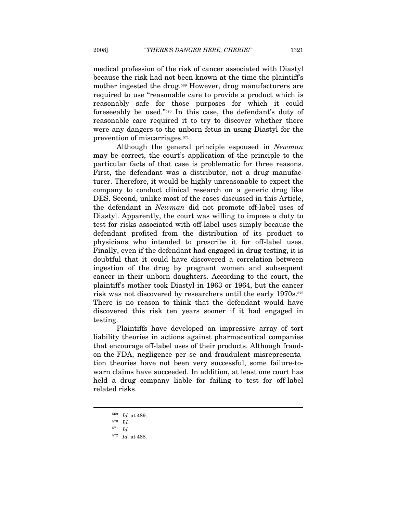medical profession of the risk of cancer associated with Diastyl because the risk had not been known at the time the plaintiff's mother ingested the drug.<sup>569</sup> However, drug manufacturers are required to use "reasonable care to provide a product which is reasonably safe for those purposes for which it could foreseeably be used."570 In this case, the defendant's duty of reasonable care required it to try to discover whether there were any dangers to the unborn fetus in using Diastyl for the prevention of miscarriages.571

Although the general principle espoused in Newman may be correct, the court's application of the principle to the particular facts of that case is problematic for three reasons. First, the defendant was a distributor, not a drug manufacturer. Therefore, it would be highly unreasonable to expect the company to conduct clinical research on a generic drug like DES. Second, unlike most of the cases discussed in this Article, the defendant in Newman did not promote off-label uses of Diastyl. Apparently, the court was willing to impose a duty to test for risks associated with off-label uses simply because the defendant profited from the distribution of its product to physicians who intended to prescribe it for off-label uses. Finally, even if the defendant had engaged in drug testing, it is doubtful that it could have discovered a correlation between ingestion of the drug by pregnant women and subsequent cancer in their unborn daughters. According to the court, the plaintiff's mother took Diastyl in 1963 or 1964, but the cancer risk was not discovered by researchers until the early 1970s.572 There is no reason to think that the defendant would have discovered this risk ten years sooner if it had engaged in testing.

Plaintiffs have developed an impressive array of tort liability theories in actions against pharmaceutical companies that encourage off-label uses of their products. Although fraudon-the-FDA, negligence per se and fraudulent misrepresentation theories have not been very successful, some failure-towarn claims have succeeded. In addition, at least one court has held a drug company liable for failing to test for off-label related risks.

<sup>569</sup> Id. at 489.

 $^{570}\;$   $Id.$ 

 $^{571}\,$   $Id.$ 

 $^{572}\;$   $Id.\;$  at 488.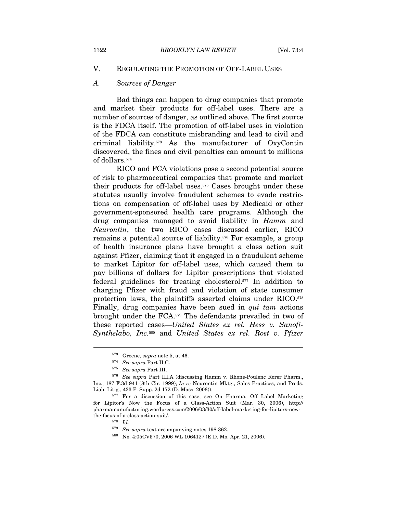### V. REGULATING THE PROMOTION OF OFF-LABEL USES

#### A. Sources of Danger

Bad things can happen to drug companies that promote and market their products for off-label uses. There are a number of sources of danger, as outlined above. The first source is the FDCA itself. The promotion of off-label uses in violation of the FDCA can constitute misbranding and lead to civil and criminal liability.573 As the manufacturer of OxyContin discovered, the fines and civil penalties can amount to millions of dollars.574

RICO and FCA violations pose a second potential source of risk to pharmaceutical companies that promote and market their products for off-label uses.575 Cases brought under these statutes usually involve fraudulent schemes to evade restrictions on compensation of off-label uses by Medicaid or other government-sponsored health care programs. Although the drug companies managed to avoid liability in Hamm and Neurontin, the two RICO cases discussed earlier, RICO remains a potential source of liability.576 For example, a group of health insurance plans have brought a class action suit against Pfizer, claiming that it engaged in a fraudulent scheme to market Lipitor for off-label uses, which caused them to pay billions of dollars for Lipitor prescriptions that violated federal guidelines for treating cholesterol.577 In addition to charging Pfizer with fraud and violation of state consumer protection laws, the plaintiffs asserted claims under RICO.578 Finally, drug companies have been sued in qui tam actions brought under the FCA.579 The defendants prevailed in two of these reported cases—United States ex rel. Hess v. Sanofi-Synthelabo, Inc.580 and United States ex rel. Rost v. Pfizer

for Lipitor's Now the Focus of a Class-Action Suit (Mar. 30, 3006), http:// pharmamanufacturing.wordpress.com/2006/03/30/off-label-marketing-for-lipitors-nowthe-focus-of-a-class-action-suit/.<br> $^{578}$  Id.<br> $^{579}$  See supra text accompanying notes 198-362.

 $^{573}$  Greene, supra note 5, at 46.  $^{574}$  See supra Part II.C.

 $^{575}\,$  See supra Part III.<br> $^{576}\,$  See supra Part III.A (discussing Hamm v. Rhone-Poulenc Rorer Pharm., Inc., 187 F.3d 941 (8th Cir. 1999); In re Neurontin Mktg., Sales Practices, and Prods. Liab. Litig., 433 F. Supp. 2d 172 (D. Mass. 2006)). 577 For a discussion of this case, see On Pharma, Off Label Marketing

<sup>580</sup> No. 4:05CV570, 2006 WL 1064127 (E.D. Mo. Apr. 21, 2006).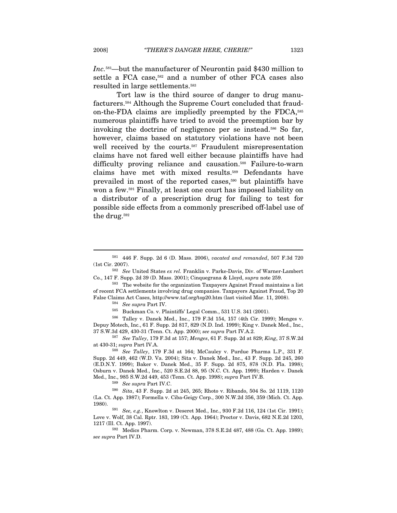Inc.581—but the manufacturer of Neurontin paid \$430 million to settle a FCA case,582 and a number of other FCA cases also resulted in large settlements.583

Tort law is the third source of danger to drug manufacturers.584 Although the Supreme Court concluded that fraudon-the-FDA claims are impliedly preempted by the FDCA,585 numerous plaintiffs have tried to avoid the preemption bar by invoking the doctrine of negligence per se instead.<sup>586</sup> So far, however, claims based on statutory violations have not been well received by the courts.<sup>587</sup> Fraudulent misrepresentation claims have not fared well either because plaintiffs have had difficulty proving reliance and causation.<sup>588</sup> Failure-to-warn claims have met with mixed results.589 Defendants have prevailed in most of the reported cases,590 but plaintiffs have won a few.591 Finally, at least one court has imposed liability on a distributor of a prescription drug for failing to test for possible side effects from a commonly prescribed off-label use of the drug.592

Co., 147 F. Supp. 2d 39 (D. Mass. 2001); Cinquegrana & Lloyd, supra note 259. 583 The website for the organization Taxpayers Against Fraud maintains a list

of recent FCA settlements involving drug companies. Taxpayers Against Fraud, Top 20

 $\overline{a}$ 

 ${\small \textbf{False Clains Act Cases}, \text{http://www.taf.org/top20.htm (last visited Mar. 11, 2008).} \\ ^{584} {\small See\,supra \, Part \, IV.} \\ ^{585} {\small Bee\,supra \, Part \, IV.} \\ ^{586} {\small Buckman Co. v. \, Plaintiffs'} \, Legal \, Comm., \, 531 \, U.S. \, 341 \, (2001). \\ ^{586} {\small Table y. \, Daniel \, Med., \, Inc., \, 179 \, F.3d \, 154, \, 157 \, (4th Cir. \, 1999); \, Menges \, v.} \\ \end$ Depuy Motech, Inc., 61 F. Supp. 2d 817, 829 (N.D. Ind. 1999); King v. Danek Med., Inc.,

 $37$  S.W.3d 429, 430-31 (Tenn. Ct. App. 2000); see supra Part IV.A.2.  $$^{587}$\,See~Talley, 179$  F.3d at 157; Menges, 61 F. Supp. 2d at 829; King, 37 S.W.2d at 430-31; supra Part IV.A.

588 See Talley, 179 F.3d at 164; McCauley v. Purdue Pharma L.P., 331 F. Supp. 2d 449, 462 (W.D. Va. 2004); Sita v. Danek Med., Inc., 43 F. Supp. 2d 245, 260 (E.D.N.Y. 1999); Baker v. Danek Med., 35 F. Supp. 2d 875, 878 (N.D. Fla. 1998); Osburn v. Danek Med., Inc., 520 S.E.2d 88, 95 (N.C. Ct. App. 1999); Harden v. Danek

Med., Inc., 985 S.W.2d 449, 453 (Tenn. Ct. App. 1998); *supra* Part IV.B.<br><sup>589</sup> See supra Part IV.C.<br><sup>590</sup> Sita, 43 F. Supp. 2d at 245, 265; Rhoto v. Ribando, 504 So. 2d 1119, 1120 (La. Ct. App. 1987); Formella v. Ciba-Geigy Corp., 300 N.W.2d 356, 359 (Mich. Ct. App. 1980).<br><sup>591</sup> See, e.g., Knowlton v. Deseret Med., Inc., 930 F.2d 116, 124 (1st Cir. 1991);

Love v. Wolf, 38 Cal. Rptr. 183, 199 (Ct. App. 1964); Proctor v. Davis, 682 N.E.2d 1203,

 $1217$  (Ill. Ct. App. 1997).  $$^{592}$$  Medics Pharm. Corp. v. Newman, 378 S.E.2d 487, 488 (Ga. Ct. App. 1989); see supra Part IV.D.

<sup>581 446</sup> F. Supp. 2d 6 (D. Mass. 2006), vacated and remanded, 507 F.3d 720 (1st Cir. 2007).  $582$  See United States ex rel. Franklin v. Parke-Davis, Div. of Warner-Lambert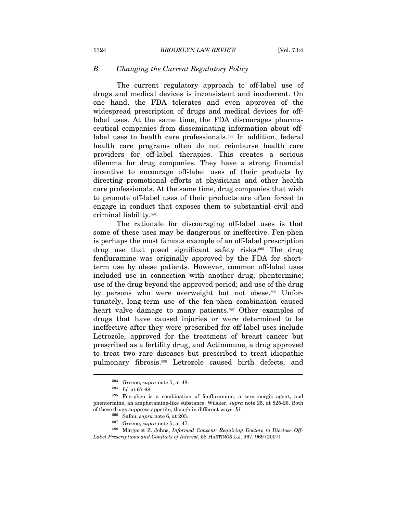## B. Changing the Current Regulatory Policy

The current regulatory approach to off-label use of drugs and medical devices is inconsistent and incoherent. On one hand, the FDA tolerates and even approves of the widespread prescription of drugs and medical devices for offlabel uses. At the same time, the FDA discourages pharmaceutical companies from disseminating information about offlabel uses to health care professionals.<sup>593</sup> In addition, federal health care programs often do not reimburse health care providers for off-label therapies. This creates a serious dilemma for drug companies. They have a strong financial incentive to encourage off-label uses of their products by directing promotional efforts at physicians and other health care professionals. At the same time, drug companies that wish to promote off-label uses of their products are often forced to engage in conduct that exposes them to substantial civil and criminal liability.594

The rationale for discouraging off-label uses is that some of these uses may be dangerous or ineffective. Fen-phen is perhaps the most famous example of an off-label prescription drug use that posed significant safety risks.595 The drug fenfluramine was originally approved by the FDA for shortterm use by obese patients. However, common off-label uses included use in connection with another drug, phentermine; use of the drug beyond the approved period; and use of the drug by persons who were overweight but not obese.596 Unfortunately, long-term use of the fen-phen combination caused heart valve damage to many patients.<sup>597</sup> Other examples of drugs that have caused injuries or were determined to be ineffective after they were prescribed for off-label uses include Letrozole, approved for the treatment of breast cancer but prescribed as a fertility drug, and Actimmune, a drug approved to treat two rare diseases but prescribed to treat idiopathic pulmonary fibrosis.598 Letrozole caused birth defects, and

 $\overline{a}$ 

<sup>&</sup>lt;sup>593</sup> Greene, *supra* note 5, at 48.<br><sup>594</sup> Id. at 67-68.<br><sup>595</sup> Fen-phen is a combination of fenfluramine, a serotinergic agent, and phentermine, an amphetamine-like substance. Wilsker, supra note 25, at 825-26. Both of these drugs suppress appetite, though in different ways.  $Id$ .

<sup>&</sup>lt;sup>596</sup> Salbu, *supra* note 6, at 203.<br><sup>597</sup> Greene, *supra* note 5, at 47.<br><sup>598</sup> Margaret Z. Johns, *Informed Consent: Requiring Doctors to Disclose Off-*Label Prescriptions and Conflicts of Interest, 58 HASTINGS L.J. 967, 969 (2007).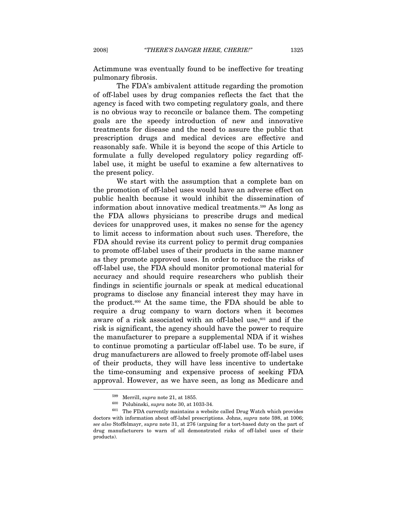Actimmune was eventually found to be ineffective for treating pulmonary fibrosis.

The FDA's ambivalent attitude regarding the promotion of off-label uses by drug companies reflects the fact that the agency is faced with two competing regulatory goals, and there is no obvious way to reconcile or balance them. The competing goals are the speedy introduction of new and innovative treatments for disease and the need to assure the public that prescription drugs and medical devices are effective and reasonably safe. While it is beyond the scope of this Article to formulate a fully developed regulatory policy regarding offlabel use, it might be useful to examine a few alternatives to the present policy.

We start with the assumption that a complete ban on the promotion of off-label uses would have an adverse effect on public health because it would inhibit the dissemination of information about innovative medical treatments.599 As long as the FDA allows physicians to prescribe drugs and medical devices for unapproved uses, it makes no sense for the agency to limit access to information about such uses. Therefore, the FDA should revise its current policy to permit drug companies to promote off-label uses of their products in the same manner as they promote approved uses. In order to reduce the risks of off-label use, the FDA should monitor promotional material for accuracy and should require researchers who publish their findings in scientific journals or speak at medical educational programs to disclose any financial interest they may have in the product.600 At the same time, the FDA should be able to require a drug company to warn doctors when it becomes aware of a risk associated with an off-label use, $601$  and if the risk is significant, the agency should have the power to require the manufacturer to prepare a supplemental NDA if it wishes to continue promoting a particular off-label use. To be sure, if drug manufacturers are allowed to freely promote off-label uses of their products, they will have less incentive to undertake the time-consuming and expensive process of seeking FDA approval. However, as we have seen, as long as Medicare and  $\overline{a}$ 

<sup>&</sup>lt;sup>599</sup> Merrill, supra note 21, at 1855.<br><sup>600</sup> Polubinski, supra note 30, at 1033-34.<br><sup>601</sup> The FDA currently maintains a website called Drug Watch which provides doctors with information about off-label prescriptions. Johns, supra note 598, at 1006; see also Stoffelmayr, supra note 31, at 276 (arguing for a tort-based duty on the part of drug manufacturers to warn of all demonstrated risks of off-label uses of their products).